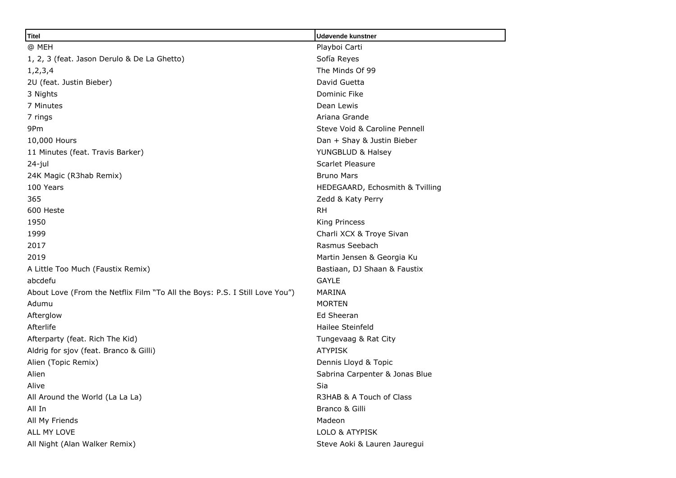| <b>Titel</b>                                                                | Udøvende kunstner               |
|-----------------------------------------------------------------------------|---------------------------------|
| @ MEH                                                                       | Playboi Carti                   |
| 1, 2, 3 (feat. Jason Derulo & De La Ghetto)                                 | Sofía Reyes                     |
| 1, 2, 3, 4                                                                  | The Minds Of 99                 |
| 2U (feat. Justin Bieber)                                                    | David Guetta                    |
| 3 Nights                                                                    | Dominic Fike                    |
| 7 Minutes                                                                   | Dean Lewis                      |
| 7 rings                                                                     | Ariana Grande                   |
| 9Pm                                                                         | Steve Void & Caroline Pennell   |
| 10,000 Hours                                                                | Dan + Shay & Justin Bieber      |
| 11 Minutes (feat. Travis Barker)                                            | YUNGBLUD & Halsey               |
| 24-jul                                                                      | Scarlet Pleasure                |
| 24K Magic (R3hab Remix)                                                     | <b>Bruno Mars</b>               |
| 100 Years                                                                   | HEDEGAARD, Echosmith & Tvilling |
| 365                                                                         | Zedd & Katy Perry               |
| 600 Heste                                                                   | <b>RH</b>                       |
| 1950                                                                        | King Princess                   |
| 1999                                                                        | Charli XCX & Troye Sivan        |
| 2017                                                                        | Rasmus Seebach                  |
| 2019                                                                        | Martin Jensen & Georgia Ku      |
| A Little Too Much (Faustix Remix)                                           | Bastiaan, DJ Shaan & Faustix    |
| abcdefu                                                                     | <b>GAYLE</b>                    |
| About Love (From the Netflix Film "To All the Boys: P.S. I Still Love You") | <b>MARINA</b>                   |
| Adumu                                                                       | <b>MORTEN</b>                   |
| Afterglow                                                                   | Ed Sheeran                      |
| Afterlife                                                                   | Hailee Steinfeld                |
| Afterparty (feat. Rich The Kid)                                             | Tungevaag & Rat City            |
| Aldrig for sjov (feat. Branco & Gilli)                                      | <b>ATYPISK</b>                  |
| Alien (Topic Remix)                                                         | Dennis Lloyd & Topic            |
| Alien                                                                       | Sabrina Carpenter & Jonas Blue  |
| Alive                                                                       | Sia                             |
| All Around the World (La La La)                                             | R3HAB & A Touch of Class        |
| All In                                                                      | Branco & Gilli                  |
| All My Friends                                                              | Madeon                          |
| ALL MY LOVE                                                                 | LOLO & ATYPISK                  |
| All Night (Alan Walker Remix)                                               | Steve Aoki & Lauren Jauregui    |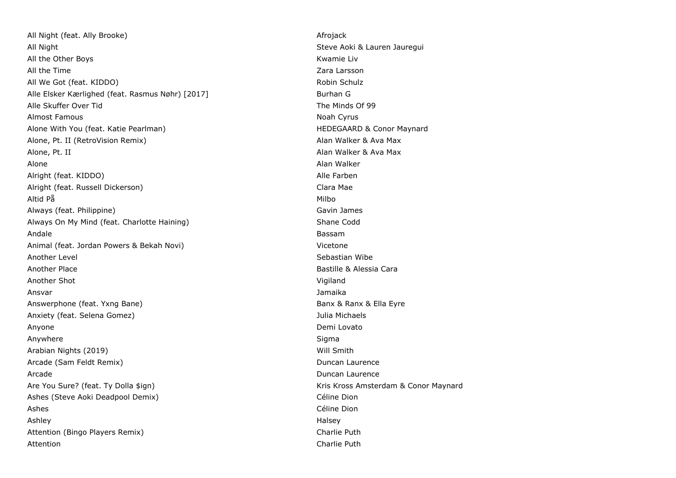All Night (feat. Ally Brooke) Afrojack And Afrojack Afrojack All Night Steve Aoki & Lauren Jauregui All the Other Boys **Kwamie Lives and Contract Contract Contract Contract Contract Contract Contract Contract Contract Contract Contract Contract Contract Contract Contract Contract Contract Contract Contract Contract Contr** All the Time **Zara Larsson** All We Got (feat. KIDDO) All We Got (feat. KIDDO) Alle Elsker Kærlighed (feat. Rasmus Nøhr) [2017] Burhan G Alle Skuffer Over Tid **The Minds Of 99** Almost Famous and the contract of the contract of the contract of the contract of the contract of the contract of the contract of the contract of the contract of the contract of the contract of the contract of the contract Alone With You (feat. Katie Pearlman) Alone Miss and HEDEGAARD & Conor Maynard Alone, Pt. II (RetroVision Remix) Alan Walker & Ava Max Alone, Pt. II Alan Walker & Ava Max Alone Alan Walker (Alan Walker Alan Walker Alan Walker Alan Walker Alan Walker Alan Walker Alan Walker Alan Wa Alright (feat. KIDDO) Alle Farben (feat. KIDDO) Alright (feat. Russell Dickerson) Clara Mae Altid På Milbo (1999) og stofnade af den stofnade af den stofnade af den stofnade af den stofnade af den stofn Always (feat. Philippine) Gavin James Always On My Mind (feat. Charlotte Haining) Shane Codd Shane Codd Andale Bassam Animal (feat. Jordan Powers & Bekah Novi) Vicetone Another Level **Sebastian Wibe** Sebastian Wibe Sebastian Wibe Sebastian Wibe Sebastian Wibe Sebastian Wibe Sebastian Wibe Sebastian Wibe Sebastian Wibe Sebastian Wibe Sebastian Wibe Sebastian Sebastian Sebastian Sebastian S Another Place **Bastille & Alessia Cara** Another Shot Vigiland Ansvar Jamaika Answerphone (feat. Yxng Bane) Banx & Ranx & Ella Eyre Anxiety (feat. Selena Gomez) Julia Michaels Anyone **Demi Lovato** Demi Lovato Anywhere Sigma and the Sigma and the Sigma and the Sigma and the Sigma and the Sigma and the Sigma and the Sigma Arabian Nights (2019) Will Smith Arcade (Sam Feldt Remix) **Duncan Laurence Duncan Laurence** Arcade Duncan Laurence Are You Sure? (feat. Ty Dolla \$ign) May and Maynard Kris Kross Amsterdam & Conor Maynard Ashes (Steve Aoki Deadpool Demix) Céline Dion Ashes Céline Dion Ashley Halsey Attention (Bingo Players Remix) and the control of the Charlie Puth Charlie Puth Attention **Charlie Puth**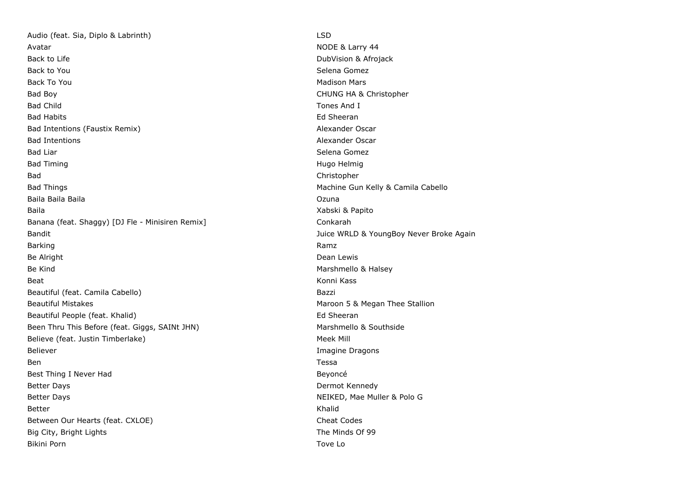Audio (feat. Sia, Diplo & Labrinth) LSD Avatar Nobel & Larry 44 **Back to Life DubVision & Afrojack** DubVision & Afrojack Back to You Selena Gomez and the Selena Gomez and the Selena Gomez and Selena Gomez and Selena Gomez and Selena Back To You and the Contract of the Contract of the Contract of the Madison Mars Bad Boy **CHUNG HA & Christopher** Bad Child Tones And I Bad Habits **Ed Sheeran** Bad Intentions (Faustix Remix) and all the state of the Mexander Oscar and Alexander Oscar Bad Intentions **Alexander Oscar Alexander Oscar Alexander Oscar Alexander Oscar** Bad Liar Selena Gomez (Selena Gomez (Selena Gomez (Selena Gomez (Selena Gomez (Selena Gomez (Selena Gomez (Selena Gomez (Selena Gomez (Selena Gomez (Selena Gomez (Selena Gomez (Selena Gomez (Selena Gomez (Selena Gomez (Sel Bad Timing **Hugo Helmig Bad Timing Hugo Helmig Hugo Helmig Hugo Helmig Hugo Helmig Hugo Helmig Hugo Helmig Hugo Helmig Hugo Helmig Hugo Helmig Hugo Helmig Hugo Helmig Hugo Helmig Hugo Helmig H** Bad Christopher Bad Things **Machine Gun Kelly & Camila Cabello** Machine Gun Kelly & Camila Cabello Baila Baila Baila Ozuna Baila Xabski & Papito Banana (feat. Shaggy) [DJ Fle - Minisiren Remix] Conkarah Bandit **Bandit** Bandit **Juice WRLD & YoungBoy Never Broke Again** Barking Ramz Be Alright **Dean Lewis Be Alright Dean Lewis** Be Kind **Marshmello & Halsey Marshmello & Halsey Marshmello & Halsey Marshmello & Halsey** Beat Konni Kass (1999) and the Second Second Second Second Second Second Second Second Second Second Second Second Second Second Second Second Second Second Second Second Second Second Second Second Second Second Second Se Beautiful (feat. Camila Cabello) Bazzi Beautiful Mistakes **Maroon 5 & Megan Thee Stallion** Beautiful People (feat. Khalid) Ed Sheeran Been Thru This Before (feat. Giggs, SAINt JHN) Marshmello & Southside Believe (feat. Justin Timberlake) Meek Mill and South American Meek Mill and Meek Mill Believer **Imagine Dragons Imagine Dragons** Ben and the state of the state of the state of the state of the state of the state of the state of the state o Best Thing I Never Had Beyoncé Better Days **Dermot Kennedy** Better Days Netter Days Netter Days Netter Days Netter Days Netter Days Netter Days Netter Apple of the Muller & Polo G Better Khalid Between Our Hearts (feat. CXLOE) Cheat Codes Big City, Bright Lights The Minds Of 99 Bikini Porn Tove Lo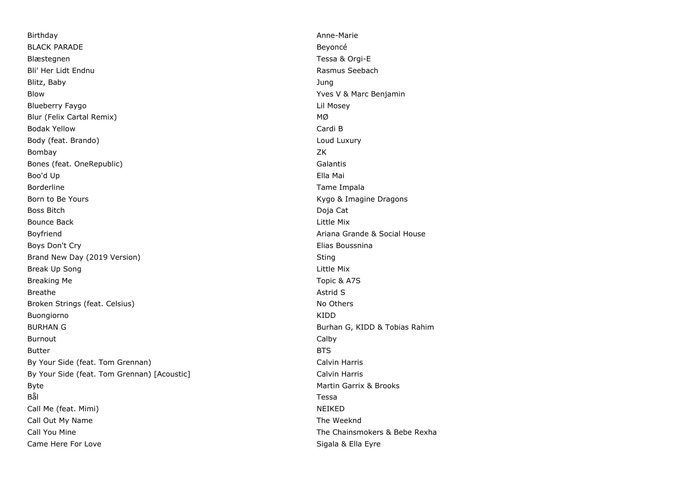Birthday **Anne-Marie** Anne-Marie (1999) and the set of the set of the set of the set of the set of the set of the set of the set of the set of the set of the set of the set of the set of the set of the set of the set of th BLACK PARADE **BULACK PARADE** Blæstegnen Tessa & Orgi-E Bli' Her Lidt Endnu **Rasmus Seebach** and The Rasmus Seebach and The Rasmus Seebach and The Rasmus Seebach and The Rasmus Seebach and The Rasmus Seebach and The Rasmus Seebach and The Rasmus Seebach and The Rasmus Seebach a Blitz, Baby Jung Blow Yves V & Marc Benjamin Blueberry Faygo Lil Mosey Blur (Felix Cartal Remix) and the matter of the matter of the matter of the matter of the matter of the matter Bodak Yellow Cardi B Body (feat. Brando) **Loud Luxury** Loud Luxury Bombay ZK Bones (feat. OneRepublic) and the contract of the Galantis Galantis Boo'd Up Ella Mai Borderline Tame Impala Born to Be Yours **Kygo & Imagine Dragons Born to Be Yours** Kygo & Imagine Dragons Boss Bitch Doja Cat **Bounce Back** Little Mix Boyfriend **Ariana Grande & Social House** Boyfriend Boys Don't Cry **Elias Boussnina** Brand New Day (2019 Version) Sting Sting Sting Sting Sting Sting Sting Sting Sting Sting Sting Sting Sting Sting Sting Sting Sting Sting Sting Sting Sting Sting Sting Sting Sting Sting Sting Sting Sting Sting Sting Sting S Break Up Song **Little Mix** and the Mix and the Mix and the Mix and the Mix and the Mix and the Mix and the Mix and the Mix and the Mix and the Mix and the Mix and the Mix and the Mix and the Mix and the Mix and the Mix and Breaking Me **The Internal Contract of the Internal Contract of the Internal Contract of the Internal Contract of the Internal Contract of the Internal Contract of the Internal Contract of the Internal Contract of the Inter** Breathe Astrid Structure and the Astrid Structure of the Astrid Structure and Structure and Structure and Structure and Structure and Structure and Structure and Structure and Structure and Structure and Structure and Stru Broken Strings (feat. Celsius) No Others and Strings (feat. Celsius) No Others and Strings (feat. Celsius) Buongiorno KIDD BURHAN G **BURHAN G** BURHAN G **BURHAN G** BURHAN G **BURHAN G** BURHAN G BURHAN G BURHAN G BURHAN G BURHAN G BURHAN G BURHAN G BURHAN G BURHAN G BURHAN G BURHAN G BURHAN G BURHAN G BURHAN G BURHAN G BURHAN G BURHAN G BURHAN G Burnout Calby Butter BTS By Your Side (feat. Tom Grennan) Calvin Harris Calvin Harris By Your Side (feat. Tom Grennan) [Acoustic] Calvin Harris Calvin Harris Byte **Martin Garrix & Brooks Martin Garrix & Brooks Martin Garrix & Brooks** Bål i Sammens og Sammens og Sammens og Sammens og Sammens og Sammens og Sammens og Sammens og Sammens og Samme Call Me (feat. Mimi) NEIKED Call Out My Name The Weeknd Call You Mine The Chainsmokers & Bebe Rexha Came Here For Love **Sigala & Ella Eyre** Sigala & Ella Eyre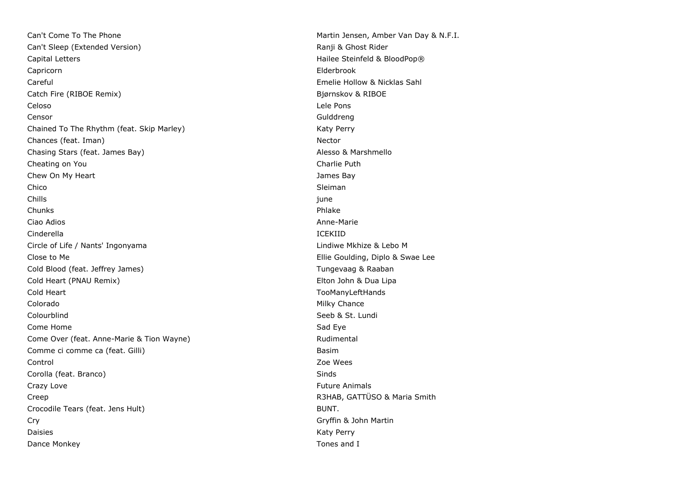Can't Come To The Phone Martin Jensen, Amber Van Day & N.F.I. Can't Sleep (Extended Version) and the Canton of the Ranji & Ghost Rider Capital Letters **Capital Letters Hailee Steinfeld & BloodPop®** Capricorn Elderbrook Careful Emelie Hollow & Nicklas Sahl Catch Fire (RIBOE Remix) Bjørnskov & RIBOE Celoso Lele Pons Censor Gulddreng Chained To The Rhythm (feat. Skip Marley) Market Market Market Market Market Market Market Market Market Market Chances (feat. Iman) Nector Chasing Stars (feat. James Bay) Alesso & Marshmello Cheating on You **Charlie Puth** Charlie Puth Chew On My Heart **James Bay** Chico Sleiman and the contract of the contract of the contract of the contract of the contract of the contract of the contract of the contract of the contract of the contract of the contract of the contract of the contract Chills june Chunks Phlake Ciao Adios Anne-Marie Cinderella ICEKIID Circle of Life / Nants' Ingonyama Lindiwe Mkhize & Lebo M Close to Me **Ellie Goulding, Diplo & Swae Lee** Cold Blood (feat. Jeffrey James) Tungevaag & Raaban Cold Heart (PNAU Remix) Elton John & Dua Lipa Cold Heart TooManyLeftHands Colorado **Milky Chance** Colourblind Colourblind Seeb & St. Lundi **Come Home** Sad Eye Sad Eye Sad Eye Sad Eye Sad Eye Sad Eye Sad Eye Sad Eye Sad Eye Sad Eye Sad Eye Sad Eye Sad Come Over (feat. Anne-Marie & Tion Wayne) and the Come over the Rudimental Comme ci comme ca (feat. Gilli) Basim Control Zoe Wees Corolla (feat. Branco) and Sinds Sinds Sinds Sinds Sinds Sinds Sinds Sinds Sinds Sinds Sinds Sinds Sinds Sinds Crazy Love **Future Animals** Crazy Love **Future Animals** Creep **Creep Creep Account Creep Account Creep** Account Creep Account Creep Account Creep Account Creep Account C Crocodile Tears (feat. Jens Hult) BUNT. Cry Gryffin & John Martin Daisies **Katy Perry** Constants and the Constantine Constantine Constantine Constantine Constantine Constantine Constantine Constantine Constantine Constantine Constantine Constantine Constantine Constantine Constantine Con Dance Monkey **The Contract of Contract Contract Contract Contract Contract Contract Contract Contract Contract Contract Contract Contract Contract Contract Contract Contract Contract Contract Contract Contract Contract Con**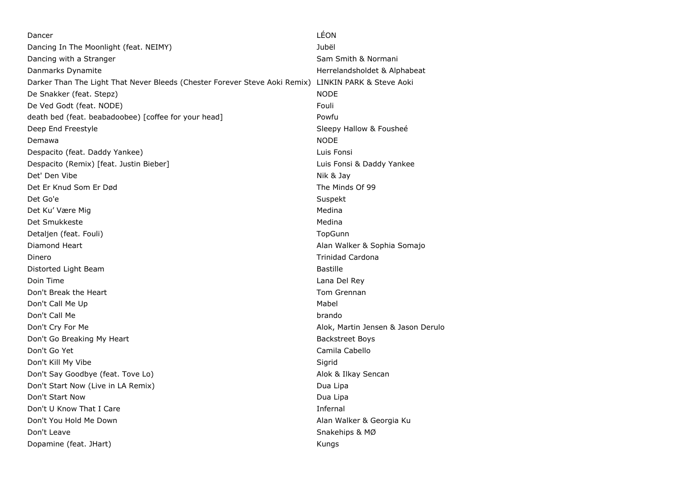| Dancer                                                                     | LEON                               |
|----------------------------------------------------------------------------|------------------------------------|
| Dancing In The Moonlight (feat. NEIMY)                                     | Jubël                              |
| Dancing with a Stranger                                                    | Sam Smith & Normani                |
| Danmarks Dynamite                                                          | Herrelandsholdet & Alphabeat       |
| Darker Than The Light That Never Bleeds (Chester Forever Steve Aoki Remix) | LINKIN PARK & Steve Aoki           |
| De Snakker (feat. Stepz)                                                   | <b>NODE</b>                        |
| De Ved Godt (feat. NODE)                                                   | Fouli                              |
| death bed (feat. beabadoobee) [coffee for your head]                       | Powfu                              |
| Deep End Freestyle                                                         | Sleepy Hallow & Foushee            |
| Demawa                                                                     | <b>NODE</b>                        |
| Despacito (feat. Daddy Yankee)                                             | Luis Fonsi                         |
| Despacito (Remix) [feat. Justin Bieber]                                    | Luis Fonsi & Daddy Yankee          |
| Det' Den Vibe                                                              | Nik & Jay                          |
| Det Er Knud Som Er Død                                                     | The Minds Of 99                    |
| Det Go'e                                                                   | Suspekt                            |
| Det Ku' Være Mig                                                           | Medina                             |
| Det Smukkeste                                                              | Medina                             |
| Detaljen (feat. Fouli)                                                     | TopGunn                            |
| Diamond Heart                                                              | Alan Walker & Sophia Somajo        |
| Dinero                                                                     | <b>Trinidad Cardona</b>            |
| Distorted Light Beam                                                       | <b>Bastille</b>                    |
| Doin Time                                                                  | Lana Del Rey                       |
| Don't Break the Heart                                                      | Tom Grennan                        |
| Don't Call Me Up                                                           | Mabel                              |
| Don't Call Me                                                              | brando                             |
| Don't Cry For Me                                                           | Alok, Martin Jensen & Jason Derulo |
| Don't Go Breaking My Heart                                                 | <b>Backstreet Boys</b>             |
| Don't Go Yet                                                               | Camila Cabello                     |
| Don't Kill My Vibe                                                         | Sigrid                             |
| Don't Say Goodbye (feat. Tove Lo)                                          | Alok & Ilkay Sencan                |
| Don't Start Now (Live in LA Remix)                                         | Dua Lipa                           |
| Don't Start Now                                                            | Dua Lipa                           |
| Don't U Know That I Care                                                   | Infernal                           |
| Don't You Hold Me Down                                                     | Alan Walker & Georgia Ku           |
| Don't Leave                                                                | Snakehips & MØ                     |
| Dopamine (feat. JHart)                                                     | Kungs                              |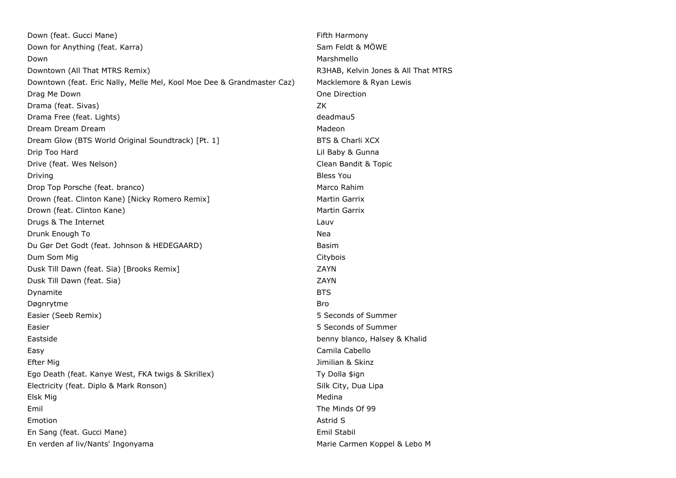| Down (feat. Gucci Mane)                                                | Fifth Harmony                       |
|------------------------------------------------------------------------|-------------------------------------|
| Down for Anything (feat. Karra)                                        | Sam Feldt & MÖWE                    |
| Down                                                                   | Marshmello                          |
| Downtown (All That MTRS Remix)                                         | R3HAB, Kelvin Jones & All That MTRS |
| Downtown (feat. Eric Nally, Melle Mel, Kool Moe Dee & Grandmaster Caz) | Macklemore & Ryan Lewis             |
| Drag Me Down                                                           | One Direction                       |
| Drama (feat. Sivas)                                                    | ZK                                  |
| Drama Free (feat. Lights)                                              | deadmau5                            |
| Dream Dream Dream                                                      | Madeon                              |
| Dream Glow (BTS World Original Soundtrack) [Pt. 1]                     | <b>BTS &amp; Charli XCX</b>         |
| Drip Too Hard                                                          | Lil Baby & Gunna                    |
| Drive (feat. Wes Nelson)                                               | Clean Bandit & Topic                |
| Driving                                                                | <b>Bless You</b>                    |
| Drop Top Porsche (feat. branco)                                        | Marco Rahim                         |
| Drown (feat. Clinton Kane) [Nicky Romero Remix]                        | Martin Garrix                       |
| Drown (feat. Clinton Kane)                                             | Martin Garrix                       |
| Drugs & The Internet                                                   | Lauv                                |
| Drunk Enough To                                                        | Nea                                 |
| Du Gør Det Godt (feat. Johnson & HEDEGAARD)                            | Basim                               |
| Dum Som Mig                                                            | Citybois                            |
| Dusk Till Dawn (feat. Sia) [Brooks Remix]                              | ZAYN                                |
| Dusk Till Dawn (feat. Sia)                                             | <b>ZAYN</b>                         |
| Dynamite                                                               | <b>BTS</b>                          |
| Døgnrytme                                                              | <b>Bro</b>                          |
| Easier (Seeb Remix)                                                    | 5 Seconds of Summer                 |
| Easier                                                                 | 5 Seconds of Summer                 |
| Eastside                                                               | benny blanco, Halsey & Khalid       |
| Easy                                                                   | Camila Cabello                      |
| Efter Mig                                                              | Jimilian & Skinz                    |
| Ego Death (feat. Kanye West, FKA twigs & Skrillex)                     | Ty Dolla \$ign                      |
| Electricity (feat. Diplo & Mark Ronson)                                | Silk City, Dua Lipa                 |
| Elsk Mig                                                               | Medina                              |
| Emil                                                                   | The Minds Of 99                     |
| Emotion                                                                | Astrid S                            |
| En Sang (feat. Gucci Mane)                                             | Emil Stabil                         |
| En verden af liv/Nants' Ingonyama                                      | Marie Carmen Koppel & Lebo M        |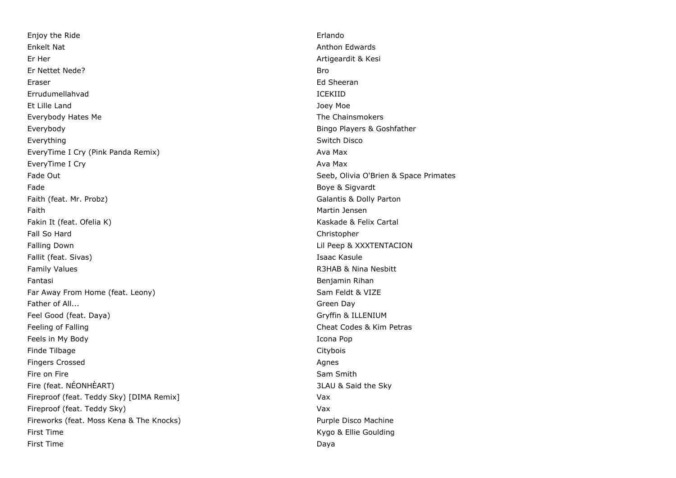Enjoy the Ride Erlando Enkelt Nat Anthon Edwards **Enkelt National Anthon Edwards** Er Her Artigeardit & Kesi Er Nettet Nede? Bro Eraser Ed Sheeran Errudumellahvad ICEKIID Et Lille Land Joey Moe Everybody Hates Me The Chainsmokers and the Chainsmokers and the Chainsmokers and the Chainsmokers and the Chainsmokers Everybody Bingo Players & Goshfather Everything Switch Disco **Everything** Switch Disco EveryTime I Cry (Pink Panda Remix) Ava Max EveryTime I Cry and the contract of the contract of the contract of the contract of the contract of the contract of the contract of the contract of the contract of the contract of the contract of the contract of the contra Fade Out **Seeb, Olivia O'Brien & Space Primates** Fade Boye & Sigvardt and Sigvardt and Sigvardt and Sigvardt and Sigvardt and Sigvardt and Sigvardt and Sigvardt and Sigvardt and Sigvardt and Sigvardt and Sigvardt and Sigvardt and Sigvardt and Sigvardt and Sigvardt and Si Faith (feat. Mr. Probz) **Galantis & Dolly Parton** Faith Martin Jensen Fakin It (feat. Ofelia K) Kaskade & Felix Cartal Fall So Hard Christopher Falling Down **Example 2008** 2012 12:30 The United States of the United States of the United States of the United States of the United States of the United States of the United States of the United States of the United Stat Fallit (feat. Sivas) **Isaac Kasule** Family Values **R3HAB & Nina Nesbitt** Fantasi Benjamin Rihan Far Away From Home (feat. Leony) Sam Feldt & VIZE Father of All... **Father of Allen Community** Controller and the Community Community Community Community Community Community Community Community Community Community Community Community Community Community Community Communit Feel Good (feat. Daya) Gryffin & ILLENIUM Feeling of Falling Cheat Codes & Kim Petras Cheat Codes & Kim Petras Feels in My Body **Icona Pop** Finde Tilbage Citybois and Citybois and Citybois and Citybois and Citybois and Citybois and Citybois and Citybois and Citybois and Citybois and Citybois and Citybois and Citybois and Citybois and Citybois and Citybois and **Fingers Crossed Agnes** Agnes Agnes Agnes Agnes Agnes Agnes Agnes Agnes Agnes Agnes Agnes Agnes Agnes Agnes Agnes Agnes Agnes Agnes Agnes Agnes Agnes Agnes Agnes Agnes Agnes Agnes Agnes Agnes Agnes Agnes Agnes Agnes Agnes Fire on Fire Sam Smith Sam Smith Sam Smith Sam Smith Sam Smith Sam Smith Sam Smith Fire (feat. NÉONHÈART) 3LAU & Said the Sky Fireproof (feat. Teddy Sky) [DIMA Remix] Vax Fireproof (feat. Teddy Sky) Vax Fireworks (feat. Moss Kena & The Knocks) entitled a state of the Purple Disco Machine First Time **Kygo & Ellie Goulding** First Time Daya and the Daya and the Daya and the Daya and the Daya and the Daya and Daya and Daya and Daya and Daya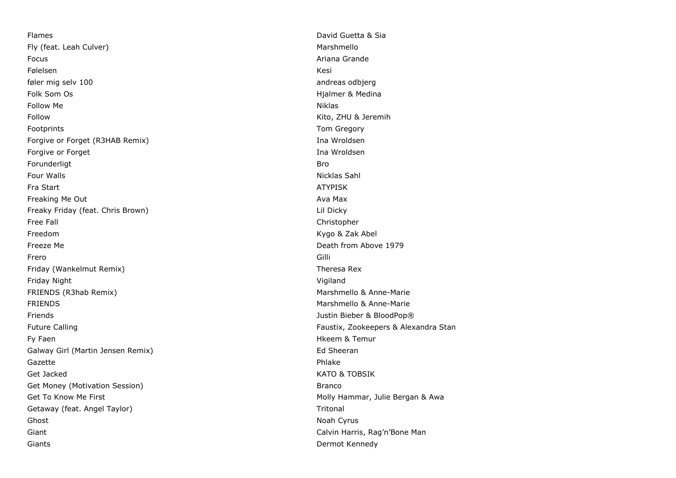Flames David Guetta & Sia Fly (feat. Leah Culver) and the control of the control of the Marshmello Marshmello Focus Ariana Grande Følelsen Kesi († 1908) føler mig selv 100 andreas odbjerg andreas odbjerg andreas odbjerg andreas odbjerg andreas odbjerg andreas odbjerg Folk Som Os **Highlands** Control of the Medina Control of the Medina Highlands Control of the Medina Control of the Medina Control of the Medina Control of the Medina Control of the Medina Control of the Medina Control of t Follow Me Niklas Follow Kito, ZHU & Jeremih Footprints Tom Gregory Tom Gregory Tom Gregory Tom Gregory Tom Gregory Tom Gregory Forgive or Forget (R3HAB Remix) and the state of the state of the state of the state of the state of the state of the state of the state of the state of the state of the state of the state of the state of the state of the Forgive or Forget **Ina Wroldsen** Ina Wroldsen Forunderligt Bro Four Walls Nicklas Sahl Fra Start ATYPISK Freaking Me Out **Available Contract Contract Contract Contract Contract Contract Contract Contract Contract Contract Contract Contract Contract Contract Contract Contract Contract Contract Contract Contract Contract Contra** Freaky Friday (feat. Chris Brown) Lil Dicky Free Fall Christopher Freedom Kygo & Zak Abel Freeze Me Death from Above 1979 Frero Gilli Friday (Wankelmut Remix) Theresa Rex Friday Night Vigiland FRIENDS (R3hab Remix) Marshmello & Anne-Marie Marshmello & Anne-Marie FRIENDS Marshmello & Anne-Marie Friends Justin Bieber & BloodPop® Future Calling Faustix, Zookeepers & Alexandra Stan Fy Faen **Hkeem & Temur** Hkeem & Temur Galway Girl (Martin Jensen Remix) and the state of the Sheeran Ed Sheeran Gazette Phlake Get Jacked KATO & TOBSIK Get Money (Motivation Session) and the Control of the Branco Branco Get To Know Me First **Molly Hammar, Julie Bergan & Awa** Getaway (feat. Angel Taylor) The Contract of the Contract of Tritonal Tritonal Ghost **Noah Cyrus** Noah Cyrus **Noah Cyrus** Noah Cyrus **Noah Cyrus** Noah Cyrus Noah Cyrus Noah Cyrus Noah Cyrus Noah Cyrus Noah Cyrus Noah Cyrus Noah Cyrus Noah Cyrus Noah Cyrus Noah Cyrus Noah Cyrus Noah Cyrus Noah Cyrus N Giant Calvin Harris, Rag'n'Bone Man (Calvin Harris, Rag'n'Bone Man (Calvin Harris, Rag'n'Bone Man Giants **Dermot Kennedy Contract Contract Contract Contract Contract Contract Contract Contract Contract Contract Contract Contract Contract Contract Contract Contract Contract Contract Contract Contract Contract Contract**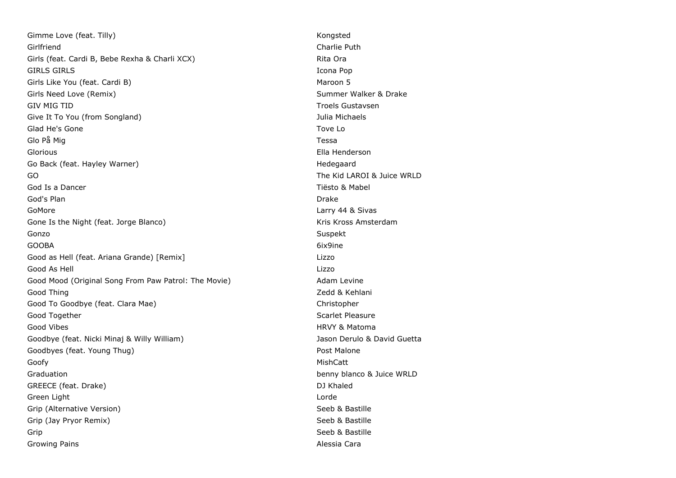Gimme Love (feat. Tilly) Solid Congress of the Congress of the Congress of the Congress of the Congress of the Congress of the Congress of the Congress of the Congress of the Congress of the Congress of the Congress of the Girlfriend Charlie Puth Girls (feat. Cardi B, Bebe Rexha & Charli XCX) Carli Rita Ora GIRLS GIRLS **GIRLS Icona Pop** Girls Like You (feat. Cardi B) Maroon 5 Girls Need Love (Remix) Summer Walker & Drake GIV MIG TID GIV MIG TID Give It To You (from Songland) and South American South Article 2014 and Michaels Glad He's Gone Towell and Towell and Towell and Towell and Towell and Towell and Towell and Towell and Towell and Towell and Towell and Towell and Towell and Towell and Towell and Towell and Towell and Towell and Towell an Glo På Mig Tessa Glorious Ella Henderson Go Back (feat. Hayley Warner) and the state of the extended the Hedegaard GO The Kid LAROI & Juice WRLD God Is a Dancer **Tiësto & Mabel** God's Plan Drake GoMore **Community** Community Community Community Community Community Community Community Community Community Community Community Community Community Community Community Community Community Community Community Community Com Gone Is the Night (feat. Jorge Blanco) Some Is the Night (feat. Jorge Blanco) Kris Kross Amsterdam Gonzo Suspekt GOOBA 6ix9ine Good as Hell (feat. Ariana Grande) [Remix] Lizzo Good As Hell Lizzo Good Mood (Original Song From Paw Patrol: The Movie) Adam Levine Good Thing **Zedd & Kehlani** Good To Goodbye (feat. Clara Mae) Christopher Christopher Good Together Scarlet Pleasure Controller Scarlet Pleasure Scarlet Pleasure Good Vibes **HRVY & Matoma** Goodbye (feat. Nicki Minaj & Willy William) Marketta Jason Derulo & David Guetta Goodbyes (feat. Young Thug) example and the set of the Post Malone Goofy MishCatt Graduation **benny blanco & Juice WRLD** GREECE (feat. Drake) and the control of the control of the control of the control of the control of the control of the control of the control of the control of the control of the control of the control of the control of th Green Light Lorde Grip (Alternative Version) Seeb & Bastille Grip (Jay Pryor Remix) Seeb & Bastille Grip Seeb & Bastille Growing Pains Alessia Cara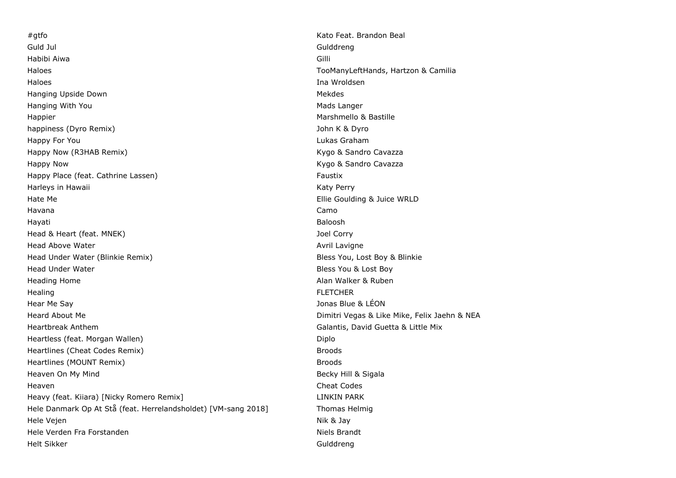#gtfo Kato Feat. Brandon Beal Guld Jul Gulddreng Habibi Aiwa Gilli Haloes TooManyLeftHands, Hartzon & Camilia Haloes Ina Wroldsen Hanging Upside Down Mekthonic Communication of the Mekdes Mekdes Mekdes Hanging With You are the state of the state of the Mads Langer of the Mads Langer Happier **Marshmello & Bastille** happiness (Dyro Remix) John K & Dyro Happy For You Lukas Graham Happy Now (R3HAB Remix) Manus (Randro Cavazza Kygo & Sandro Cavazza Happy Now **Kygo & Sandro Cavazza** Happy Place (feat. Cathrine Lassen) Faustix Harleys in Hawaii National Accounts and the Marian School and Marian School and Marian School and Marian School and Marian School and Marian School and Marian School and Marian School and Marian School and Marian School an Hate Me **Ellie** Goulding & Juice WRLD Havana Camo Hayati Baloosh Head & Heart (feat. MNEK) Joel Corry Head Above Water Avril Lavigne Communication of the Avril Lavigne Avril Lavigne Head Under Water (Blinkie Remix) **Bless You, Lost Boy & Blinkie** Head Under Water **Bless You & Lost Boy** Heading Home **Alan Walker & Ruben** Heading Home Alan Walker & Ruben Healing FLETCHER Hear Me Say Jonas Blue & LÉON Heard About Me Dimitri Vegas & Like Mike, Felix Jaehn & NEA Heartbreak Anthem Galantis, David Guetta & Little Mix Heartless (feat. Morgan Wallen) Diplo Heartlines (Cheat Codes Remix) and the matter of the Broods Broods and the Broods Broods and the Broods and the Broods and the Broods and the Broods and the Broods and the Broods and the Broods and the Broods and the Brood Heartlines (MOUNT Remix) and the matter of the state of the state of the state of the state of the state of the state of the state of the state of the state of the state of the state of the state of the state of the state Heaven On My Mind Becky Hill & Sigala Heaven Cheat Codes Heavy (feat. Kiiara) [Nicky Romero Remix] LINKIN PARK Hele Danmark Op At Stå (feat. Herrelandsholdet) [VM-sang 2018] Thomas Helmig Hele Vejen Nik & Jay Hele Verden Fra Forstanden Niels Brandt Niels Brandt Helt Sikker Gulddreng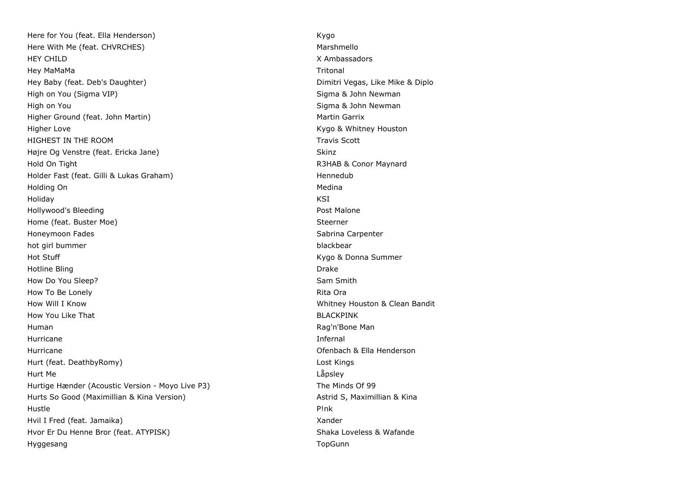Here for You (feat. Ella Henderson) and the state of the state of the Kygo Here With Me (feat. CHVRCHES) Marshmello HEY CHILD X Ambassadors Hey MaMaMa Tritonal Hey Baby (feat. Deb's Daughter) Dimitri Vegas, Like Mike & Diplo High on You (Sigma VIP) Sigma & John Newman High on You Sigma & John Newman New You Sigma & John Newman New You Sigma & John Newman Higher Ground (feat. John Martin) Martin Garrix Martin Garrix Higher Love **Kygo & Whitney Houston** HIGHEST IN THE ROOM **Travis Scott Travis Scott** Højre Og Venstre (feat. Ericka Jane) Skinz Skinz Skinz Skinz Hold On Tight R3HAB & Conor Maynard Holder Fast (feat. Gilli & Lukas Graham) and the state of the Hennedub Holding On Medina and the Contract of the Medina and the Medina and the Medina and the Medina and Medina and Medina Holiday KSI Hollywood's Bleeding **Post Malone** Post Malone Home (feat. Buster Moe) Steerner Steerner Steerner Honeymoon Fades **Sabrina Carpenter** Sabrina Carpenter Sabrina Carpenter hot girl bummer blackbear blackbear blackbear blackbear blackbear Hot Stuff Kygo & Donna Summer Hotline Bling **Drake Drake Drake Drake Drake Drake Drake Drake Drake Drake** How Do You Sleep? Sam Smith How To Be Lonely **Rita Ora** Rita Ora **Rita Ora** Rita Ora Rita Ora Rita Ora Rita Ora Rita Ora Rita Ora Rita Ora Rita Ora Rita Ora Rita Ora Rita Ora Rita Ora Rita Ora Rita Ora Rita Ora Rita Ora Rita Ora Rita Ora Rita Ora Rit How Will I Know Whitney Houston & Clean Bandit How You Like That BLACKPINK Human Rag'n'Bone Man Hurricane Infernal Hurricane Ofenbach & Ella Henderson Hurt (feat. DeathbyRomy) Lost Kings Hurt Me Låpsley Hurtige Hænder (Acoustic Version - Moyo Live P3) The Minds Of 99 Hurts So Good (Maximillian & Kina Version) and Astrid S, Maximillian & Kina Hustle P!nk Hvil I Fred (feat. Jamaika) Xander Hvor Er Du Henne Bror (feat. ATYPISK) Shaka Loveless & Wafande Hyggesang **The Community Community Community** Community Community Community Community Community Community Community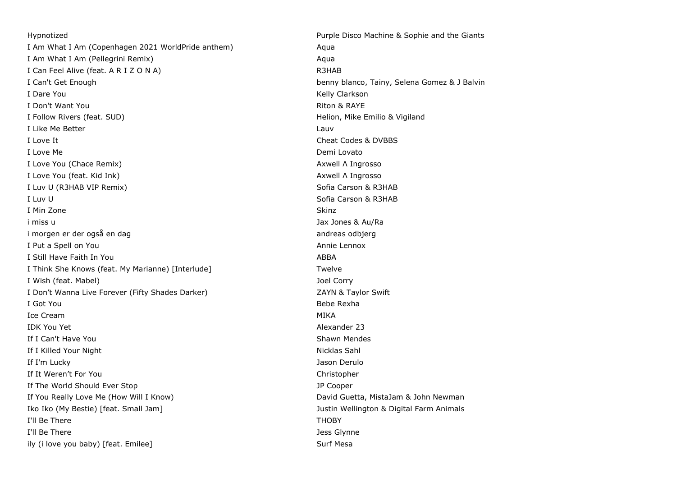Hypnotized Purple Disco Machine & Sophie and the Giants I Am What I Am (Copenhagen 2021 WorldPride anthem) Aqua I Am What I Am (Pellegrini Remix) and the state of the state of the state of the state of the state of the state of the state of the state of the state of the state of the state of the state of the state of the state of th I Can Feel Alive (feat. A R I Z O N A) R3HAB I Can't Get Enough benny blanco, Tainy, Selena Gomez & J Balvin I Dare You **Kelly Clarkson** I Don't Want You Riton & RAYE I Follow Rivers (feat. SUD) The Superintensity of the Superintensity of the Helion, Mike Emilio & Vigiland I Like Me Better Lauvene and the United States of the United States and Lauvene and Lauvene and Lauvene and Lauv I Love It Cheat Codes & DVBBS I Love Me **Demi Lovato** Demi Lovato I Love You (Chace Remix) Axwell Λ Ingrosso I Love You (feat. Kid Ink) Axwell Λ Ingrosso I Luv U (R3HAB VIP Remix) Sofia Carson & R3HAB I Luv U Sofia Carson & R3HAB I Min Zone Skinz (1999) and the set of the set of the set of the set of the set of the Skinz (1999) and the set i miss u Jax Jones & Au/Ra i morgen er der også en dag andreas odbjerg andreas odbjerg I Put a Spell on You Annie Lennox I Still Have Faith In You ABBA I Think She Knows (feat. My Marianne) [Interlude] Twelve Twelve I Wish (feat. Mabel) Joel Corry I Don't Wanna Live Forever (Fifty Shades Darker) The Case of the CAYN & Taylor Swift I Got You Bebe Rexha Ice Cream MIKA IDK You Yet Alexander 23 If I Can't Have You **Shawn Mendes** Shawn Mendes If I Killed Your Night Nicklas Sahl Nicklas Sahl Nicklas Sahl Nicklas Sahl Nicklas Sahl If I'm Lucky **Jason Derulo** Jason Derulo If It Weren't For You Christopher If The World Should Ever Stop JP Cooper If You Really Love Me (How Will I Know) South Assembly David Guetta, MistaJam & John Newman Iko Iko (My Bestie) [feat. Small Jam] Justin Wellington & Digital Farm Animals I'll Be There **THOBY** I'll Be There **I'll Be There** Jess Glynne ily (i love you baby) [feat. Emilee] Surf Mesa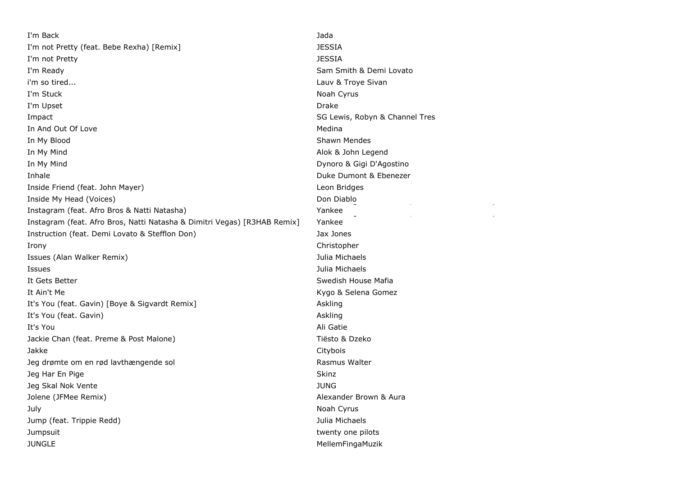I'm Back Jada I'm not Pretty (feat. Bebe Rexha) [Remix] JESSIA I'm not Pretty JESSIA I'm Ready **Sam Smith & Demi Lovato** Company of the Sam Smith & Demi Lovato i'm so tired... Lauv & Troye Sivan I'm Stuck Noah Cyrus and the United Studies of the United Studies of the United Studies of the United Studies of the United Studies of the United Studies of the United Studies of the United Studies of the United Studies of I'm Upset Drake Drake Drake Drake Drake Drake Drake Drake Drake Drake Drake Drake Drake Drake Drake Drake Drake **Impact SG Lewis, Robyn & Channel Tres** In And Out Of Love and the Medina and the Medina and the Medina and the Medina and the Medina and Medina and Me In My Blood Shawn Mendes In My Mind **Alok & John Legend** In My Mind Dynoro & Gigi D'Agostino Inhale Duke Dumont & Ebenezer Inside Friend (feat. John Mayer) Leon Bridges Inside My Head (Voices) Instagram (feat. Afro Bros & Natti Natasha) Instagram (feat. Afro Bros, Natti Natasha & Dimitri Vegas) [R3HAB Remix] Instruction (feat. Demi Lovato & Stefflon Don) Jax Jones Irony Christopher Issues (Alan Walker Remix) **Issues** (Alan Walker Remix) Issues Julia Michaels It Gets Better Swedish House Mafia It Ain't Me **Kygo & Selena Gomez** It's You (feat. Gavin) [Boye & Sigvardt Remix] Askling It's You (feat. Gavin) Askling and the Control of the Control of the Control of the Control of the Control of the Control of the Control of the Control of the Control of the Control of the Control of the Control of the Con It's You Ali Gatie Jackie Chan (feat. Preme & Post Malone) Tiesto & Dzeko Jakke Citybois Jeg drømte om en rød lavthængende sol and Rasmus Walter **Jeg Har En Pige Skinz** Jeg Skal Nok Vente JUNG Jolene (JFMee Remix) Alexander Brown & Aura July Noah Cyrus and the Community of the Community of the Community of the Community of the Community of the Community of the Community of the Community of the Community of the Community of the Community of the Community o Jump (feat. Trippie Redd) Julia Michaels Jumpsuit twenty one pilots JUNGLE MellemFingaMuzik

Don Diablo Yankee rankee, David Guetta & Daddy, David Guetta & Daddy, David Guetta & Daddy, David Guetta & Daddy, David Guetta & Yankee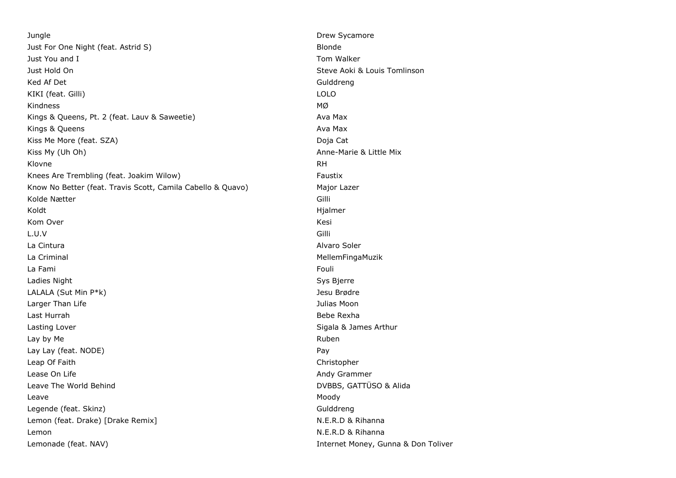**Jungle 2018 Drew Sycamore** Drew Sycamore 2018 **Drew Sycamore** Just For One Night (feat. Astrid S) and the state of the Blonde Blonde Just You and I Tom Walker Just Hold On Steve Aoki & Louis Tomlinson Ked Af Det Gulddreng and Gulddreng and Gulddreng and Gulddreng and Gulddreng and Gulddreng and Gulddreng and Gulddreng and Gulddreng and Gulddreng and Gulddreng and Gulddreng and Gulddreng and Gulddreng and Gulddreng and G KIKI (feat. Gilli) LOLO Kindness  $_{\text{MQ}}$ Kings & Queens, Pt. 2 (feat. Lauv & Saweetie) Ava Max Kings & Queens **Available Contracts** Available Contracts and Available Contracts Available Contracts Available Contracts and Available Contracts and Available Contracts and Available Contracts and Available Contracts and A Kiss Me More (feat. SZA) Doja Cat Kiss My (Uh Oh) **Anne-Marie & Little Mix** Anne-Marie & Little Mix Klovne RH Knees Are Trembling (feat. Joakim Wilow) example a metal of the Faustix Know No Better (feat. Travis Scott, Camila Cabello & Quavo) Major Lazer Kolde Nætter Gilli Koldt Hjalmer († 1905)<br>1908 - Amerikaans Staatsburg, Suid-Afrikaans († 1916) Kom Over Kesi L.U.V Gilli La Cintura Alvaro Soler La Criminal de la contrattura de la contrattura de la contrattura de la mateixa de la mateixa de la mateixa de La Fami Fouli Ladies Night Sys Bjerre LALALA (Sut Min P\*k) Jesu Brødre Larger Than Life **Value 2018** 2019 12:30 12:30 12:30 12:30 12:30 12:30 12:30 12:30 12:30 12:30 12:30 12:30 12:30 12:30 12:30 12:30 12:30 12:30 12:30 12:30 12:30 12:30 12:30 12:30 12:30 12:30 12:30 12:30 12:30 12:30 12:30 1 Last Hurrah Bebe Rexha Lasting Lover **Sigala & James Arthur** Sigala & James Arthur Lay by Me **Ruben** Ruben and the Ruben and the Ruben and the Ruben and the Ruben and the Ruben and the Ruben and the Ruben and the Ruben and the Ruben and the Ruben and the Ruben and the Ruben and the Ruben and the Ruben an Lay Lay (feat. NODE) **Pay** Leap Of Faith Christopher Christopher Christopher Christopher Christopher Christopher Christopher Christopher Lease On Life **Andy Grammer Contract Contract Contract Contract Contract Contract Contract Contract Contract Contract Contract Contract Contract Contract Contract Contract Contract Contract Contract Contract Contract Con** Leave The World Behind **DVBBS**, GATTÜSO & Alida Leave Moody Legende (feat. Skinz) and the control of the control of the Gulddreng Gulddreng Lemon (feat. Drake) [Drake Remix] N.E.R.D & Rihanna Lemon N.E.R.D & Rihanna Lemonade (feat. NAV) **Internet Money, Gunna & Don Toliver Internet Money, Gunna & Don Toliver**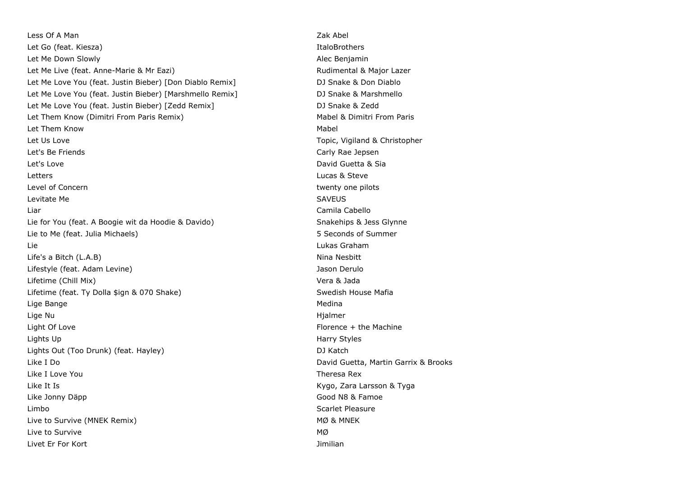Less Of A Man Zak Abel 2012 12:00 12:00 12:00 12:00 12:00 12:00 12:00 12:00 12:00 12:00 12:00 12:00 12:00 12:0 Let Go (feat. Kiesza) **Italog (feat. Kiesza)** Italog (feat. Kiesza) Let Me Down Slowly **Alec Benjamin Alec Benjamin** Let Me Live (feat. Anne-Marie & Mr Eazi) and a more controlled a Rudimental & Major Lazer Let Me Love You (feat. Justin Bieber) [Don Diablo Remix] DJ Snake & Don Diablo Let Me Love You (feat. Justin Bieber) [Marshmello Remix] DJ Snake & Marshmello Let Me Love You (feat. Justin Bieber) [Zedd Remix] DJ Snake & Zedd Let Them Know (Dimitri From Paris Remix) Mabel & Dimitri From Paris And Aris And Aris And Aris Aris Aris Aris A Let Them Know Nabel and Them American Control of the Mabel and Them Mabel and Mabel and Mabel and Mabel and Mabel and Mabel and Mabel and Mabel and Mabel and Mabel and Mabel and Mabel and Mabel and Mabel and Mabel and Mabe Let Us Love **Topic, Vigiland & Christopher** Christopher Topic, Vigiland & Christopher Let's Be Friends Carly Rae Jepsen Let's Love David Guetta & Sia Letters Lucas & Steve Level of Concern twenty one pilots and twenty one pilots of Concern twenty one pilots of twenty one pilots of the twenty one pilots of the twenty one pilots of the twenty one pilots of the twenty one pilots of the twenty o Levitate Me SAVEUS Liar Camila Cabello Lie for You (feat. A Boogie wit da Hoodie & Davido) Snakehips & Jess Glynne Lie to Me (feat. Julia Michaels) 5 Seconds of Summer Lie Lukas Graham Life's a Bitch (L.A.B) Nina Nesbitt Lifestyle (feat. Adam Levine) Jason Derulo Lifetime (Chill Mix) Vera & Jada Lifetime (feat. Ty Dolla \$ign & 070 Shake) Superson Swedish House Mafia Lige Bange Medina and the Contract of the Contract of the Contract of the Medina and Medina and Medina and Medina Lige Nu Hjalmer Light Of Love **Florence** + the Machine Lights Up Harry Styles Lights Out (Too Drunk) (feat. Hayley) DJ Katch Like I Do David Guetta, Martin Garrix & Brooks Like I Love You Theresa Rex Like It Is Kygo, Zara Larsson & Tyga Like Jonny Däpp Good N8 & Famoe Limbo Scarlet Pleasure Live to Survive (MNEK Remix) and the state of the matrix of the MØ & MNEK Live to Survive MØ Livet Er For Kort Jimilian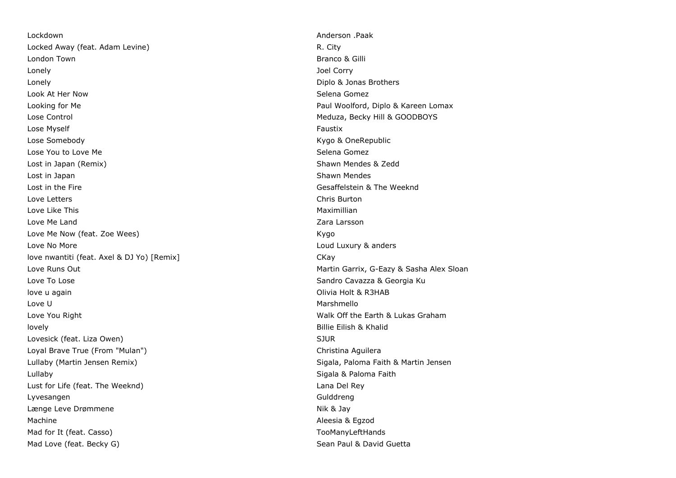Lockdown Anderson .Paak Locked Away (feat. Adam Levine) R. City **London Town Branco & Gilli** Lonely Joel Corry Lonely Diplo & Jonas Brothers Look At Her Now Selena Gomez Looking for Me Paul Woolford, Diplo & Kareen Lomax Lose Control Control Meduza, Becky Hill & GOODBOYS Lose Myself Faustix and the Contract of the Contract of the Contract of Taustix Faustix Faustix Lose Somebody **Contract Contract Contract Contract Contract Contract Contract Contract Contract Contract Contract Contract Contract Contract Contract Contract Contract Contract Contract Contract Contract Contract Contract** Lose You to Love Me Selena Gomez and the Selena Gomez and Selena Gomez and Selena Gomez Lost in Japan (Remix) Shawn Mendes & Zedd Lost in Japan Shawn Mendes and Shawn Mendes and Shawn Mendes Shawn Mendes and Shawn Mendes Shawn Mendes Shawn Mendes Lost in the Fire Gesaffelstein & The Weeknd Love Letters Chris Burton Love Like This Maximillian Love Me Land Zara Larsson Love Me Now (feat. Zoe Wees) and the state of the state of the state of the state of the state of the state of the state of the state of the state of the state of the state of the state of the state of the state of the sta Love No More Loud Luxury & anders love nwantiti (feat. Axel & DJ Yo) [Remix] CKay Love Runs Out **Martin Garrix, G-Eazy & Sasha Alex Sloan** Love To Lose Sandro Cavazza & Georgia Ku love u again Olivia Holt & R3HAB Love U Marshmello Love You Right Walk Off the Earth & Lukas Graham lovely Billie Eilish & Khalid Lovesick (feat. Liza Owen) SUR State of the Superior Superior Superior Superior Superior Superior Superior Superior Superior Superior Superior Superior Superior Superior Superior Superior Superior Superior Superior Superio Loyal Brave True (From "Mulan") and the control of the control of the Christina Aguilera Lullaby (Martin Jensen Remix) Sigala, Paloma Faith & Martin Jensen Lullaby Sigala & Paloma Faith Lust for Life (feat. The Weeknd) Lana Del Rey Lyvesangen Gulddreng Længe Leve Drømmene Nik & Jay Machine Aleesia & Eqzod Mad for It (feat. Casso) The Cassovich Cassovich Cassovich Cassovich Cassovich Cassovich Cassovich Cassovich Cassovich Cassovich Cassovich Cassovich Cassovich Cassovich Cassovich Cassovich Cassovich Cassovich Cassovich Cas Mad Love (feat. Becky G) Mad Love (feat. Becky G)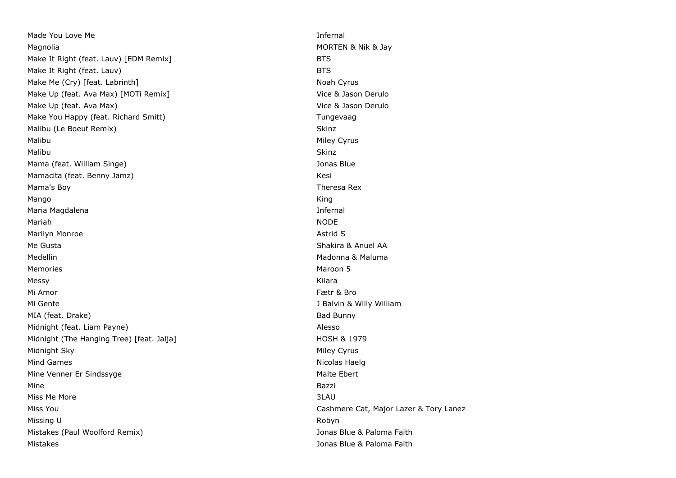Made You Love Me **Infernal** Magnolia Magnolia Morte and Morte and Morte and Morte and Morte and Morte and Morte and Morte and Morte and Morte and Morte and Morte and Morte and Morte and Morte and Morte and Morte and Morte and Morte and Morte and Mort Make It Right (feat. Lauv) [EDM Remix] BTS Make It Right (feat. Lauv) BTS Make Me (Cry) [feat. Labrinth] Noah Cyrus Noah Cyrus Noah Cyrus Noah Cyrus Noah Cyrus Make Up (feat. Ava Max) [MOTi Remix] Vice & Jason Derulo Make Up (feat. Ava Max) Solution of the Contract of the Vice & Jason Derulo Make You Happy (feat. Richard Smitt) Tungevaag Malibu (Le Boeuf Remix) Skinz Malibu Miley Cyrus and the Miley Cyrus Community of the Miley Cyrus Community of the Miley Cyrus Community of the Miley Cyrus Community of the Miley Cyrus Community of the Miley Cyrus Community of the Miley Cyrus Community Malibu Skinz Mama (feat. William Singe) Sharehold School and School and School and School and School and School and School and School and School and School and School and School and School and School and School and School and School an Mamacita (feat. Benny Jamz) **Kesi** Kesi Mama's Boy Theresa Rex Mango King Maria Magdalena **Infernal** Mariah NODE Marilyn Monroe **Astrid S** Me Gusta Shakira & Anuel AA Medellín **Madonna & Maluma** Memories Maroon 5 Messy Kiiara Mi Amor Fætr & Bro Mi Gente Jackson and The Julian Communication of the Jackson School and Jackson Jackson Jackson Jackson Jackson Jackson Jackson Jackson Jackson Jackson Jackson Jackson Jackson Jackson Jackson Jackson Jackson Jackson Jackso MIA (feat. Drake) Bad Bunny Bad Bunny Midnight (feat. Liam Payne) Alesso and the state of the state of the Alesso and Alesso and Alesso Midnight (The Hanging Tree) [feat. Jalja] Midnight HOSH & 1979 Midnight Sky **Midnight Sky** Midnight Sky **Midnight Sky** Miley Cyrus **Midnight Sky Miley Cyrus** Mind Games **Nicolas Haelg** Nicolas Haelg Nicolas Haelg Nicolas Haelg Nicolas Haelg Nicolas Haelg Nicolas Haelg Nicolas Haelg Nicolas Haelg Nicolas Haelg Nicolas Haelg Nicolas Haelg Nicolas Haelg Nicolas Haelg Nicolas Haelg Mine Venner Er Sindssyge Manuel Communication and Malte Ebert Mine **Bazzi** Miss Me More 3LAU Miss You Cashmere Cat, Major Lazer & Tory Lanez Missing U Robyn a Bryth a Bryth a Bryth a Bryth a Bryth a Robyn Robyn Robyn Robyn a Robyn Robyn Robyn Robyn Robyn Robyn Robyn Robyn Robyn Robyn Robyn Robyn Robyn Robyn Robyn Robyn Robyn Robyn Robyn Robyn Robyn Robyn Robyn Mistakes (Paul Woolford Remix) Jonas Blue & Paloma Faith Mistakes Jonas Blue & Paloma Faith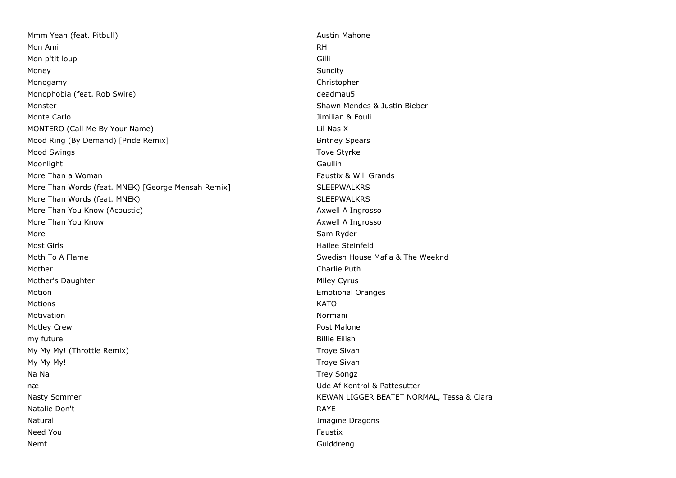Mmm Yeah (feat. Pitbull) Austin Mahone and Austin Mahone Mon Ami RH Mon p'tit loup Gilli Money Suncity Monogamy Christopher Monophobia (feat. Rob Swire) deadmau5 Monster Shawn Mendes & Justin Bieber Monte Carlo Jimilian & Fouli MONTERO (Call Me By Your Name) Lil Nas X Mood Ring (By Demand) [Pride Remix] Britney Spears Britney Spears Mood Swings The Styrke Styrke Styrke Styrke Styrke Styrke Styrke Styrke Styrke Styrke Styrke Styrke Styrke Styrke Styrke Styrke Styrke Styrke Styrke Styrke Styrke Styrke Styrke Styrke Styrke Styrke Styrke Styrke Styrke Sty Moonlight Gaullin More Than a Woman Faustix & Will Grands More Than Words (feat. MNEK) [George Mensah Remix] SLEEPWALKRS More Than Words (feat. MNEK) SLEEPWALKRS More Than You Know (Acoustic) Axwell Λ Ingrosso More Than You Know Axwell Λ Ingrosso More Sam Ryder Sam Ryder Sam Ryder Sam Ryder Sam Ryder Sam Ryder Sam Ryder Sam Ryder Most Girls **Hailee Steinfeld** Moth To A Flame Swedish House Maria & The Weeknd Mother **Charlie Puth** Mother's Daughter Miley Cyrus and Miley Cyrus and Miley Cyrus and Miley Cyrus and Miley Cyrus and Miley Cyrus Motion Emotional Oranges Motions KATO Motivation **Normani** Motley Crew **Post Malone** my future **Billie Eilish Example 2018 Contract Contract Contract Contract Contract Contract Contract Contract Contract Contract Contract Contract Contract Contract Contract Contract Contract Contract Contract Contract** My My My! (Throttle Remix) My My My My My Sivan My My My! Troye Sivan Na Na Na Trey Songz | Na Na Trey Songz | Na Na Trey Songz | Na Na Trey Songz | Na Na Trey Songz | Na Na Trey Songz | Na Na Trey Songz | Na Na Trey Songz | Na Na Trey Songz | Na Na Na Trey Songz | Na Na Na Na Na Na Na Na Na næ Ude Af Kontrol & Pattesutter Nasty Sommer **KEWAN LIGGER BEATET NORMAL, Tessa & Clara** KEWAN LIGGER BEATET NORMAL, Tessa & Clara Natalie Don't RAYE Natural Imagine Dragons Need You Faustix and the Contract of the Contract of the Contract of the Contract of the Contract of the Contract of the Contract of the Contract of the Contract of the Contract of the Contract of the Contract of the Contr Nemt Gulddreng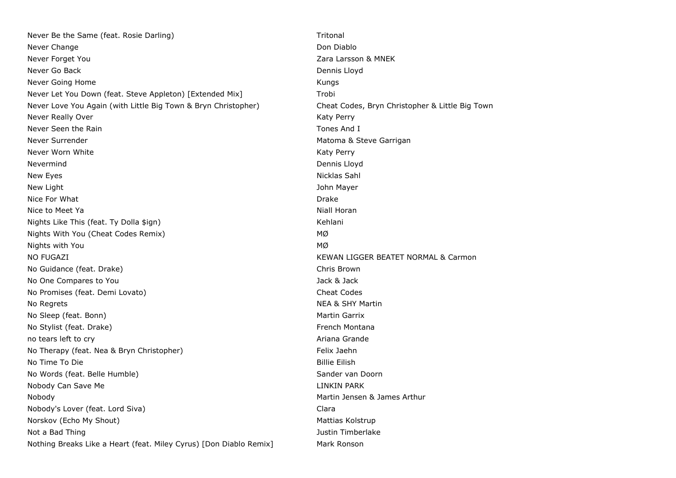Never Be the Same (feat. Rosie Darling) The Same School School and Tritonal Never Change **Don Diablo** Don Diablo **Don Diablo** Don Diablo Never Forget You Zara Larsson & MNEK Never Go Back **Dennis Lloyd** Dennis Lloyd Never Going Home **Kungs** Kungs Kungs Kungs Kungs Kungs Kungs Kungs Kungs Kungs Kungs Kungs Kungs Kungs Kungs Kungs Kungs Kungs Kungs Kungs Kungs Kungs Kungs Kungs Kungs Kungs Kungs Kungs Kungs Kungs Kungs Kungs Kungs Kungs Never Let You Down (feat. Steve Appleton) [Extended Mix] Trobi Never Love You Again (with Little Big Town & Bryn Christopher) Cheat Codes, Bryn Christopher & Little Big Town Never Really Over **Katy Perry** According to the Matter of the Matter of the Matter of the Matter of the Matter of the Matter of the Matter of the Matter of the Matter of the Matter of the Matter of the Matter of the Matter Never Seen the Rain Tones And I Never Surrender Matoma & Steve Garrigan Never Worn White Katy Perry Superintendent Control of the Katy Perry Superintendent Control of the Katy Perry Nevermind Dennis Lloyd New Eyes Nicklas Sahl and the United States of the United States of the Nicklas Sahl and the Nicklas Sahl and the Nicklas Sahl and the Nicklas Sahl and the Nicklas Sahl and the Nicklas Sahl and the Nicklas Sahl and the Nic New Light **New Light** John Mayer Nice For What **Drake** Drake **Drake** Drake **Drake** Drake **Drake** Drake **Drake** Drake **Drake** Nice to Meet Ya Niall Horan Niall Horan Niall Horan Niall Horan Niall Horan Niall Horan Nights Like This (feat. Ty Dolla \$ign) Nights All the Kehlani Nights With You (Cheat Codes Remix) MØ Nights with You MØ NO FUGAZI KEWAN LIGGER BEATET NORMAL & Carmon No Guidance (feat. Drake) Chris Brown No One Compares to You Jack & Jack & Jack & Jack & Jack & Jack & Jack & Jack & Jack & Jack & Jack & Jack & Jack & Jack & Jack & Jack & Jack & Jack & Jack & Jack & Jack & Jack & Jack & Jack & Jack & Jack & Jack & Jack & Jac No Promises (feat. Demi Lovato) Cheat Codes No Regrets **NEA & SHY Martin** No Sleep (feat. Bonn) Martin Garrix No Stylist (feat. Drake) French Montana **French Montana** no tears left to cry and the control of the control of the control of the control of the control of the control of the control of the control of the control of the control of the control of the control of the control of th No Therapy (feat. Nea & Bryn Christopher) Felix Jaehn No Time To Die Billie Eilish in der Schwarze aus der Billie Eilish in der Billie Eilish in der Billie Eilish i No Words (feat. Belle Humble) Sander van Doorn Nobody Can Save Me **LINKIN PARK CONSUMING THE LINK OF A LINKIN PARK** Nobody Martin Jensen & James Arthur Nobody's Lover (feat. Lord Siva) Clara Norskov (Echo My Shout) Mattias Kolstrup Mattias Kolstrup Mattias Kolstrup Mattias Kolstrup Not a Bad Thing Justin Timberlake and Thing Justin Timberlake and Thing Justin Timberlake and Thing Justin Timberlake Nothing Breaks Like a Heart (feat. Miley Cyrus) [Don Diablo Remix] Mark Ronson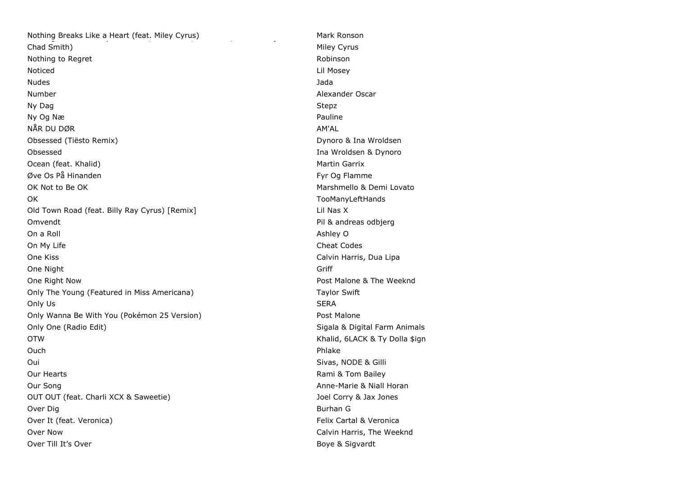| Nothing Breaks Like a Heart (feat. Miley Cyrus) | Mark Ron          |
|-------------------------------------------------|-------------------|
| Chad Smith)                                     | Miley Cyr         |
| Nothing to Regret                               | Robinson          |
| Noticed                                         | Lil Mosey         |
| <b>Nudes</b>                                    | Jada              |
| Number                                          | Alexande          |
| Ny Dag                                          | Stepz             |
| Ny Og Næ                                        | Pauline           |
| NÅR DU DØR                                      | AM'AL             |
| Obsessed (Tiësto Remix)                         | Dynoro &          |
| Obsessed                                        | Ina Wrold         |
| Ocean (feat. Khalid)                            | Martin Ga         |
| Øve Os På Hinanden                              | Fyr Og Fl         |
| OK Not to Be OK                                 | Marshme           |
| OK                                              | TooMany           |
| Old Town Road (feat. Billy Ray Cyrus) [Remix]   | Lil Nas X         |
| Omvendt                                         | Pil & andı        |
| On a Roll                                       | Ashley O          |
| On My Life                                      | Cheat Co          |
| One Kiss                                        | Calvin Ha         |
| One Night                                       | Griff             |
| One Right Now                                   | Post Malc         |
| Only The Young (Featured in Miss Americana)     | Taylor Sv         |
| Only Us                                         | <b>SERA</b>       |
| Only Wanna Be With You (Pokémon 25 Version)     | Post Malc         |
| Only One (Radio Edit)                           | Sigala &          |
| <b>OTW</b>                                      | Khalid, 6         |
| Ouch                                            | Phlake            |
| Oui                                             | Sivas, NC         |
| Our Hearts                                      | Rami & T          |
| Our Song                                        | Anne-Mar          |
| OUT OUT (feat. Charli XCX & Saweetie)           | Joel Corry        |
| Over Dig                                        | Burhan G          |
| Over It (feat. Veronica)                        | <b>Felix Cart</b> |
| Over Now                                        | Calvin Ha         |
| Over Till It's Over                             | Bove & S          |

Mark Ronson Miley Cyrus Lil Mosey Alexander Oscar Dynoro & Ina Wroldsen Ina Wroldsen & Dynoro Martin Garrix Fyr Og Flamme Marshmello & Demi Lovato TooManyLeftHands Pil & andreas odbjerg Ashley O Cheat Codes Calvin Harris, Dua Lipa Post Malone & The Weeknd Taylor Swift Post Malone Sigala & Digital Farm Animals Khalid, 6LACK & Ty Dolla \$ign Sivas, NODE & Gilli Rami & Tom Bailey Anne-Marie & Niall Horan Joel Corry & Jax Jones Felix Cartal & Veronica Calvin Harris, The Weeknd Boye & Sigvardt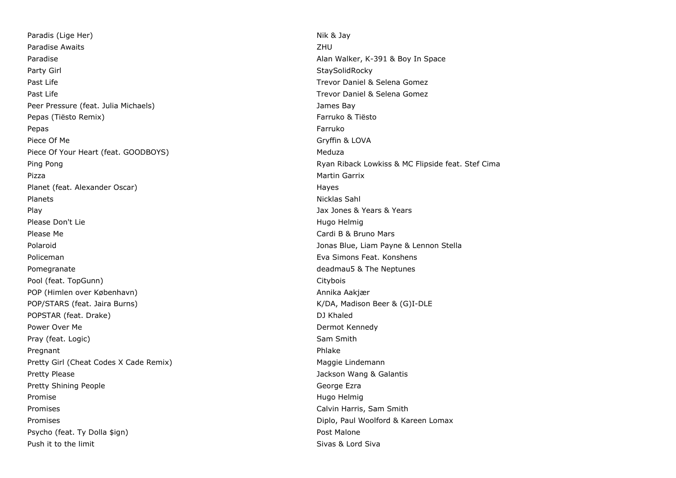Paradis (Lige Her) Nik & Jay Paradise Awaits **ZHU** Paradise **Alan Walker, K-391 & Boy In Space** Party Girl StaySolidRocky and StaySolidRocky and StaySolidRocky and StaySolidRocky Past Life Trevor Daniel & Selena Gomez Past Life Trevor Daniel & Selena Gomez Peer Pressure (feat. Julia Michaels) James Bay Pepas (Tiësto Remix) Farruko & Tiësto Remix) Pepas Farruko Piece Of Me Gryffin & LOVA Piece Of Your Heart (feat. GOODBOYS) Meduza Pizza Martin Garrix Planet (feat. Alexander Oscar) Hayes (Feat. Alexander Oscar) Planets **Nicklas Sahl** Play Jax Jones & Years & Years Please Don't Lie **Hugo Helmig** Hugo Helmig Hease Don't Lie Hugo Helmig Hease Don't Lie Hugo Helmig Helmig Helmig Please Me Cardi B & Bruno Mars Polaroid Jonas Blue, Liam Payne & Lennon Stella Policeman Eva Simons Feat. Konshens Pomegranate **Proposed and Contract and Contract and Contract and Contract and Contract and Contract and Contract and Contract and Contract and Contract and Contract and Contract and Contract and Contract and Contract and C** Pool (feat. TopGunn) Citybois Communication of the Citybois Citybois Citybois Citybois Citybois Citybois Citybois Citybois Citybois Citybois Citybois Citybois Citybois Citybois Citybois Citybois Citybois Citybois Citybois POP (Himlen over København) annotation annotation annotation annotation annotation annotation annotation annot POP/STARS (feat. Jaira Burns) (and the control of the control of the control of the control of the control of the control of the control of the control of the control of the control of the control of the control of the con POPSTAR (feat. Drake) and the control of the control of the control of the control of the control of the control of the control of the control of the control of the control of the control of the control of the control of t Power Over Me **Dermot Kennedy Power Over Me** Dermot Kennedy Pray (feat. Logic) Sam Smith Pregnant Phlake Phase Phase Phase Phase Phase Phase Phase Phase Phase Phase Phase Phase Phase Phase Phase Phase Phase Phase Phase Phase Phase Phase Phase Phase Phase Phase Phase Phase Phase Phase Phase Phase Phase Phase Ph Pretty Girl (Cheat Codes X Cade Remix) Maggie Lindemann Pretty Please **Jackson Wang & Galantis** Pretty Please Pretty Shining People George Ezra Promise **Hugo Helmig Promise** Hugo Helmig **Helmig Hugo Helmig Hugo Helmig Hugo Helmig Hugo Helmig Hugo Helmig Hugo Helmig Hugo Helmig Hugo Helmig Hugo Helmig Hugo Helmig Hugo Helmig Hugo Helmig** Promises Calvin Harris, Sam Smith Promises **Diplo, Paul Woolford & Kareen Lomax** Psycho (feat. Ty Dolla \$ign) Post Malone Post Malone

Ping Pong Ryan Riback Lowkiss & MC Flipside feat. Stef Cima Push it to the limit Sivas & Lord Sivas & Lord Sivas & Lord Sivas & Lord Sivas & Lord Sivas & Lord Siva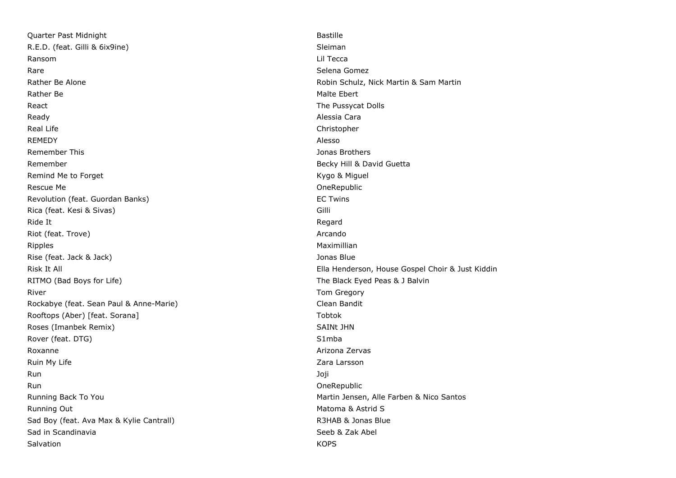Quarter Past Midnight Bastille R.E.D. (feat. Gilli & 6ix9ine) Sleiman Sleiman Ransom Lil Tecca Rare Selena Gomez (Selena Gomez (Selena Gomez (Selena Gomez (Selena Gomez (Selena Gomez (Selena Gomez (Selena Gomez (Selena Gomez (Selena Gomez (Selena Gomez (Selena Gomez (Selena Gomez (Selena Gomez (Selena Gomez (Selena Rather Be Alone **Robin Schulz, Nick Martin & Sam Martin** Robin Schulz, Nick Martin & Sam Martin Rather Be **Malte Ebert Rather Be** Malte Ebert **Malte Ebert** React **The Pussycat Dolls** Ready **Alessia Cara** Real Life **Christopher** Christopher Christopher Christopher Christopher Christopher Christopher Christopher Christopher Christopher Christopher Christopher Christopher Christopher Christopher Christopher Christopher Christ REMEDY Alesso Remember This Jonas Brothers Remember **Becky Hill & David Guetta** Becky Hill & David Guetta Remind Me to Forget **Kygo & Miguel** Remind Me to Forget Rescue Me **OneRepublic** Revolution (feat. Guordan Banks) and the state of the state of twins and the EC Twins Rica (feat. Kesi & Sivas) Gilli Ride It Regard Riot (feat. Trove) **Arcando** Arcando Arcando Arcando Arcando Arcando Arcando Arcando Arcando Arcando Arcando Arcando Ripples and the control of the control of the control of the control of the control of the control of the control of the control of the control of the control of the control of the control of the control of the control of Rise (feat. Jack & Jack) Jonas Blue RITMO (Bad Boys for Life) **The Black Eyed Peas & J Balvin** River **Tom Gregory River Tom Gregory Tom Gregory** Rockabye (feat. Sean Paul & Anne-Marie) Clean Bandit Rooftops (Aber) [feat. Sorana] Tobtok Roses (Imanbek Remix) SAINt JHN SAINt JHN Rover (feat. DTG) S1mba 3. The S1 mba 3. The S1 mba 3. S1 mba 3. S1 mba 3. S1 mba 3. S1 mba 3. S1 mba 3. S1 mba Roxanne **Arizona Zervas** Arizona Zervas et al Arizona Zervas et al Arizona Zervas et al Arizona Zervas et al Arizona Zervas et al Arizona Zervas et al Arizona Zervas et al Arizona Zervas et al Arizona Zervas et al Arizona Ruin My Life **Zara Larsson** Run 1999 - Joji Karl Bahan, Kabupatén Ing Kabupatén Jawa Kabupatén Jawa Kabupatén Jawa Ja Run **Communist Communist Communist Communist Communist Communist Communist Communist Communist Communist Communist Communist Communist Communist Communist Communist Communist Communist Communist Communist Communist Communi** Running Back To You Martin Jensen, Alle Farben & Nico Santos Running Out **Matoma & Astrid Structure Community** Control of Matoma & Astrid Structure Matoma & Astrid Structure Sad Boy (feat. Ava Max & Kylie Cantrall) R3HAB & Jonas Blue Sad in Scandinavia Samuel Communication of the Seeb & Zak Abel Salvation KOPS

Risk It All Ella Henderson, House Gospel Choir & Just Kiddin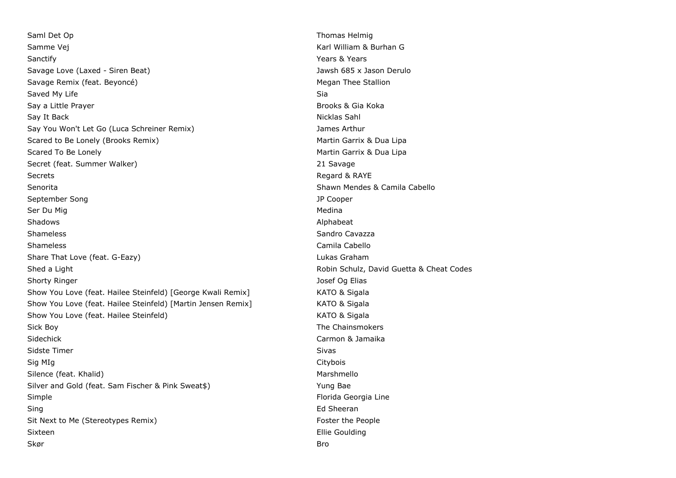Saml Det Op Thomas Helmig Samme Vej Karl William & Burhan G Sanctify **Sanctify** Sanctify **Years & Years & Years & Years & Years** 3. Savage Love (Laxed - Siren Beat) Jawsh 685 x Jason Derulo Savage Remix (feat. Beyoncé) Megan Thee Stallion Saved My Life Sia Say a Little Prayer and the Say a Little Prayer and the Say a Little Prayer and the Say a Little Prayer and the S Say It Back **Nicklas Sahl** Nicklas Sahl Nicklas Sahl Nicklas Sahl Nicklas Sahl Nicklas Sahl Nicklas Sahl Nicklas Sahl Nicklas Sahl Nicklas Sahl Nicklas Sahl Nicklas Sahl Nicklas Sahl Nicklas Sahl Nicklas Sahl Nicklas Sahl Say You Won't Let Go (Luca Schreiner Remix) Say You Won't Let Go (Luca Schreiner Remix) Scared to Be Lonely (Brooks Remix) Martin Garrix & Dua Lipa Scared To Be Lonely **Martin Garrix & Dua Lipa** Martin Garrix & Dua Lipa Secret (feat. Summer Walker) 21 Savage Secrets **Regard & RAYE** Senorita Shawn Mendes & Camila Cabello September Song JP Cooper Ser Du Mig Medina and Ser Du Medina and Ser Du Medina and Ser Du Medina and Ser Du Medina and Ser Du Medina and Ser Du Medina and Ser Du Medina and Ser Du Medina and Ser Du Medina and Ser Du Medina and Ser Du Medina and Se Shadows Alphabeat Shameless Shameless Sandro Cavazza Shameless Camila Cabello Camila Cabello Camila Cabello Camila Cabello Camila Cabello Camila Cabello Share That Love (feat. G-Eazy) Lukas Graham Shed a Light **Robin Schulz, David Guetta & Cheat Codes Shed a Light** Robin Schulz, David Guetta & Cheat Codes Shorty Ringer Josef Og Elias Show You Love (feat. Hailee Steinfeld) [George Kwali Remix] KATO & Sigala Show You Love (feat. Hailee Steinfeld) [Martin Jensen Remix] KATO & Sigala Show You Love (feat. Hailee Steinfeld) Manual Manual Manual Manual KATO & Sigala Sick Boy **The Chainsmokers** Sick Boy Sidechick Carmon & Jamaika Sidste Timer Sivas and Sivas and Sivas and Sivas and Sivas and Sivas and Sivas and Sivas and Sivas and Sivas and Sivas and Sivas and Sivas and Sivas and Sivas and Sivas and Sivas and Sivas and Sivas and Sivas and Sivas and Sig MIg Citybois Silence (feat. Khalid) Marshmello Marshmello Silver and Gold (feat. Sam Fischer & Pink Sweat\$) Yung Bae Simple **Simple Florida Georgia** Line Sing **Ed Sheeran** Sit Next to Me (Stereotypes Remix) Sit Next to Me People Sixteen **Ellie Goulding** skør ble stoffen i den stoffen i den stoffen i den stoffen i den stoffen i den stoffen i den stoffen i den sto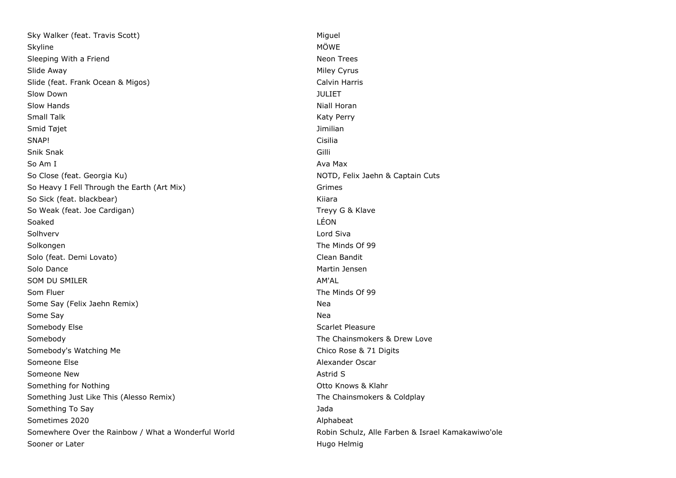Sky Walker (feat. Travis Scott) Miguel Miguel Miguel Miguel Miguel Miguel Miguel Miguel Miguel Miguel Miguel Miguel Skyline MÖWE (1999) - Skyline MÖWE (1999) - Skyline MÖWE (1999) - Skyline MÖWE Sleeping With a Friend Neon Trees Slide Away **Miley Cyrus** Slide Away **Miley Cyrus** Slide Away Slide (feat. Frank Ocean & Migos) Calvin Harris Calvin Harris Slow Down JULIET Slow Hands **Niall Horan Animation** (Niall Horan Animation of Niall Horan Animation of Niall Horan Animation of Ni Small Talk **Katy Perry** Small Talk **Katy Perry** Small Talk **Katy Perry** Smid Tøjet **Jimilian** SNAP! Cisilia Snik Snak Gilli So Am I Ava Max and the South Ava Max and the South Ava Max and the South Ava Max and the South Ava So Close (feat. Georgia Ku) NOTD, Felix Jaehn & Captain Cuts So Heavy I Fell Through the Earth (Art Mix) Grimes So Sick (feat. blackbear) Kiiara Kiiara Kiiara Kiiara Kiiara Kiiara Kiiara Kiiara Kiiara Kiiara Kiiara Kiiara So Weak (feat. Joe Cardigan) Treyy G & Klave Soaked LÉON Solhverv Lord Siva Solkongen The Minds Of 99 Solo (feat. Demi Lovato) Clean Bandit Solo Dance **Martin Jensen** Martin Jensen Martin Jensen Martin Jensen Martin Jensen Martin Jensen Martin Jensen Ma SOM DU SMILER AM'AL AM'AL AM'AL AM'AL AM'AL AM'AL AM'AL AM'AL AM'AL AM'AL AM'AL AM'AL AMERICAN AMERICAN AMERICAN AMERICAN AMERICAN AMERICAN AMERICAN AMERICAN AMERICAN AMERICAN AMERICAN AMERICAN AMERICAN AMERICAN AMERICAN A Som Fluer The Minds Of 99 Some Say (Felix Jaehn Remix) Nearly Nearly Nearly Nearly Nearly Nearly Nearly Nearly Nearly Nearly Nearly Nearly Nearly Nearly Nearly Nearly Nearly Nearly Nearly Nearly Nearly Nearly Nearly Nearly Nearly Nearly Nearly Near Some Say Nearly 1980 and 2008 and 2008 and 2008 and 2008 and 2008 and 2008 and 2008 and 2008 and 2008 and 2008 and 2008 and 2008 and 2008 and 2008 and 2008 and 2008 and 2008 and 2008 and 2008 and 2008 and 2008 and 2008 and Somebody Else Somebody Else Scarlet Pleasure Scarlet Pleasure Scarlet Pleasure Somebody **The Chainsmokers & Drew Love** Companion Companion Companion Companion Companion Companion Companion Comp Somebody's Watching Me Chico Rose & 71 Digits Someone Else Alexander Oscar Alexander Oscar Alexander Oscar Alexander Oscar Someone New Astrid S Something for Nothing **Something Community** Community Community Community Community Community Community Community Community Community Community Community Community Community Community Community Community Community Communit Something Just Like This (Alesso Remix) Something Just Like This (Alesso Remix) The Chainsmokers & Coldplay Something To Say **James** Something To Say Sometimes 2020 **Alphabeat** Somewhere Over the Rainbow / What a Wonderful World Robin Schulz, Alle Farben & Israel Kamakawiwo'ole Sooner or Later **Hugo Helmig** Sooner or Later **Hugo Helmig**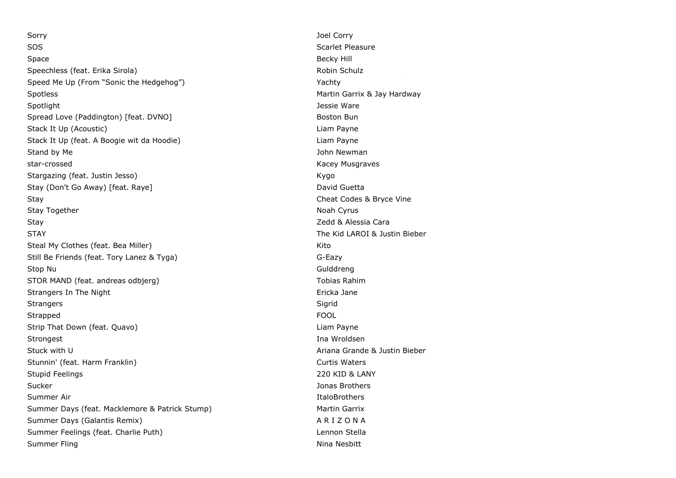Sorry **Solution Community** Sorry **Joel Corry Joel Corry** SOS Scarlet Pleasure Space **Becky Hill** Section 2014 **Space** Becky Hill Becky Hill Becky Hill Becky Hill Becky Hill Becky Hill Becky Hill Becky Hill Becky Hill Becky Hill Becky Hill Becky Hill Becky Hill Becky Hill Becky Hill Becky Hill Becky Speechless (feat. Erika Sirola) Speed Me Up (From "Sonic the Hedgehog") Spotless **Martin Garrix & Jay Hardway** Spotlight **Spotlight** Jessie Ware Spread Love (Paddington) [feat. DVNO] Boston Bun Boston Bun Boston Bun Stack It Up (Acoustic) **Liam Payne** Stack It Up (feat. A Boogie wit da Hoodie) example a state of the Liam Payne Stand by Me **Stand by Me** John Newman star-crossed Kacey Musqraves **Kacey Musqraves** Stargazing (feat. Justin Jesso) Kygo (Feat. 1999) Stay (Don't Go Away) [feat. Raye] David Guetta David Guetta Stay Cheat Codes & Bryce Vine Stay Together Noah Cyrus and the University of the University of the Noah Cyrus and Noah Cyrus and Noah Cyrus Stay **State Caracter Caracter Caracter Caracter Caracter Caracter Caracter Caracter Caracter Caracter Caracter Caracter Caracter Caracter Caracter Caracter Caracter Caracter Caracter Caracter Caracter Caracter Caracter Car** STAY The Kid LAROI & Justin Bieber Steal My Clothes (feat. Bea Miller) Manual Assembly Clothes (feat. Bea Miller) Kito Still Be Friends (feat. Tory Lanez & Tyga) G-Eazy Stop Nu Gulddreng and Stop Nu Gulddreng and Stop Nu Gulddreng and Stop Nu Gulddreng and Stop Nu Gulddreng and Stop Nu Gulddreng and Stop Nu Gulddreng and Stop Nu Gulddreng and Stop Nu Gulddreng and Stop Nu Gulddreng and St STOR MAND (feat. andreas odbjerg) STOR MAND (feat. andreas odbjerg) Strangers In The Night **Example 2018** Strangers In The Night Strangers Sigrid Communication and the Sigrid Communication and the Sigrid Communication and Sigrid Strapped FOOL **FOOL** Strip That Down (feat. Quavo) Liam Payne Strongest and the strongest in the strongest of the strongest and the strongest of the strongest and the strongest and the strongest and the strongest and the strongest and the strongest and the strongest and the strongest Stuck with U Ariana Grande & Justin Bieber Stunnin' (feat. Harm Franklin) Curtis Waters Curtis Waters Stupid Feelings 220 KID & LANY Sucker Jonas Brothers Summer Air **ItaloBrothers** Summer Air **Italog** Summer Days (feat. Macklemore & Patrick Stump) Martin Garrix Summer Days (Galantis Remix) A R I Z O N A Summer Feelings (feat. Charlie Puth) Lennon Stella Summer Fling Nina Nesbitt Nina Nesbitt Nina Nesbitt Nina Nesbitt Nina Nesbitt Nina Nesbitt Nina Nesbitt Nina Nesbitt Nina Nesbitt Nina Nesbitt Nina Nesbitt Nina Nesbitt Nina Nesbitt Nina Nesbitt Nina Nesbitt Nina Nesbitt N

Robin Schulz Yachty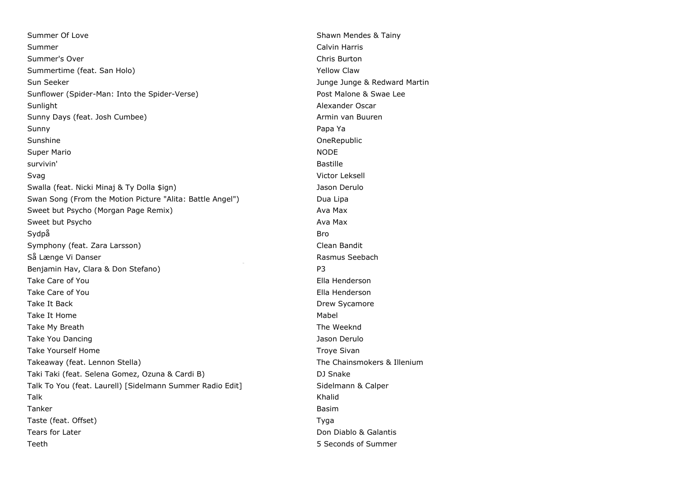Summer Of Love Shawn Mendes & Tainy Summer Calvin Harris Communication and Calvin Harris Calvin Harris Calvin Harris Calvin Harris Calvin Harris C Summer's Over Chris Burton Summertime (feat. San Holo) **Yellow Claw** Yellow Claw Sun Seeker Junge 3 and Seeker Junge Junge 3 and Seeker Junge 3 and Seeker Junge 3 and Seeker Junge 3 and Martin Sunflower (Spider-Man: Into the Spider-Verse) entitled a set of the Malone & Swae Lee Sunlight **Alexander Oscar** Alexander Oscar Alexander Oscar Alexander Oscar Sunny Days (feat. Josh Cumbee) Armin van Buuren Armin van Buuren Sunny Papa Ya Sunshine **OneRepublic** Super Mario Noble 1999, and the state of the state of the state of the state of the NODE survivin' Bastille Svag Victor Leksell and the Svag Victor Leksell and the Victor Leksell and the Victor Leksell and the Victor Leksell Swalla (feat. Nicki Minaj & Ty Dolla \$ign) Jason Derulo Swan Song (From the Motion Picture "Alita: Battle Angel") Dua Lipa Sweet but Psycho (Morgan Page Remix) Ava Max Sweet but Psycho Ava Max Sydpå Brognes i Sydpå Brognes i Sydpå Brognes i Sydpå Brognes i Sydpå Brognes i Sydpå Brognes i Sydpå Brognes Symphony (feat. Zara Larsson) Clean Bandit Så Længe Vi Danser Tættere End Vi Tror (feat. Tessa, Leonard Vi Tror (feat. Tessa, Rasmus Seebach, Jada, Rasmus Seebach, Jada, Rasmus Seebach, Jada, Rasmus Seebach, Jada, Rasmus Seebach, Jada, Rasmus Seebach, Jada, Rasmus Benjamin Hav, Clara & Don Stefano) example a part of the P3 Take Care of You Ella Henderson and Take Care of You Take Care of You **Ella Henderson** Take It Back **Drew Sycamore Take It Back** Drew Sycamore **Drew Sycamore** Take It Home **Mabel Take It Home** Mabel **Mabel Mabel Mabel Mabel Mabel** Take My Breath The Weeknd Take You Dancing Jason Derulo Jason Derulo Jason Derulo Take Yourself Home Troye Sivan Troye Sivan Takeaway (feat. Lennon Stella) The Chainsmokers & Illenium Taki Taki (feat. Selena Gomez, Ozuna & Cardi B) DJ Snake Talk To You (feat. Laurell) [Sidelmann Summer Radio Edit] Sidelmann & Calper Talk Khalid Tanker Basim Taste (feat. Offset) The Contract of the Contract of the Contract of Tyga Tears for Later **Teams** for Later All the Don Diablo & Galantis Teeth **5** Seconds of Summer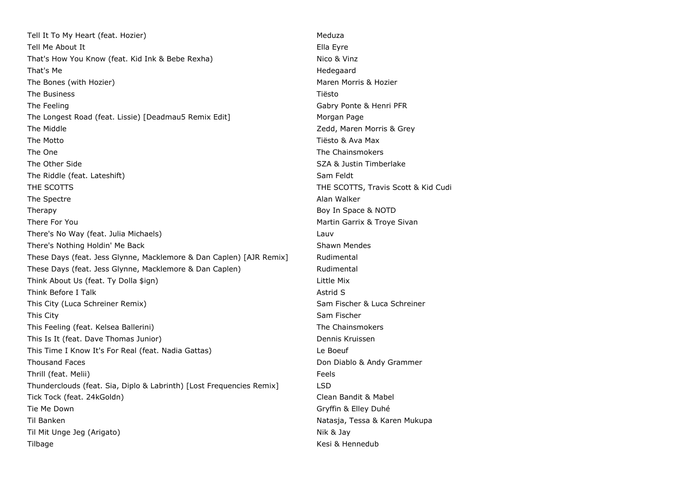Tell It To My Heart (feat. Hozier) Meduza and the Meduza and Meduza and Meduza and Meduza Tell Me About It **Ella Eyre** That's How You Know (feat. Kid Ink & Bebe Rexha) Nico & Vinz That's Me **Hedegaard** The Bones (with Hozier) Maren Morris & Hozier Morris & Hozier The Business Tiësto The Feeling Gabry Ponte & Henri PFR The Longest Road (feat. Lissie) [Deadmau5 Remix Edit] Morgan Page The Middle **The Middle 2008** 2008 2012 2014 2014 2016 2017 2018 2019 2014 2017 2018 2019 2018 2019 2018 2019 201 The Motto Tiësto & Ava Max The One The One The Chainsmokers and the Chainsmokers and the Chainsmokers and the Chainsmokers and the Chainsmokers The Other Side Same School School School School School School School School School School School School School School School School School School School School School School School School School School School School School The Riddle (feat. Lateshift) Sam Feldt Sam Feldt THE SCOTTS TRAVIS CONTEXT THE SCOTTS, Travis Scott & Kid Cudi The Spectre **Alan Walker** Controller Alan Walker Alan Walker Therapy **Boy In Space & NOTD** There For You **Martin Garrix & Troye Sivan** There's No Way (feat. Julia Michaels) Lauv There's Nothing Holdin' Me Back Shawn Mendes These Days (feat. Jess Glynne, Macklemore & Dan Caplen) [AJR Remix] Rudimental These Days (feat. Jess Glynne, Macklemore & Dan Caplen) Rudimental Think About Us (feat. Ty Dolla \$ign) Think About Us (feat. Ty Dolla \$ign) Think Before I Talk Astronomy and Talk Astronomy and Talk Astronomy and Talk Astronomy and Talk Astronomy and Talk This City (Luca Schreiner Remix) Sam Fischer & Luca Schreiner This City Sam Fischer Sam Fischer Sam Fischer Sam Fischer Sam Fischer Sam Fischer Sam Fischer Sam Fischer Sam Fischer This Feeling (feat. Kelsea Ballerini) The Chainsmokers This Is It (feat. Dave Thomas Junior) Dennis Kruissen This Time I Know It's For Real (feat. Nadia Gattas) Le Boeuf Thousand Faces **Don Diablo & Andy Grammer** Thrill (feat. Melii) Feels Thunderclouds (feat. Sia, Diplo & Labrinth) [Lost Frequencies Remix] LSD Tick Tock (feat. 24kGoldn) Clean Bandit & Mabel Tie Me Down Gryffin & Elley Duhé Til Banken Natasja, Tessa & Karen Mukupa Til Mit Unge Jeg (Arigato) Nik & Jay Tilbage **Kesi & Hennedub** Kesi & Hennedub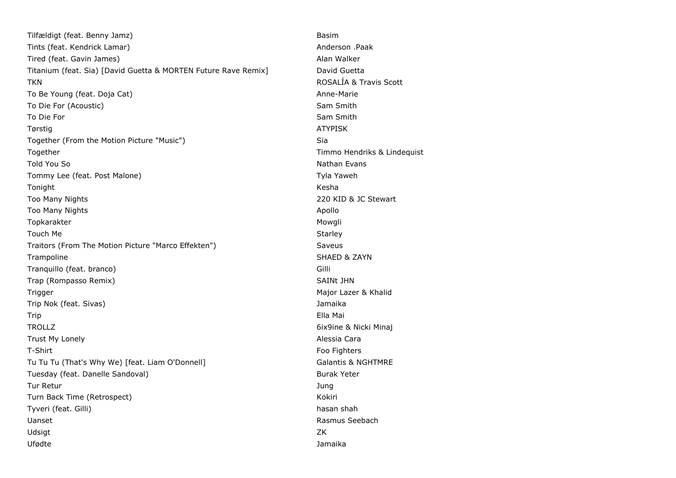| Tilfældigt (feat. Benny Jamz)                                  | Basim                         |
|----------------------------------------------------------------|-------------------------------|
| Tints (feat. Kendrick Lamar)                                   | Anderson .Paak                |
| Tired (feat. Gavin James)                                      | Alan Walker                   |
| Titanium (feat. Sia) [David Guetta & MORTEN Future Rave Remix] | David Guetta                  |
| <b>TKN</b>                                                     | ROSALÍA & Travis Scott        |
| To Be Young (feat. Doja Cat)                                   | Anne-Marie                    |
| To Die For (Acoustic)                                          | Sam Smith                     |
| To Die For                                                     | Sam Smith                     |
| Tørstig                                                        | <b>ATYPISK</b>                |
| Together (From the Motion Picture "Music")                     | Sia                           |
| Together                                                       | Timmo Hendriks & Lindequist   |
| Told You So                                                    | Nathan Evans                  |
| Tommy Lee (feat. Post Malone)                                  | Tyla Yaweh                    |
| Tonight                                                        | Kesha                         |
| Too Many Nights                                                | 220 KID & JC Stewart          |
| Too Many Nights                                                | Apollo                        |
| Topkarakter                                                    | Mowgli                        |
| Touch Me                                                       | Starley                       |
| Traitors (From The Motion Picture "Marco Effekten")            | Saveus                        |
| Trampoline                                                     | SHAED & ZAYN                  |
| Tranquillo (feat. branco)                                      | Gilli                         |
| Trap (Rompasso Remix)                                          | SAINt JHN                     |
| Trigger                                                        | Major Lazer & Khalid          |
| Trip Nok (feat. Sivas)                                         | Jamaika                       |
| Trip                                                           | Ella Mai                      |
| <b>TROLLZ</b>                                                  | 6ix9ine & Nicki Minaj         |
| Trust My Lonely                                                | Alessia Cara                  |
| T-Shirt                                                        | Foo Fighters                  |
| Tu Tu Tu (That's Why We) [feat. Liam O'Donnell]                | <b>Galantis &amp; NGHTMRE</b> |
| Tuesday (feat. Danelle Sandoval)                               | <b>Burak Yeter</b>            |
| Tur Retur                                                      | Jung                          |
| Turn Back Time (Retrospect)                                    | Kokiri                        |
| Tyveri (feat. Gilli)                                           | hasan shah                    |
| Uanset                                                         | Rasmus Seebach                |
| Udsigt                                                         | ZK                            |
| Ufødte                                                         | Jamaika                       |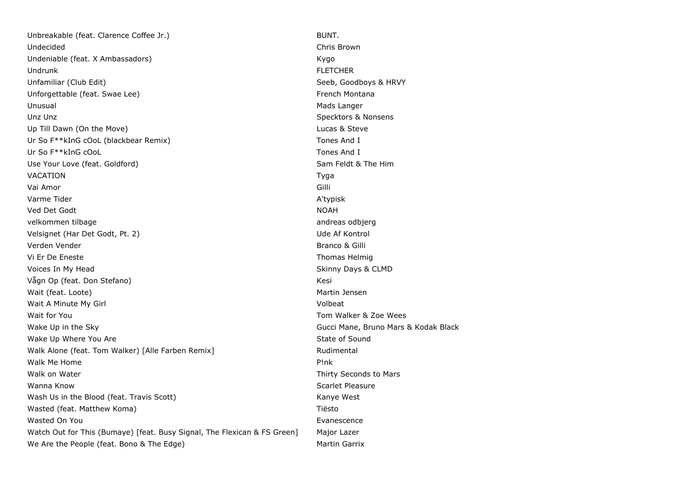Unbreakable (feat. Clarence Coffee Jr.) BUNT. Undecided Chris Brown Undeniable (feat. X Ambassadors) Kygo (Kygo (Kygo (Kygo (Kygo (Kygo (Kygo (Kygo (Kygo (Kygo (Kygo (Kygo (Kygo (Kygo (Kygo (Kygo (Kygo (Kygo (Kygo (Kygo (Kygo (Kygo (Kygo (Kygo (Kygo (Kygo (Kygo (Kygo (Kygo (Kygo (Kygo (Kyg Undrunk FLETCHER Unfamiliar (Club Edit) Seeb, Goodboys & HRVY Unforgettable (feat. Swae Lee) example and the state of the French Montana Unusual Mads Langer Communication of the United States of the Mads Langer Communication of the Mads Langer Unz Unz  $\cup$  Specktors & Nonsens Up Till Dawn (On the Move) **Lucas & Steve Lucas & Steve** Ur So F\*\*kInG cOoL (blackbear Remix) Tones And I Ur So F\*\*kInG cOoL Tones And I Use Your Love (feat. Goldford) Sam Feldt & The Him VACATION Tyga Vai Amor Gilli Varme Tider A'typisk and the A'typisk of the A'typisk and the A'typisk and A'typisk and A'typisk and A'typisk Ved Det Godt NOAH velkommen tilbage andreas odbjerg andreas odbjerg andreas odbjerg Velsignet (Har Det Godt, Pt. 2) Ude Af Kontrol verden Vender Branco & Gilli Vi Er De Eneste Thomas Helmig Voices In My Head Skinny Days & CLMD Vågn Op (feat. Don Stefano) Kesi Wait (feat. Loote) and the state of the state of the state of the Martin Jensen Martin Jensen Wait A Minute My Girl **Volbeat** Wait for You November 2012 19:00 19:00 19:00 19:00 19:00 19:00 19:00 19:00 19:00 19:00 19:00 19:00 19:00 19:00 19:00 19:00 19:00 19:00 19:00 19:00 19:00 19:00 19:00 19:00 19:00 19:00 19:00 19:00 19:00 19:00 19:00 19:00 19: Wake Up in the Sky Gucci Mane, Bruno Mars & Kodak Black Wake Up Where You Are State of Sound Number of Sound State of Sound Walk Alone (feat. Tom Walker) [Alle Farben Remix] The Muslim Rudimental Walk Me Home **P!nk** Walk on Water National Accords to Mars and Walk on Water Thirty Seconds to Mars Wanna Know Scarlet Pleasure Number of the Scarlet Pleasure Scarlet Pleasure Wash Us in the Blood (feat. Travis Scott) Mash Us in the Blood (feat. Travis Scott) Wasted (feat. Matthew Koma) National American Communication of Tiesto Wasted On You Evanescence **Evanescence** Watch Out for This (Bumaye) [feat. Busy Signal, The Flexican & FS Green] Major Lazer We Are the People (feat. Bono & The Edge) Martin Garrix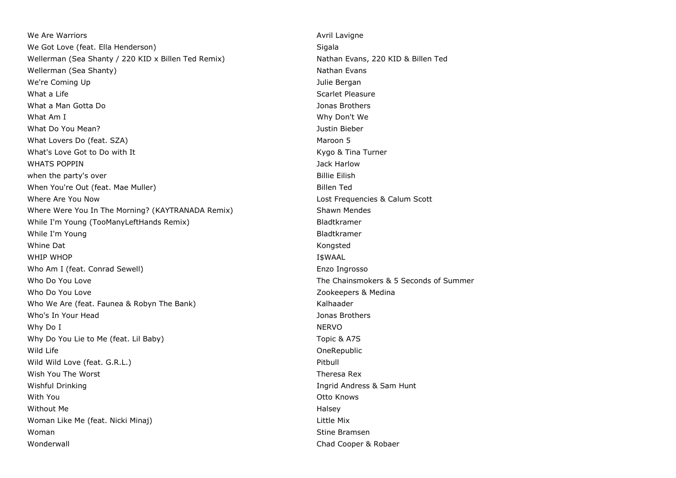We Are Warriors **Avril Lavigne** We Are Warriors Avril Lavigne We Got Love (feat. Ella Henderson) Sigala Wellerman (Sea Shanty / 220 KID x Billen Ted Remix) Nathan Evans, 220 KID & Billen Ted Wellerman (Sea Shanty) Nathan Evans We're Coming Up **Vertex** Commission Commission Commission Commission Commission Commission Commission Commission What a Life Scarlet Pleasure Scarlet Pleasure What a Man Gotta Do Jonas Brothers What Am I What Am I What Am I What Am I Why Don't We What Do You Mean? Justin Bieber What Lovers Do (feat. SZA) Maroon 5 What's Love Got to Do with It All the Muslim Controller Controller Muslim Controller Kygo & Tina Turner WHATS POPPIN **WHATS** POPPIN when the party's over **Billie Eilish** when the party's over When You're Out (feat. Mae Muller) and the state of the Billen Ted Where Are You Now **Matter and Scott Frequencies & Calum Scott** Controller Are Now Lost Frequencies & Calum Scott Where Were You In The Morning? (KAYTRANADA Remix) Shawn Mendes While I'm Young (TooManyLeftHands Remix) and the state of the Bladtkramer While I'm Young and the Community of the Community of the Bladtkramer and Bladtkramer Whine Dat **Kongsted Communist Communist Communist Communist Communist Communist Communist Communist Communist Communist Communist Communist Communist Communist Communist Communist Communist Communist Communist Communist Co** WHIP WHOP IS A REPORT OF THE USE OF THE USE OF THE USE OF THE USE OF THE USE OF THE USE OF THE USE OF THE USE O Who Am I (feat. Conrad Sewell) Enzo Ingrosso Who Do You Love The Chainsmokers & 5 Seconds of Summer Who Do You Love **Zookeepers & Medina** Who We Are (feat. Faunea & Robyn The Bank) Kalhaader Who's In Your Head **Jonas Brothers** and Jonas Brothers and Jonas Brothers and Jonas Brothers and Jonas Brothers and Jonas Brothers and Jonas Brothers and Jonas Brothers and Jonas Brothers and Jonas Brothers and Jonas Broth Why Do I NERVO Why Do You Lie to Me (feat. Lil Baby) Topic & A7S Wild Life **OneRepublic** Wild Wild Love (feat. G.R.L.) **Pitchers** 2014 12:00 12:00 12:00 12:00 12:00 12:00 12:00 12:00 12:00 12:00 12:00 12:00 12:00 12:00 12:00 12:00 12:00 12:00 12:00 12:00 12:00 12:00 12:00 12:00 12:00 12:00 12:00 12:00 12:00 12 Wish You The Worst **Theresa Rex** and the Worst Theresa Rex Wishful Drinking **Ingrid Andress & Sam Hunt** With You Otto Knows Without Me **Halsey** Woman Like Me (feat. Nicki Minaj) Little Mix Woman Stine Bramsen Number of the State Bramsen Stine Bramsen Stine Bramsen Wonderwall **Chad Cooper & Robaer** Chad Cooper & Robaer Chad Cooper & Robaer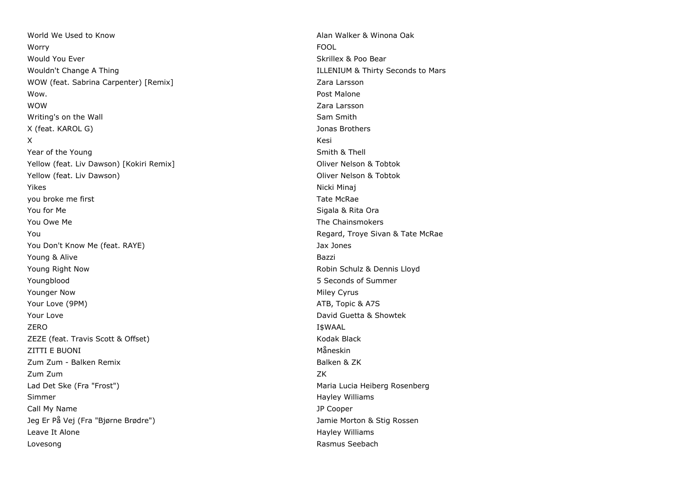World We Used to Know **Alan Walker & Winona Oak** worry **Fool** is a set of the contract of the contract of the contract of the contract of the contract of the contract of the contract of the contract of the contract of the contract of the contract of the contract of the c Would You Ever Skrillex & Poo Bear Skrillex & Poo Bear Skrillex & Poo Bear Wouldn't Change A Thing ILLENIUM & Thirty Seconds to Mars WOW (feat. Sabrina Carpenter) [Remix] The Content of the Cara Larsson Carpenter) and Muslim Carpenter and Muslim Carpenter and Muslim Carpenter and Muslim Carpenter and Muslim Carpenter and Muslim Carpenter and Muslim Carp Wow. Post Malone WOW Zara Larsson Writing's on the Wall Sam Smith Sam Smith X (feat. KAROL G) Jonas Brothers **X** Kesi Year of the Young Smith & Thell Smith & Thell Smith & Thell Yellow (feat. Liv Dawson) [Kokiri Remix] The Controller of the Coliver Nelson & Tobtok Yellow (feat. Liv Dawson) The Contract of the Contract of Contract of Contract of Contract of Contract of Contract of Contract of Contract of Contract of Contract of Contract of Contract of Contract of Contract of Contract Yikes Nicki Minaj you broke me first Tate McRae Communication of the McRae Tate McRae Tate McRae Tate McRae Tate McRae You for Me Sigala & Rita Ora You Owe Me The Chainsmokers and the Chainsmokers and the Chainsmokers and the Chainsmokers and the Chainsmokers You Regard, Troye Sivan & Tate McRae You Don't Know Me (feat. RAYE) Jax Jones Young & Alive Bazzi Young Right Now Robin Schulz & Dennis Lloyd Youngblood 5 Seconds of Summer Younger Now Niley Cyrus and the United States of the United States of the Miley Cyrus Niley Cyrus and the United States of the United States of the United States of the United States of the United States of the United Stat Your Love (9PM) ATB, Topic & A7S **Your Love David Guetta & Showtek Proposed All 2009 Contract Contract Contract Contract Contract Contract Contract Contract Contract Contract Contract Contract Contract Contract Contract Contract Contract Contract Co** ZERO I\$WAAL ZEZE (feat. Travis Scott & Offset) Notice and American Control of American Control of American Control of American Control of American Control of American Control of American Control of American Control of American Control ZITTI E BUONI Måneskin zum Zum - Balken Remix Balken & ZK Zum Zum ZK Lad Det Ske (Fra "Frost") Maria Lucia Heiberg Rosenberg (Maria Lucia Heiberg Rosenberg Simmer **Hayley Williams** Simmer **Hayley Williams** Call My Name JP Cooper Jeg Er På Vej (Fra "Bjørne Brødre") Jamie Morton & Stig Rossen Leave It Alone **Hayley Williams Community** Leave It Alone Hayley Williams **Hayley Williams** Lovesong **Rasmus Seebach Rasmus Seebach Rasmus Seebach Rasmus Seebach**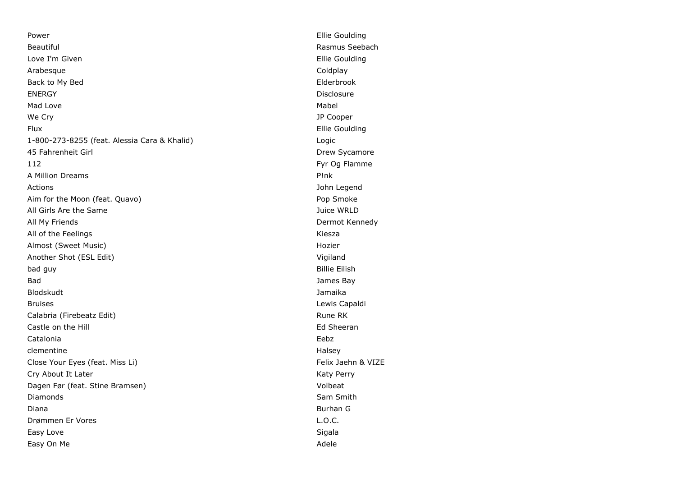Power **Ellie Goulding** Beautiful **Rasmus Seebach** Rasmus Seebach Love I'm Given **Ellie** Goulding and the Love Theory Ellie Goulding and Ellie Goulding Arabesque **Coldplay** Coldplay Back to My Bed **Elderbrook** ENERGY Disclosure Mad Love Mabel We Cry **Solution Contract Contract Contract Contract Contract Contract Contract Contract Contract Contract Contract Contract Contract Contract Contract Contract Contract Contract Contract Contract Contract Contract Contrac** Flux Ellie Goulding 1-800-273-8255 (feat. Alessia Cara & Khalid) Logic 45 Fahrenheit Girl Drew Sycamore 112 Fyr Og Flamme A Million Dreams P!nk Actions John Legend Aim for the Moon (feat. Quavo) example a state of the Moon Smoke Pop Smoke All Girls Are the Same Juice WRLD All My Friends Dermot Kennedy All of the Feelings **Kiesza** Almost (Sweet Music) and the Contract of the Contract of the Hozier Hozier Another Shot (ESL Edit) Vigiland bad guy Billie Eilish Bad James Bay Blodskudt Jamaika Bruises **Lewis Capaldi** Calabria (Firebeatz Edit) **Rune RK** Rune RK Castle on the Hill **Ed Sheeran** Castle on the Hill Ed Sheeran Ed Sheeran Catalonia Eebz clementine Halsey and the Halsey entity of the Halsey Halsey entity of the Halsey Halsey Close Your Eyes (feat. Miss Li) example a set of the Close Your Exercise Section 1.1 Telix Jaehn & VIZE Cry About It Later No. 2008 and the Cry About It Later No. 2014 Dagen Før (feat. Stine Bramsen) volbeat Diamonds Sam Smith Diana Burhan G Drømmen Er Vores L.O.C. Easy Love Sigala Easy On Me Adele Adele Adele Adele Adele Adele Adele Adele Adele Adele Adele Adele Adele Adele Adele Adele Adele Adele Adele Adele Adele Adele Adele Adele Adele Adele Adele Adele Adele Adele Adele Adele Adele Adele Adele A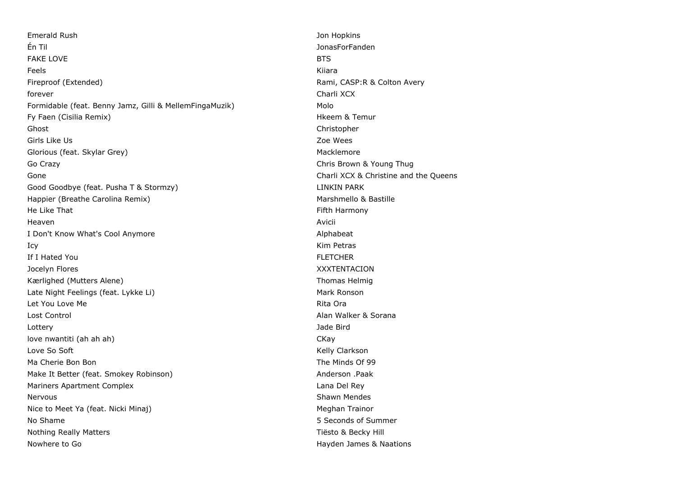Emerald Rush Jon Hopkins Én Til JonasForFanden FAKE LOVE BTS Feels Kiiara Fireproof (Extended) The Colton Avery School (Extended) Rami, CASP:R & Colton Avery forever Charli XCX Formidable (feat. Benny Jamz, Gilli & MellemFingaMuzik) Molo Fy Faen (Cisilia Remix) **Highlands** Extending the Microsoft Cisilia Remur Ghost Christopher Girls Like Us **Zoe Wees** Glorious (feat. Skylar Grey) Macklemore (Skylar Grey) Macklemore Go Crazy **Chris Brown & Young Thug** Gone Charli XCX & Christine and the Queens Good Goodbye (feat. Pusha T & Stormzy) LINKIN PARK Happier (Breathe Carolina Remix) Marshmello & Bastille He Like That Fifth Harmony Heaven Avicii I Don't Know What's Cool Anymore **Alphabeat** Alphabeat Icy Kim Petras If I Hated You FLETCHER Jocelyn Flores XXXTENTACION Kærlighed (Mutters Alene) Thomas Helmig Late Night Feelings (feat. Lykke Li) Mark Ronson Let You Love Me **Rita Ora** Lost Control Alan Walker & Sorana Lottery Jade Bird love nwantiti (ah ah ah) CKay Love So Soft **Kelly Clarkson** Ma Cherie Bon Bon The Minds Of 99 Make It Better (feat. Smokey Robinson) and a settlement of the Make It Better .Paak Mariners Apartment Complex **Lana Del Rey Accord Complex** Lana Del Rey Nervous **Network** Shawn Mendes Nice to Meet Ya (feat. Nicki Minaj) Meghan Trainor No Shame 5 Seconds of Summer  $\sim$  5 Seconds of Summer Nothing Really Matters **The Community Community** Control of Tiesto & Becky Hill Nowhere to Go **National Accord Contract Contract Contract Contract Contract Contract Contract Contract Contract Contract Contract Contract Contract Contract Contract Contract Contract Contract Contract Contract Contract Co**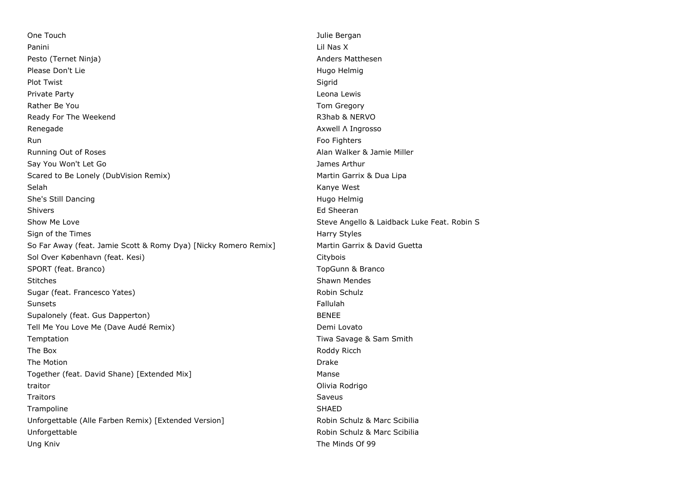One Touch Julie Bergan Panini Lil Nas X Pesto (Ternet Ninja) Anders Matthesen Please Don't Lie **Hugo Helmig** Hugo Helmig Helmig Helmig Helmig Helmig Helmig Helmig Helmig Helmig Helmig Helmig Helmig Helmig Helmig Helmig Helmig Helmig Helmig Helmig Helmig Helmig Helmig Helmig Helmig Helmig Helmig Helm Plot Twist Sigrid (1999) and the state of the state of the Sigrid (1999) and the Sigrid Private Party Leona Lewis Rather Be You National Communication of the Communication of the Communication of the Communication of the Communication of the Communication of the Communication of the Communication of the Communication of the Communicat Ready For The Weekend **R3hab & NERVO** R3hab & NERVO Renegade **Axwell Λ Ingrosso** Renegade **Axwell Λ Ingrosso Axwell Λ Ingrosso** Run Foo Fighters and the contract of the contract of the contract of the contract of the contract of the contract of the contract of the contract of the contract of the contract of the contract of the contract of the contr Running Out of Roses **Alan Walker & Jamie Miller** Alan Walker & Jamie Miller Say You Won't Let Go James Arthur Arthur Arthur Arthur Arthur Arthur Arthur Arthur Arthur Arthur Arthur Arthur Scared to Be Lonely (DubVision Remix) Martin Garrix & Dua Lipa Selah Kanye West She's Still Dancing November 2012 12:00 12:00 12:00 12:00 12:00 12:00 12:00 12:00 12:00 12:00 12:00 12:00 12:00 12:00 12:00 12:00 12:00 12:00 12:00 12:00 12:00 12:00 12:00 12:00 12:00 12:00 12:00 12:00 12:00 12:00 12:00 12 Shivers **Ed Sheeran** Show Me Love Steve Angello & Laidback Luke Feat. Robin Steve Angello & Laidback Luke Feat. Robin S Sign of the Times **Harry Styles** Harry Styles **Harry Styles** So Far Away (feat. Jamie Scott & Romy Dya) [Nicky Romero Remix] Martin Garrix & David Guetta Sol Over København (feat. Kesi) Citybois Citybois Citybois Citybois Citybois Citybois SPORT (feat. Branco) SPORT (feat. Branco) Stitches **Shawn Mendes** Shawn Mendes **Shawn Mendes** Shawn Mendes Sugar (feat. Francesco Yates) Robin Schulz Robin Schulz Robin Schulz Sunsets Fallulah Supalonely (feat. Gus Dapperton) BENEE Tell Me You Love Me (Dave Audé Remix) Demi Lovato Temptation The Time Savage & Sam Smith The Box and the Box and the Box and the Box and the Box and the Box and the Box and the Box and the Box and the Box and the Box and the Box and the Box and the Box and the Box and the Box and the Box and the Box and the Bo The Motion **Drake** Drake **Drake** Drake **Drake** Drake **Drake** Drake **Drake** Drake **Drake** Together (feat. David Shane) [Extended Mix] Manse traitor Olivia Rodrigo Traitors Saveus Trampoline SHAED SHAED SHAED SHAED SHAED SHAED SHAED SHAED SHAED SHAED SHAED SHAED SHAED SHAED SHAED SHAED SHAED SHAED SHAED SHAED SHAED SHAED SHAED SHAED SHAED SHAED SHAED SHAED SHAED SHAED SHAED SHAED SHAED SHAED SHAED S Unforgettable (Alle Farben Remix) [Extended Version] Robin Schulz & Marc Scibilia Unforgettable **Robin Schulz & Marc Scibilia** Robin Schulz & Marc Scibilia Ung Kniv The Minds Of 99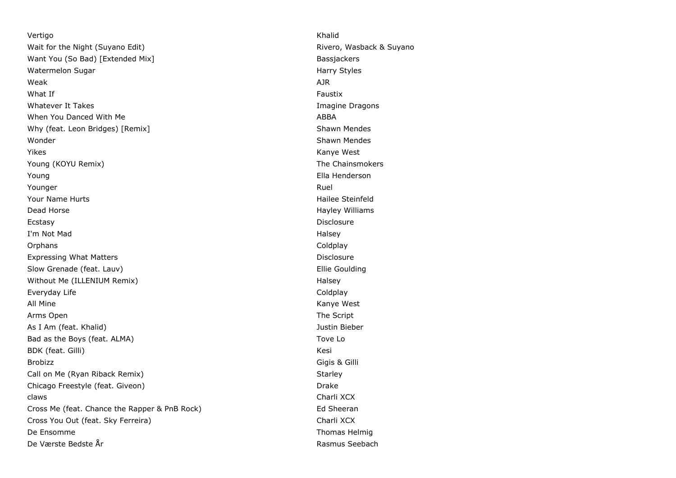Vertigo Khalid Wait for the Night (Suyano Edit) **Rivero, Wasback & Suyano** Rivero, Wasback & Suyano Want You (So Bad) [Extended Mix] Bassiackers and Bassiackers and Bassiackers and Bassiackers Watermelon Sugar **Harry Styles** Number of the Material Styles Harry Styles Weak AJR What If  $\blacksquare$  . The contract of the contract of the contract of the contract of the contract of the contract of the contract of the contract of the contract of the contract of the contract of the contract of the contract Whatever It Takes **Imagine Dragons** Imagine Dragons **Imagine Dragons** When You Danced With Me ABBA Why (feat. Leon Bridges) [Remix] Shawn Mendes Shawn Mendes Wonder **Shawn Mendes** Shawn Mendes Yikes **Kanye West Kanye West** Young (KOYU Remix) The Chainsmokers Young Ella Henderson Younger Ruel Your Name Hurts **Hailee Steinfeld** Dead Horse **Hayley Williams Contract Contract Contract Contract Contract Contract Contract Contract Contract Contract Contract Contract Contract Contract Contract Contract Contract Contract Contract Contract Contract Con** Ecstasy Disclosure I'm Not Mad **Halsey** Orphans Coldplay Expressing What Matters **Disclosure** Disclosure Slow Grenade (feat. Lauv) **Ellie Goulding** Ellie Goulding Without Me (ILLENIUM Remix) **Halsey** Halsey Everyday Life Coldplay Coldplay All Mine Kanye West Arms Open The Script Contract of the Script Contract of the Script Contract of the Script Contract of the Script As I Am (feat. Khalid) Justin Bieber Bad as the Boys (feat. ALMA) Same Section 1 and 20 and 20 and 20 and 20 and 20 and 20 and 20 and 20 and 20 and 20 and 20 and 20 and 20 and 20 and 20 and 20 and 20 and 20 and 20 and 20 and 20 and 20 and 20 and 20 and 20 and BDK (feat. Gilli) Kesi Brobizz Gigis & Gilli Call on Me (Ryan Riback Remix) Starley Starley Chicago Freestyle (feat. Giveon) and the control of the control of the Drake Drake claws Charli XCX Cross Me (feat. Chance the Rapper & PnB Rock) Ed Sheeran Cross You Out (feat. Sky Ferreira) Charli XCX De Ensomme Thomas Helmig De Værste Bedste År Rasmus Seebach (Rasmus Seebach Rasmus Seebach Rasmus Seebach Rasmus Seebach Rasmus Seebach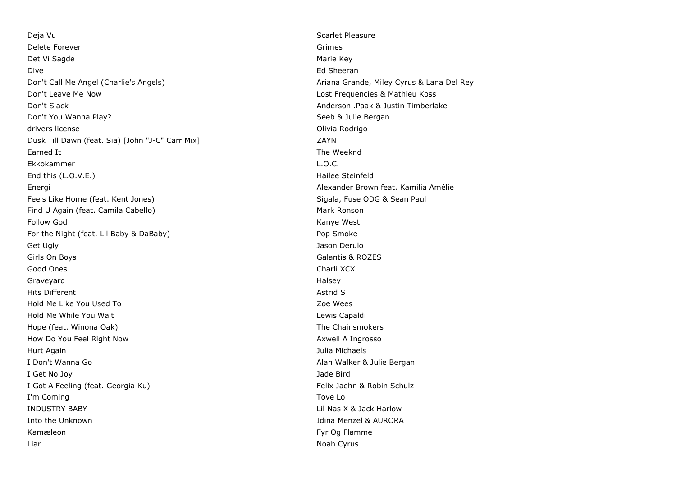Deja Vu Scarlet Pleasure Delete Forever Grimes Det Vi Sagde Marie Key (1999) and the Marie Key (1999) and the Marie Key (1999) and the Marie Key (1999) and the Marie Key (1999) and the Marie Key (1999) and the Marie Key (1999) and the Marie Key (1999) and the Marie Key Dive **Ed Sheeran** Don't Call Me Angel (Charlie's Angels) Ariana Grande, Miley Cyrus & Lana Del Rey Don't Leave Me Now Lost Frequencies & Mathieu Koss Don't Slack Anderson .Paak & Justin Timberlake Don't You Wanna Play? Seeb & Julie Bergan drivers license **Olivia Rodrigo** Christian Christian Christian Christian Christian Christian Christian Christian Christian Christian Christian Christian Christian Christian Christian Christian Christian Christian Christian Dusk Till Dawn (feat. Sia) [John "J-C" Carr Mix] ZAYN Earned It **Earned It** The Weeknd Ekkokammer L.O.C. End this (L.O.V.E.) **End this (L.O.V.E.)** Hailee Steinfeld Energi Alexander Brown feat. Kamilia Amélie Feels Like Home (feat. Kent Jones) Sigala, Fuse ODG & Sean Paul Find U Again (feat. Camila Cabello) Mark Ronson Follow God **Kanye West** For the Night (feat. Lil Baby & DaBaby) Pop Smoke Pop Smoke Get Ugly **Get Ugly Get Ugly Jason Derulo Get Ugly Jason Derulo Jason Derulo Jason Derulo Jason Derulo** Girls On Boys Galantis & ROZES Good Ones Charli XCX Charli XCX Charli XCX Charli XCX Charli XCX Charli XCX Charli XCX Charli XCX Charli XCX Charli XCX Charli XCX Charli XCX Charli XCX Charli XCX Charli XCX Charli XCX Charli XCX Charli XCX Charli XCX Cha Graveyard **Halsey** Hits Different Astrid Structure Astrid Structure Astrid Structure Astrid Structure Astrid Structure Astrid Structure Astrid Structure Astrid Structure Astrid Structure Astrid Structure Astrid Structure Astrid Structure Ast Hold Me Like You Used To Zoe Wees Hold Me While You Wait Lewis Capaldi Hope (feat. Winona Oak) The Chainsmokers and the Chainsmokers and the Chainsmokers How Do You Feel Right Now Axwell Λ Ingrosso Hurt Again Julia Michaels I Don't Wanna Go **Alan Walker & Julie Bergan** I Get No Joy Jade Bird I Got A Feeling (feat. Georgia Ku) Subsett A Felix Jaehn & Robin Schulz I'm Coming Tove Lot 2012 and 2012 and 2012 and 2012 and 2012 and 2012 and 2012 and 2012 and 2012 and 2012 and 2012 and 2012 and 2012 and 2012 and 2012 and 2012 and 2012 and 2012 and 2012 and 2012 and 2012 and 2012 and 2012 INDUSTRY BABY Lil Nas X & Jack Harlow Into the Unknown Idina Menzel & AURORA Kamæleon Fyr Og Flamme Liar Noah Cyrus and the Community of the Community of the Community of the Community of the Community of the Community of the Community of the Community of the Community of the Community of the Community of the Community o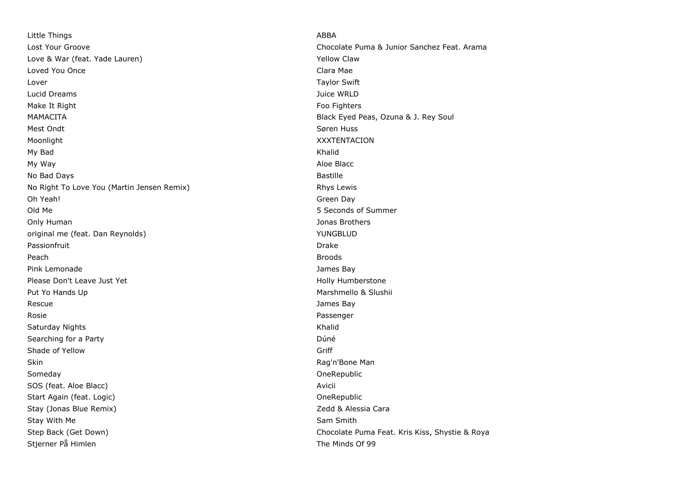Little Things ABBA Love & War (feat. Yade Lauren) New York Claw Claw Loved You Once **Clara Mae** Clara Mae Clara Mae Clara Mae Clara Mae Clara Mae Clara Mae Clara Mae Clara Mae Clara Mae Clara Mae Clara Mae Clara Mae Clara Mae Clara Mae Clara Mae Clara Mae Clara Mae Clara Mae Clara Mae Clara Lover Taylor Swift Lucid Dreams Juice WRLD Make It Right Food Fighters and the Control of the Control of Tennes and Tennes and Tennes and Tennes and Tennes and Tennes and Tennes and Tennes and Tennes and Tennes and Tennes and Tennes and Tennes and Tennes and Tennes MAMACITA Black Eyed Peas, Ozuna & J. Rey Soul Mest Ondt **Søren Huss** Moonlight XXXTENTACION My Bad Khalid My Way and the state of the state of the state of the state of the state of the state of the state of the state of the state of the state of the state of the state of the state of the state of the state of the state of the No Bad Days **Bastille** No Right To Love You (Martin Jensen Remix) Rhys Lewis Rhys Lewis Oh Yeah! Green Day Old Me 5 Seconds of Summer Only Human Jonas Brothers original me (feat. Dan Reynolds) Number of the Second Studies of the VUNGBLUD Passionfruit **Drake** Peach Broods Pink Lemonade **James Bay** Please Don't Leave Just Yet **Holly Humberstone Holly Humberstone** Put Yo Hands Up Marshmello & Slushii Rescue **Contract Contract Contract Contract Contract Contract Contract Contract Contract Contract Contract Contract Contract Contract Contract Contract Contract Contract Contract Contract Contract Contract Contract Contrac** Rosie Passenger Saturday Nights **Khalid** Khalid Khalid Khalid Khalid Khalid Khalid Khalid Khalid Khalid Khalid Khalid Khalid Khalid Khalid Khalid Khalid Khalid Khalid Khalid Khalid Khalid Khalid Khalid Khalid Khalid Khalid Khalid Khalid K Searching for a Party **Duncation Community** Contract a Party Duncation Community Community Community Community Community Community Community Community Community Community Community Community Community Community Community C Shade of Yellow Griff Control of Shade of Yellow Griff Control of Shade of Yellow Griff Control of Shade of Shade Shade Control of Shade Shade Shade Shade Shade Shade Shade Shade Shade Shade Shade Shade Shade Shade Shade S Skin **Skin** Rag'n'Bone Man (1999) and the set of the set of the set of the set of the set of the set of the set of the set of the set of the set of the set of the set of the set of the set of the set of the set of the set Someday **One Republic** SOS (feat. Aloe Blacc) Avicii Start Again (feat. Logic) **Start Again (feat. Logic) One**Republic Stay (Jonas Blue Remix) **Stay (Stay Alessia Cara** Stay With Me Sam Smith Museum of the Sam Smith Stay Mith Me Sam Smith Sam Smith Stjerner På Himlen The Minds Of 99

Lost Your Groove Chocolate Puma & Junior Sanchez Feat. Arama Step Back (Get Down) Step Back (Get Down) Step Back (Get Down)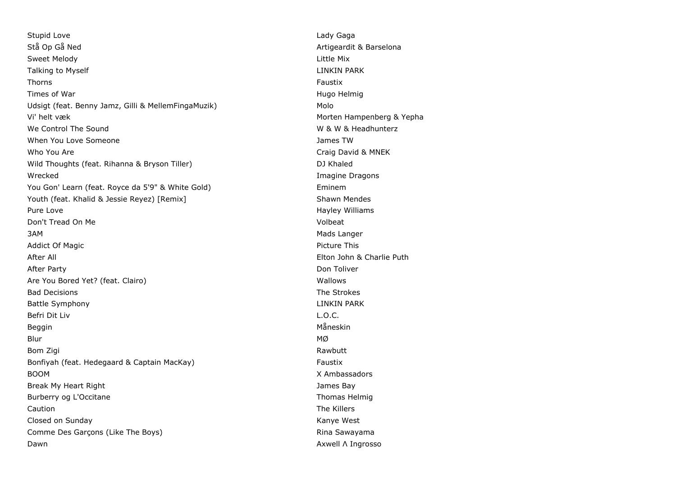Stupid Love **Lady Gaga** Stå Op Gå Ned Artigeardit & Barselona Sweet Melody Little Mix Talking to Myself **LINKIN PARK LINKIN PARK** Thorns Faustix Times of War **Hugo Helmig Times of War** Hugo Helmig **Hugo Helmig Hugo Helmig Hugo Helmig** Udsigt (feat. Benny Jamz, Gilli & MellemFingaMuzik) Molo Vi' helt væk Morten Hampenberg & Yepha We Control The Sound W & W & Headhunterz When You Love Someone **Someone** and the *Someone* of *Lampace Someone* and *James TW* Who You Are Craig David & MNEK Wild Thoughts (feat. Rihanna & Bryson Tiller) and DJ Khaled Wrecked Imagine Dragons You Gon' Learn (feat. Royce da 5'9" & White Gold) entitled the state of the Eminem Youth (feat. Khalid & Jessie Reyez) [Remix] Shawn Mendes Pure Love **Hayley Williams** Pure Love **Hayley Williams** Don't Tread On Me Volbeat 3AM Mads Langer Addict Of Magic **Picture This Addict Of Magic** Picture This After All Elton John & Charlie Puth After Party **Don Toliver Contract Contract Contract Contract Contract Contract Contract Contract Contract Contract Contract Contract Contract Contract Contract Contract Contract Contract Contract Contract Contract Contra** Are You Bored Yet? (feat. Clairo) Nallows New York 1997 (Feat. Clairo) Bad Decisions The Strokes Battle Symphony **LINKIN PARK** Befri Dit Liv L.O.C. Beggin Måneskin i Storbruken i Storbruken i Storbruken i Storbruken i Storbruken i Måneskin Blur MØ Bom Zigi Rawbutt (Research Communication of the Communication of the Communication of the Rawbutt (Research Co Bonfiyah (feat. Hedegaard & Captain MacKay) Faustix BOOM X Ambassadors Break My Heart Right James Bay Burberry og L'Occitane Thomas Helmig Caution The Killers Closed on Sunday Kanye West Comme Des Garçons (Like The Boys) **Rina Sawayama** Rina Sawayama Dawn **Axwell Λ Ingrosso**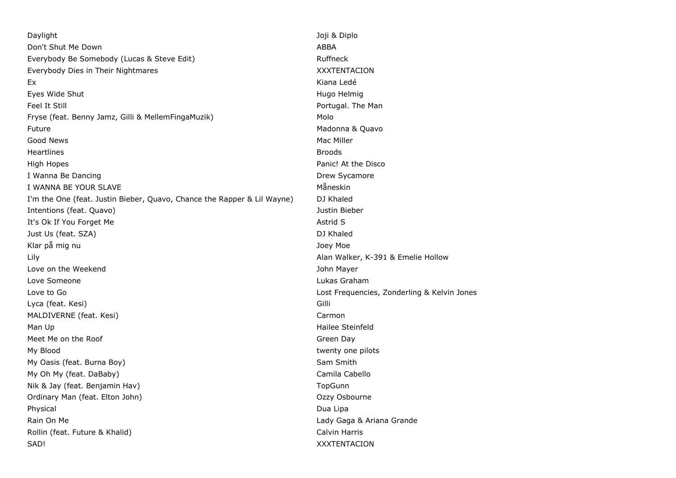Daylight Joji & Diplo Don't Shut Me Down ABBA Everybody Be Somebody (Lucas & Steve Edit) The Controller and Ruffneck Everybody Dies in Their Nightmares XXXTENTACION Ex Kiana Ledé Eyes Wide Shut **Hugo Helmig Exercise Shut Hugo Helmig Hugo Helmig Hugo Helmig Hugo Helmig Hugo Helmig Hugo Helmig** Feel It Still **For the Manual Portugal. The Manual Portugal.** The Manual Portugal. The Manual Portugal. The Manual Portugal. The Manual Portugal. The Manual Portugal. The Manual Portugal. The Manual Portugal. The Manual Po Fryse (feat. Benny Jamz, Gilli & MellemFingaMuzik) Molo Future **Madonna & Quavo Madonna & Quavo Madonna & Quavo Madonna & Quavo** Good News **Mac Miller Mac Miller Contract Contract Contract Contract Contract Contract Contract Contract Contract Contract Contract Contract Contract Contract Contract Contract Contract Contract Contract Contract Contr** Heartlines Broods High Hopes Panic! At the Disco I Wanna Be Dancing Drew Sycamore I WANNA BE YOUR SLAVE MÅNGER VAN DIE STAATSTELLING OM DIE STAATSTELLING OM DIE STAATSTELLING OM DIE STAATSTELL I'm the One (feat. Justin Bieber, Quavo, Chance the Rapper & Lil Wayne) DJ Khaled Intentions (feat. Quavo) Justin Bieber It's Ok If You Forget Me Astrid S Just Us (feat. SZA) DJ Khaled Klar på mig nu var att stort att stort att andet a stort at the stort of the Joey Moe Lily Alan Walker, K-391 & Emelie Hollow Love on the Weekend **Value 2018** 2019 12:00 12:00 12:00 12:00 12:00 12:00 12:00 12:00 12:00 12:00 12:00 12:00 12:00 12:00 12:00 12:00 12:00 12:00 12:00 12:00 12:00 12:00 12:00 12:00 12:00 12:00 12:00 12:00 12:00 12:00 12:0 Love Someone Lukas Graham Love to Go Lost Frequencies, Zonderling & Kelvin Jones Lyca (feat. Kesi) Gilli MALDIVERNE (feat. Kesi) Carmon Carmon Carmon Carmon Carmon Carmon Carmon Carmon Carmon Carmon Carmon Carmon Carmon Carmon Carmon Carmon Carmon Carmon Carmon Carmon Carmon Carmon Carmon Carmon Carmon Carmon Carmon Carmon Ca Man Up **Hailee Steinfeld** Meet Me on the Roof Green Day My Blood **twenty one pilots** and twenty one pilots of twenty one pilots of twenty one pilots of twenty one pilots My Oasis (feat. Burna Boy) Sam Smith My Oh My (feat. DaBaby) Camila Cabello Nik & Jay (feat. Benjamin Hav) **The Communist State Communist Communist Communist Communist Communist Communist Communist Communist Communist Communist Communist Communist Communist Communist Communist Communist Communist** Ordinary Man (feat. Elton John) Ozzy Osbourne Physical Dua Lipa and Dua Lipa and Dua Lipa and Dua Lipa and Dua Lipa and Dua Lipa and Dua Lipa and Dua Lipa a Rain On Me **Lady Gaga & Ariana Grande** Rollin (feat. Future & Khalid) Calvin Harris Calvin Harris SAD! XXXTENTACION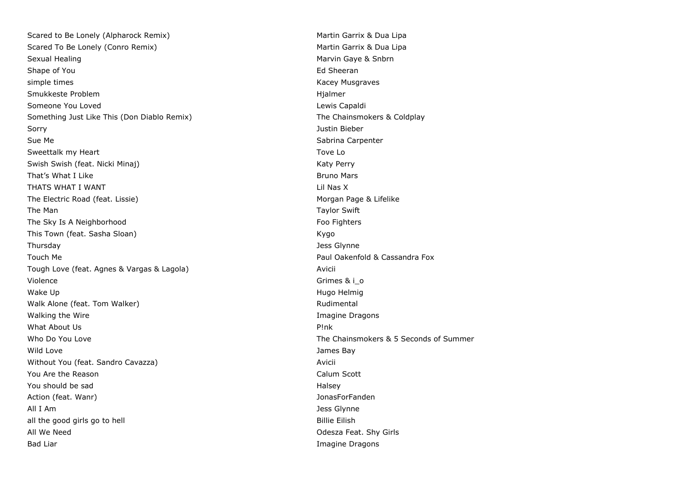Scared to Be Lonely (Alpharock Remix) Martin Garrix & Dua Lipa Scared To Be Lonely (Conro Remix) Scared To Be Lonely (Conro Remix) Martin Garrix & Dua Lipa Sexual Healing Marvin Gaye & Snbrn (Sexual Healing Marvin Gaye & Snbrn Care & Snbrn (Save & Snbrn Care & Snbrn Shape of You **Ed Sheeran** Shape of You **Ed Sheeran** Shape of You simple times **Kacey Musqraves** Kacey Musqraves **Kacey Musqraves** Smukkeste Problem Hjalmer Someone You Loved **Lewis Capaldi Contract Contract Contract Contract Contract Contract Contract Contract Contract Contract Contract Contract Contract Contract Contract Contract Contract Contract Contract Contract Contrac** Something Just Like This (Don Diablo Remix) The Chainsmokers & Coldplay Sorry Justin Bieber Sue Me Sabrina Carpenter and Sabrina Carpenter and Sabrina Carpenter and Sabrina Carpenter and Sabrina Carpenter Sweettalk my Heart Tove Local Contract Associates and Toye Local Contract Associates and Toye Local Contract Associates and Toye Local Contract Associates and Toye Local Contract Associates and Toye Local Contract Associat Swish Swish (feat. Nicki Minaj) Katy Perry Katy Perry That's What I Like **Bruno Mars** Bruno Mars **Bruno Mars** THATS WHAT I WANT LILL NOT THATS WHAT I WANT The Electric Road (feat. Lissie) Morgan Page & Lifelike The Man Taylor Swift Contract of the Man Taylor Swift Contract of the Man Taylor Swift Contract of the Man Taylor Swift The Sky Is A Neighborhood **Foo Fighters** Foo Fighters This Town (feat. Sasha Sloan) Kygo (Feat. Sasha Sloan) Thursday Jess Glynne Touch Me **Paul Oakenfold & Cassandra Fox** Tough Love (feat. Agnes & Vargas & Lagola) Avicii Violence Grimes & i\_o Grimes & i\_o Grimes & i\_o Grimes & i\_o Grimes & i\_o Grimes & i\_o Wake Up **Mate Up** Hugo Helmig National Accounts to the Unit of the Unit of the Unit of the Unit of the Unit of the Unit of the Unit of the Unit of the Unit of the Unit of the Unit of the Unit of the Unit of the Unit of the Walk Alone (feat. Tom Walker) Manual Rudimental Rudimental Walking the Wire **Imagine Dragons Contract Contract Contract Contract Contract Contract Contract Contract Contract Contract Contract Contract Contract Contract Contract Contract Contract Contract Contract Contract Contra** What About Us P!nk Who Do You Love The Chainsmokers & 5 Seconds of Summer Wild Love **Contract Contract Contract Contract Contract Contract Contract Contract Contract Contract Contract Contract Contract Contract Contract Contract Contract Contract Contract Contract Contract Contract Contract Cont** Without You (feat. Sandro Cavazza) Avicii You Are the Reason Calum Scott You should be sad **Halsey** South Structure and Halsey Structure and Halsey Structure and Halsey Structure and Halsey Action (feat. Wanr) JonasForFanden All I Am Jess Glynne all the good girls go to hell and the good girls go to hell and the state of the Billie Eilish All We Need **Contract Contract Contract Contract Contract Contract Contract Contract Contract Contract Contract Contract Contract Contract Contract Contract Contract Contract Contract Contract Contract Contract Contract Co** Bad Liar **Imagine Dragons Bad Liar** Imagine Dragons **Imagine Dragons**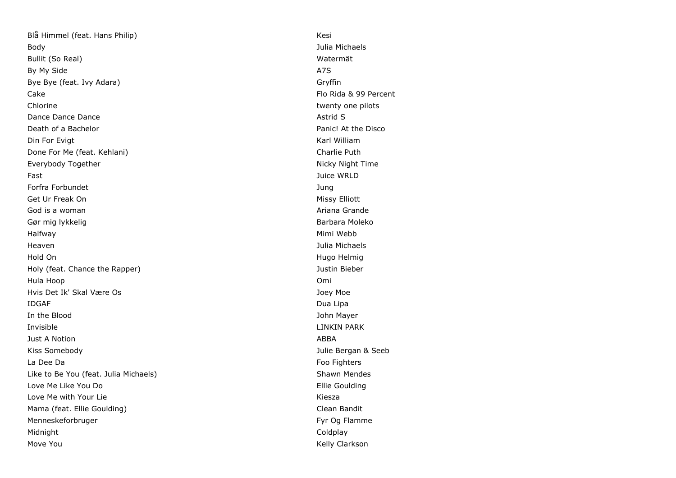Blå Himmel (feat. Hans Philip) Kesi Body Julia Michaels Bullit (So Real) Watermät By My Side A7S Bye Bye (feat. Ivy Adara) Gryffin Cake Flo Rida & 99 Percent Chlorine twenty one pilots and the change of the change of the change of twenty one pilots of the change of the change of the change of the change of the change of the change of the change of the change of the change of th Dance Dance Dance **Dance Astrid S** Death of a Bachelor Panic! At the Disco Din For Evigt Karl William Communication Communication Communication Communication Communication Communication Done For Me (feat. Kehlani) Charlie Puth Everybody Together Nicky Night Time Fast Juice WRLD Forfra Forbundet Jung Get Ur Freak On **Missy Elliott** Communist Communist Communist Communist Communist Communist Communist Communist Communist Communist Communist Communist Communist Communist Communist Communist Communist Communist Communist God is a woman and the state of the state of the state of the state of the state of the state of the state of the state of the state of the state of the state of the state of the state of the state of the state of the stat Gør mig lykkelig Barbara Moleko (Barbara Moleko (Barbara Moleko (Barbara Moleko (Barbara Moleko (Barbara Moleko Halfway Mimi Webb Heaven Julia Michaels Hold On **Hugo Helmig Hugo Helmig Hugo Helmig Hugo Helmig Hugo Helmig Hugo Helmig** Holy (feat. Chance the Rapper) Justin Bieber Hula Hoop Omi Hvis Det Ik' Skal Være Os Joey Moe IDGAF Dua Lipa In the Blood John Mayer Invisible LINKIN PARK Just A Notion ABBA Kiss Somebody Julie Bergan & Seeb La Dee Da Football and the Contract of the Contract of the Football and The Football and The Football and The Football and The Football and The Football and The Football and The Football and The Football and The Football a Like to Be You (feat. Julia Michaels) Shawn Mendes Love Me Like You Do **Ellie Goulding** Love Me with Your Lie Kiesza and the Kiesza and the Kiesza and the Kiesza and Kiesza and Kiesza and Kiesza and Mama (feat. Ellie Goulding) Clean Bandit Menneskeforbruger Fyr Og Flamme Midnight Coldplay (Coldplay) and the contract of the coldplay of the coldplay of the coldplay of the coldplay of the coldplay of the coldplay of the coldplay of the coldplay of the coldplay of the coldplay of the coldplay Move You **Kelly Clarkson**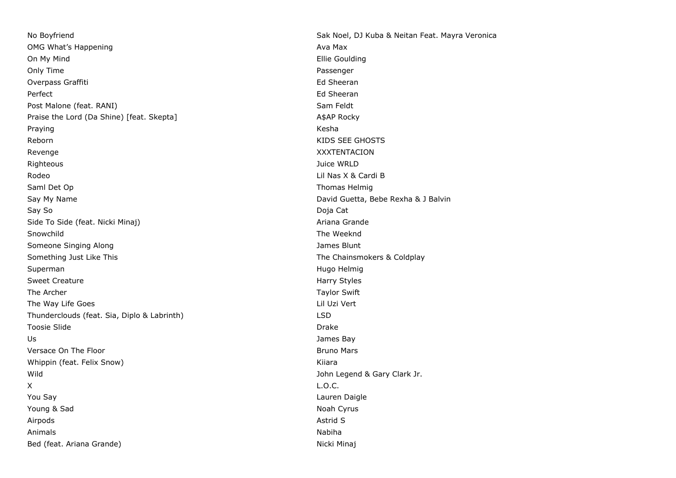No Boyfriend Sak Noel, DJ Kuba & Neitan Feat. Mayra Veronica OMG What's Happening and Ava Maximum and Ava Maximum and Ava Maximum and Ava Maximum and Ava Maximum and Ava Maximum and Ava On My Mind Ellie Goulding Only Time Passenger Overpass Graffiti **Ed Sheeran** Ed Sheeran **Ed Sheeran** Perfect **Ed Sheeran** Post Malone (feat. RANI) Sam Feldt Praise the Lord (Da Shine) [feat. Skepta] A\$AP Rocky Praying Kesha and the Community of the Community of the Community of the Community of the Community of the Comm Reborn **KIDS** SEE GHOSTS Revenge XXXTENTACION Righteous Juice WRLD Rodeo **Lil Nas X & Cardi B** Saml Det Op Thomas Helmig and Thomas Helmig and Thomas Helmig and Thomas Helmig and Thomas Helmig and Thomas Helmig Say My Name **David Guetta, Bebe Rexha & J Balvin** Say So Doja Cat Side To Side (feat. Nicki Minaj) Ariana Grande Snowchild The Weeknd Someone Singing Along James Blunt Something Just Like This The Chainsmokers & Coldplay Superman Hugo Helmig Number of the Superman Hugo Helmig Number of the Superman Hugo Helmig Number of the Superman Hugo Helmig Number of the Superman Hugo Helmig Number of the Superman Hugo Helmig Number of the Superman Hug Sweet Creature Harry Styles and the Harry Styles and the Harry Styles and the Harry Styles and the Harry Styles The Archer Taylor Swift Contract of the Archer Taylor Swift Contract of the Archer Taylor Swift Contract of the Archer Taylor Swift The Way Life Goes **Little Community** Controller with the Way Lil Uzi Vert Thunderclouds (feat. Sia, Diplo & Labrinth) LSD Toosie Slide **Drake** Drake Drake Drake Drake Drake Drake Drake Drake Drake Drake Drake Drake Drake Drake Drake Drake Drake Drake Drake Drake Drake Drake Drake Drake Drake Drake Drake Drake Drake Drake Drake Drake Drake Dra Us James Bay Versace On The Floor Bruno Mars and the Bruno Mars and the Bruno Mars and the Bruno Mars and the Bruno Mars and the Bruno Mars and the Bruno Mars and the Bruno Mars and the Bruno Mars and the Bruno Mars and the Bruno Mars Whippin (feat. Felix Snow) Niether and the Share Share Share Kiiara Wild John Legend & Gary Clark Jr. X L.O.C. You Say Lauren Daigle Young & Sad Noah Cyrus and Noah Cyrus and Noah Cyrus and Noah Cyrus and Noah Cyrus and Noah Cyrus and Noah Cyrus Airpods Astrid S Animals **Nabiha** Nabiha na katalana na katalana na katalana na katalana na katalana na katalana na katalana na k Bed (feat. Ariana Grande) Nicki Minaj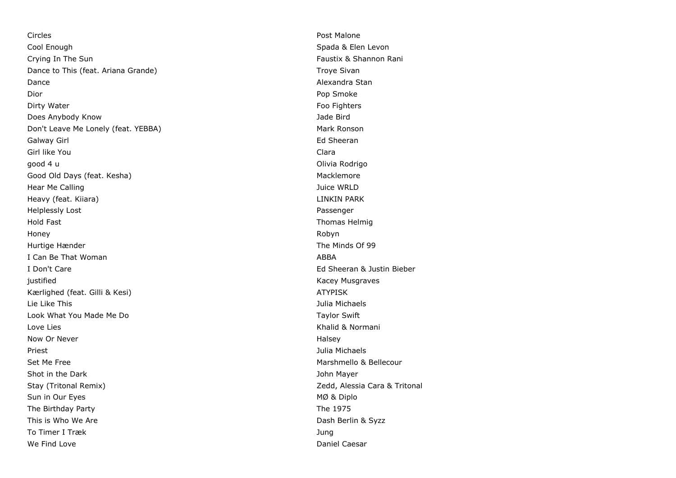Circles Post Malone Cool Enough Spada & Elen Levon Crying In The Sun Faustix & Shannon Rani Dance to This (feat. Ariana Grande) Troye Sivan Dance **Alexandra Stan** Dior Pop Smoke New York 2012 12:00 Pop Smoke New York 2012 12:00 Pop Smoke Pop Smoke Dirty Water **Foo Fighters Contract Contract Contract Contract Contract Contract Contract Contract Contract Contract Contract Contract Contract Contract Contract Contract Contract Contract Contract Contract Contract Contr** Does Anybody Know Jade Bird Don't Leave Me Lonely (feat. YEBBA) Mark Ronson Galway Girl **Ed Sheeran** Girl like You Clara good 4 u Communication and the communication of the communication of the Communication of the Communication of the Communication of the Communication of the Communication of the Communication of the Communication of the Co Good Old Days (feat. Kesha) Macklemore South Assessment Controller Macklemore Macklemore Hear Me Calling Juice WRLD Heavy (feat. Kiiara) LINKIN PARK Helplessly Lost Passenger Hold Fast Thomas Helmig Honey Robyn Hurtige Hænder The Minds Of 99 I Can Be That Woman ABBA I Don't Care Ed Sheeran & Justin Bieber justified Kacey Musgraves Kærlighed (feat. Gilli & Kesi) ATYPISK Lie Like This Julia Michaels Look What You Made Me Do Taylor Swift All Annual Media and Taylor Swift Swift All Annual Media and Taylor Swift Love Lies **Contract Contract Contract Contract Contract Contract Contract Contract Contract Contract Contract Contract Contract Contract Contract Contract Contract Contract Contract Contract Contract Contract Contract Cont** Now Or Never Now of the Contract of the Contract of the Contract of the Halsey Halsey Priest Julia Michaels Set Me Free **Marshmello & Bellecour** Shot in the Dark **Shot in the Dark** John Mayer Stay (Tritonal Remix) **Stay (Tritonal Remix)** 2edd, Alessia Cara & Tritonal Sun in Our Eyes MØ & Diplo The Birthday Party **The 1975** This is Who We Are **Dash Berlin & Syzz** To Timer I Træk Jung We Find Love **Daniel Caesar Contract Caesar Daniel Caesar Daniel Caesar**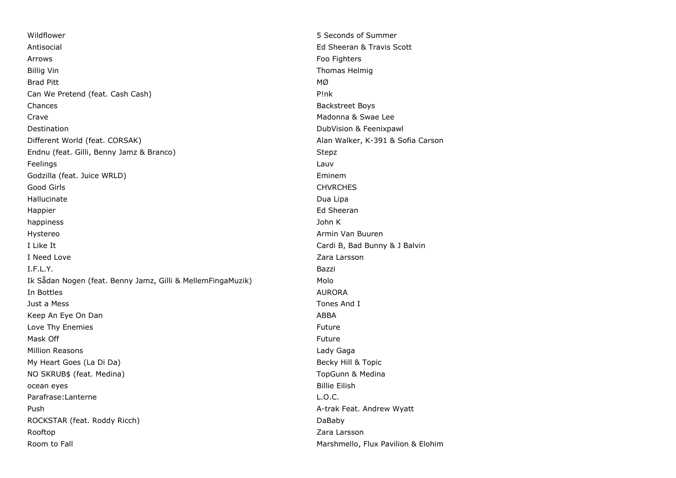Wildflower 5 Seconds of Summer Antisocial Ed Sheeran & Travis Scott Arrows Foo Fighters Billig Vin Thomas Helmig Company of the Company of the Company of the Company of Thomas Helmig Brad Pitt  $_{\text{MQ}}$ Can We Pretend (feat. Cash Cash) P!nk Chances **Backstreet Boys Backstreet Boys** Crave Madonna & Swae Lee Destination DubVision & Feenixpawl Different World (feat. CORSAK) Alan Walker, K-391 & Sofia Carson Endnu (feat. Gilli, Benny Jamz & Branco) Stepz Feelings Lauvent and Lauvent and Lauvent and Lauvent and Lauvent and Lauvent and Lauvent and Lauvent and Lauve Godzilla (feat. Juice WRLD) and the state of the state of the state of the state of the state of the state of the state of the state of the state of the state of the state of the state of the state of the state of the stat Good Girls Chronic Chronic Chronic Chronic Chronic Chronic Chronic Chronic Chronic Chronic Chronic Chronic Chro Hallucinate Dua Lipa Happier **Ed Sheeran** Ed Sheeran **Ed Sheeran** Ed Sheeran **Ed Sheeran** happiness John K Hystereo **Armin Van Buuren** Hystereo Armin Van Buuren Armin Van Buuren Armin Van Buuren Armin Van Buuren Armin Van Buuren Armin Van Buuren Armin Van Buuren Armin Van Buuren Armin Van Buuren Armin Van Buuren Armin Van Buure I Like It Cardi B, Bad Bunny & J Balvin I Need Love **Zara Larsson** I.F.L.Y. Bazzi Ik Sådan Nogen (feat. Benny Jamz, Gilli & MellemFingaMuzik) Molo In Bottles AURORA is a state of the control of the control of the control of the control of the control of the control of the control of the control of the control of the control of the control of the control of the contro Just a Mess Tones And I Keep An Eye On Dan ABBA Love Thy Enemies **Future Future** Future **Future** Future **Future Future Future** Mask Off Future and the contract of the contract of the contract of the contract of the contract of the contract of the contract of the contract of the contract of the contract of the contract of the contract of the contra Million Reasons Lady Gaga My Heart Goes (La Di Da) Becky Hill & Topic and the Control of the Becky Hill & Topic NO SKRUB\$ (feat. Medina) TopGunn & Medina ocean eyes **Billie Eilish** Parafrase:Lanterne L.O.C. Push A-trak Feat. Andrew Wyatt ROCKSTAR (feat. Roddy Ricch) and the control of the control of the DaBaby Rooftop **Zara Larsson** Room to Fall **Room to Fall** Marshmello, Flux Pavilion & Elohim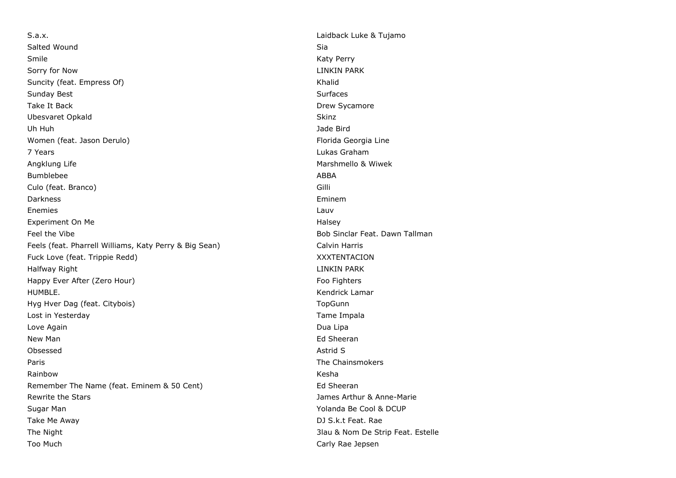S.a.x. Laidback Luke & Tujamo Salted Wound Sia and Sia and Sia and Sia and Sia and Sia and Sia and Sia and Sia and Sia and Sia and Sia and Sia Smile **Smile Community Community Community Community Community Community Community Community Community Community** Sorry for Now **LINKIN PARK** Suncity (feat. Empress Of) Suncity (feat. Empress Of) Sunday Best **Sunday Best** Sunday Best **Sunday Best** Sunday Best **Sunday Best** Sunday Best **Sunday Best** Sunday Best **Sunday Best** Sunday Best **Sunday Best** Sunday Best **Sunday Best** Sunday Best **Sunday Best** Sunday Best **S** Take It Back **Drew Sycamore** Ubesvaret Opkald Skinz Skinz Skinz Skinz Skinz Skinz Skinz Skinz Skinz Skinz Skinz Skinz Skinz Skinz Skinz Skinz Uh Huh Jade Bird Women (feat. Jason Derulo) and the state of the state of the Florida Georgia Line 7 Years Lukas Graham Angklung Life **Marshmello & Wiwek** Marshmello & Wiwek Bumblebee ABBA Culo (feat. Branco) Gilli Darkness Eminem Enemies Lauventine Communication and the Communication of the Communication of the Communication of the Communication of the Communication of the Communication of the Communication of the Communication of the Communication Experiment On Me **Halsey** Feel the Vibe Bob Sinclar Feat. Dawn Tallman Feels (feat. Pharrell Williams, Katy Perry & Big Sean) Calvin Harris Fuck Love (feat. Trippie Redd) XXXTENTACION Halfway Right LINKIN PARK Happy Ever After (Zero Hour) Foo Fighters HUMBLE. Kendrick Lamar Hyg Hver Dag (feat. Citybois) TopGunn Lost in Yesterday **Tame Impala** Love Again **Dua Lipa** Dua Lipa New Man **Ed Sheeran** Controller with the state of the state of the state of the state of the state of the state of the state of the state of the state of the state of the state of the state of the state of the state of the Obsessed Astrid Superior Communication of the Superior Communication of the Superior Communication of the Superior Communication of the Superior Communication of the Superior Communication of the Superior Communication of **Paris The Chainsmokers** The Chainsmokers **The Chainsmokers** Rainbow Kesha Remember The Name (feat. Eminem & 50 Cent) Entitled Sheeran Ed Sheeran Rewrite the Stars James Arthur & Anne-Marie Sugar Man Yolanda Be Cool & DCUP Take Me Away **DJ S.k.t Feat.** Rae The Night 3lau & Nom De Strip Feat. Estelle Too Much Carly Rae Jepsen and Carly Rae Jepsen and Carly Rae Jepsen and Carly Rae Jepsen and Carly Rae Jepsen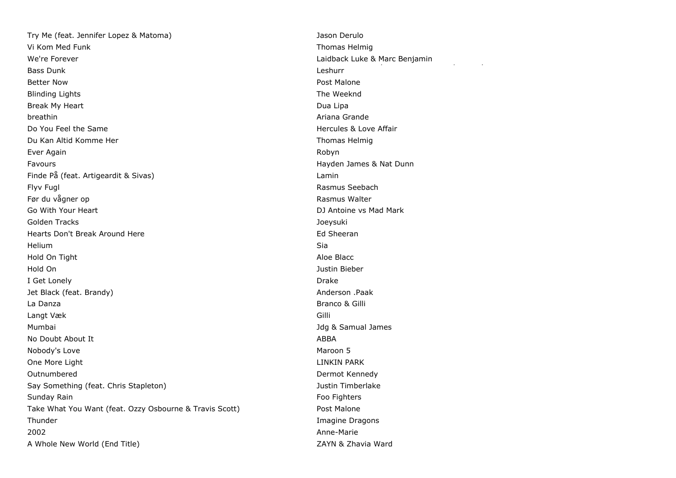Try Me (feat. Jennifer Lopez & Matoma) Jason Derulo Vi Kom Med Funk Thomas Helmig Thomas Helmig Thomas Helmig Thomas Helmig Thomas Helmig Thomas Helmig Thomas Helmig We're Forever **Laidback Luke & Marc Benjamin** Bass Dunk Better Now **Post Malone** Blinding Lights The Weeknd Break My Heart **Dua Lipa Communist Communist Communist Communist Communist Communist Communist Communist Communist Communist Communist Communist Communist Communist Communist Communist Communist Communist Communist Communi** breathin **Ariana Grande** Communication and the communication of the communication of the communication of the communication of the communication of the communication of the communication of the communication of the communi Do You Feel the Same **Hercules & Love Affair** Du Kan Altid Komme Her Thomas Helmig and Thomas Helmig and Thomas Helmig and Thomas Helmig Ever Again **Robyn** Robyn a Bryth Again Robyn a Bryth Again Robyn Robyn Robyn Robyn Robyn Robyn Robyn Robyn Robyn Robyn Robyn Robyn Robyn Robyn Robyn Robyn Robyn Robyn Robyn Robyn Robyn Robyn Robyn Robyn Robyn Robyn Robyn R Favours Hayden James & Nat Dunn Finde På (feat. Artigeardit & Sivas) Lamin Flyv Fugl Rasmus Seebach Før du vågner op **Rasmus Walter** Communication and Rasmus Walter Go With Your Heart **DJ** Antoine vs Mad Mark Golden Tracks Joeysuki Hearts Don't Break Around Here **Ed Sheeran** Ed Sheeran Helium Sia Hold On Tight Aloe Blacc **Aloe Blacc Aloe Blacc Aloe Blacc Aloe Blacc Aloe Blacc Aloe Blacc Aloe Blacc Aloe Blacc Aloe Blacc Aloe Blacc Aloe Blacc Aloe Blacc Aloe Blacc Aloe Blacc Aloe Blacc A** Hold On Justin Bieber I Get Lonely **Drake** Jet Black (feat. Brandy) Anderson .Paak La Danza Branco & Gilli Langt Væk Gilli Mumbai Jdg & Samual James No Doubt About It and the control of the control of the control of the control of the control of the control of the control of the control of the control of the control of the control of the control of the control of the c Nobody's Love **Maroon 5** One More Light **Linking Communist Communist Communist Communist Communist Communist Communist Communist Communist Communist Communist Communist Communist Communist Communist Communist Communist Communist Communist Communis** Outnumbered Dermot Kennedy Say Something (feat. Chris Stapleton) and the state of the state of the Justin Timberlake Sunday Rain Footh and the Sunday Rain Footh and the Sunday Rain Footh and the Sunday Rain Footh and the Sunday Take What You Want (feat. Ozzy Osbourne & Travis Scott) Post Malone **Thunder Imagine Dragons Imagine Dragons** 2002 Anne-Marie A Whole New World (End Title) **A William Strutter Contract CAYN** ZAYN & Zhavia Ward

Leshurr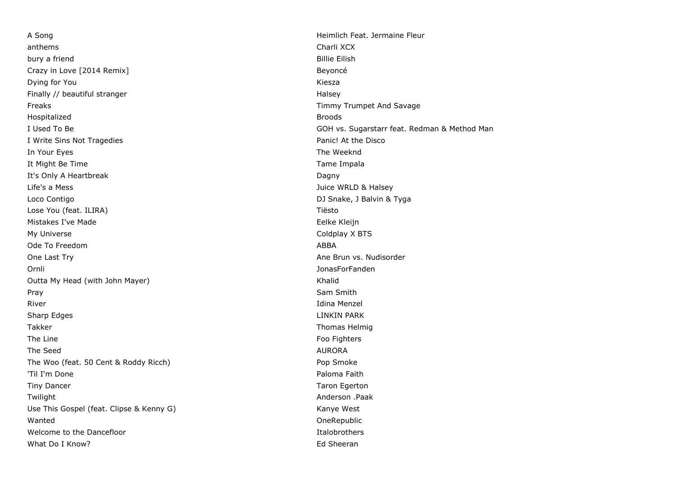A Song **Heimlich Feat. Jermaine Fleur** anthems Charli XCX bury a friend **Billie Eilish** Crazy in Love [2014 Remix] Beyoncé **Dying for You Kiesza** Finally // beautiful stranger Halsey Freaks Timmy Trumpet And Savage Hospitalized **Broods** I Write Sins Not Tragedies **Panic!** At the Disco In Your Eyes **The Weeknd In Your Eyes** The Weeknd **In Your Eyes** The Weeknd **In Your Eyes** It Might Be Time Tame Impala It's Only A Heartbreak **Dagny** Dagny Life's a Mess Juice WRLD & Halsey Loco Contigo **DI Snake, J Balvin & Tyga** Lose You (feat. ILIRA) Tiësto Mistakes I've Made **Eelke Kleijn** My Universe Coldplay X BTS Ode To Freedom ABBA One Last Try **Ane Brun vs. Nudisorder** Ane Brun vs. Nudisorder Ornli JonasForFanden Outta My Head (with John Mayer) Manus (Washington May American Manus Association of the Manus Association of the Ma Pray Sam Smith River **Idina Menzel** Sharp Edges **LINKIN PARK** Takker Thomas Helmig and Thomas Helmig and Thomas Helmig and Thomas Helmig and Thomas Helmig and Thomas Helmig The Line Food Fighters and the Line Food Fighters and the Line Food Fighters and the Line State of the Line State of the Line State of the Line State of the Line State of the Line State of the Line State of the Line State The Seed AURORA AURORA AND THE SEED ASSESSED. The Seed AURORA The Woo (feat. 50 Cent & Roddy Ricch) example the Wood (feat. 50 Cent & Roddy Ricch) 'Til I'm Done Paloma Faith and the Paloma Faith and the Paloma Faith and the Paloma Faith and the Paloma Faith Tiny Dancer **Taron Egerton Taron Egerton** Twilight Anderson .Paak Use This Gospel (feat. Clipse & Kenny G) Manye West Wanted OneRepublic Welcome to the Dancefloor **Italog and Community** Channels and The Italobrothers Italobrothers What Do I Know? **Example 20 Sheeran** What Do I Know?

I Used To Be GOH vs. Sugarstarr feat. Redman & Method Man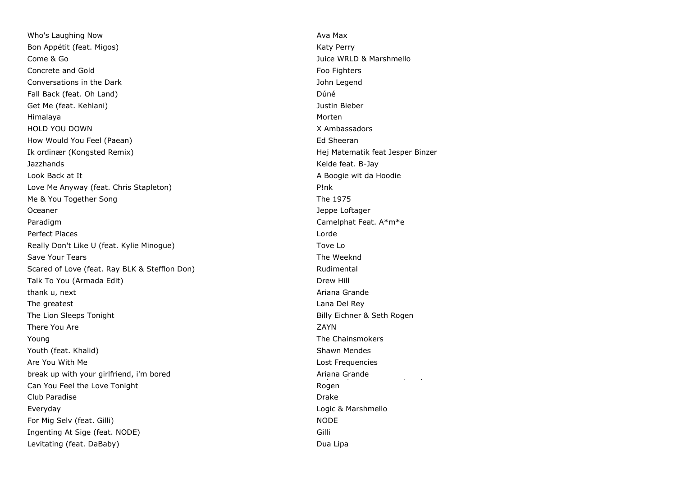Who's Laughing Now **Available 2018** and 2019 and 2019 and 2019 and 2019 and 2019 and 2019 and 2019 and 2019 and 2019 and 2019 and 2019 and 2019 and 2019 and 2019 and 2019 and 2019 and 2019 and 2019 and 2019 and 2019 and 20 Bon Appétit (feat. Migos) Katy Perry Come & Go Juice WRLD & Marshmello Concrete and Gold Foo Fighters Concrete and Gold Foo Fighters Security 2008 Foo Fighters Conversations in the Dark John Legend Fall Back (feat. Oh Land) and the control of the control of the control of the Dúné Get Me (feat. Kehlani) Justin Bieber Himalaya Morten HOLD YOU DOWN X Ambassadors How Would You Feel (Paean) South American Studies and Sheeran Ed Sheeran Studies and Sheeran Studies and Sheeran Ik ordinær (Kongsted Remix) and Hej Matematik feat Jesper Binzer Jazzhands Kelde feat. B-Jay Look Back at It A Boogie wit da Hoodie wit da Hoodie wit da Hoodie wit da Hoodie wit da Hoodie wit da Hoodie wit da Hoodie wit data Love Me Anyway (feat. Chris Stapleton) example the example of the Pink Me & You Together Song The 1975 Oceaner Jeppe Loftager Jeppe Loftager Jeppe Loftager Jeppe Loftager Jeppe Loftager Paradigm **Camelphat Feat. A**\*m\*e Perfect Places **Lorde** Really Don't Like U (feat. Kylie Minogue) Tove Lot Contain the Minogue of the Minogue of the Minogue of the Mi Save Your Tears The Weeknd Save Your Tears The Weeknd Save Your Tears The Weeknd Scared of Love (feat. Ray BLK & Stefflon Don) Rudimental Talk To You (Armada Edit) Drew Hill and the United States of the United States of the Drew Hill and the Drew Hill thank u, next **Ariana Grande Ariana Grande Ariana Grande Ariana Grande** The greatest **Lana Del Rey** The Lion Sleeps Tonight Billy Eichner & Seth Rogen There You Are  $ZAYN$ Young The Chainsmokers and the Chainsmokers and the Chainsmokers and the Chainsmokers and the Chainsmokers and the Chainsmokers and the Chainsmokers and the Chainsmokers and the Chainsmokers and the Chainsmokers and the Ch Youth (feat. Khalid) Shawn Mendes Are You With Me Lost Frequencies break up with your girlfriend, i'm bored Can You Feel the Love Tonight Club Paradise Drake Drake Drake Drake Drake Drake Drake Drake Drake Drake Drake Drake Drake Drake Drake Drake Drake Drake Drake Drake Drake Drake Drake Drake Drake Drake Drake Drake Drake Drake Drake Drake Drake Drake Drak Everyday Logic & Marshmello For Mig Selv (feat. Gilli) Nobel and the self-of the self-of the self-of the Nobel and Nobel and Nobel and Nobel and Nobel and Nobel and Nobel and Nobel and Nobel and Nobel and Nobel and Nobel and Nobel and Nobel and Nobel Ingenting At Sige (feat. NODE) Gilli Levitating (feat. DaBaby) Dua Lipa

Ariana Grande Rogen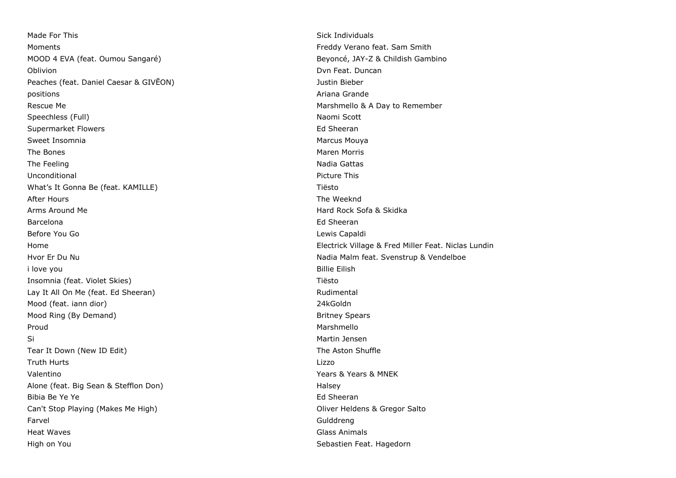Made For This Sick Individuals and the Sick Individuals of the Sick Individuals Sick Individuals Moments Freddy Verano feat. Sam Smith MOOD 4 EVA (feat. Oumou Sangaré) Beyoncé, JAY-Z & Childish Gambino Oblivion **Duncan** Dvn Feat. Duncan Dvn Feat. Duncan Dvn Feat. Duncan Dvn Feat. Duncan Dvn Feat. Duncan Dvn Feat. Duncan Dvn Feat. Duncan Dvn Feat. Duncan Dvn Feat. Duncan Dvn Feat. Duncan Dvn Feat. Duncan Dvn Feat. Duncan Peaches (feat. Daniel Caesar & GIVEON) and the state of the state of the United States of the United States of the United States of the United States of the United States of the United States of the United States of the Un positions and a results are a set of the set of the set of the set of the set of the set of the set of the set of the set of the set of the set of the set of the set of the set of the set of the set of the set of the set o Rescue Me **Marshmello & A Day to Remember** Rescue Me Marshmello & A Day to Remember Speechless (Full) Naomi Scott (Full) Naomi Scott (Naomi Scott (Naomi Scott (Naomi Scott (Naomi Scott (Naomi Scott (Naomi Scott (Naomi Scott (Naomi Scott (Naomi Scott (Naomi Scott (Naomi Scott (Naomi Scott (Naomi Scott (Nao Supermarket Flowers **Ed Sheeran** Ed Sheeran Sweet Insomnia Marcus Mouya and the Sweet Insomnia The Bones **Maren Morris Community** The Bones Maren Morris **Maren Morris** Maren Morris **Maren Morris** The Feeling Nadia Gattas and the Technical Contract of the Nadia Gattas and the Nadia Gattas and Nadia Gattas Unconditional **Picture This** Picture This What's It Gonna Be (feat. KAMILLE) Month and the Control of Tiesto After Hours **The Weeknd** Arms Around Me Hard Rock Sofa & Skidka Barcelona **Ed Sheeran** Ed Sheeran Ed Sheeran Ed Sheeran Ed Sheeran Ed Sheeran Ed Sheeran Ed Sheeran Ed Sheeran Ed Sheeran Ed Sheeran Ed Sheeran Ed Sheeran Ed Sheeran Ed Sheeran Ed Sheeran Ed Sheeran Ed Sheeran Ed Sheeran E Before You Go **Lewis Capaldi Before You Go Lewis Capaldi Lewis Capaldi Lewis Capaldi** Hvor Er Du Nu Nadia Malm feat. Svenstrup & Vendelboe i love you **Billie Eilish** Insomnia (feat. Violet Skies) Tiesto The Charles Controller and The Tiesto Tiesto Lay It All On Me (feat. Ed Sheeran) and the state of the Rudimental Rudimental Mood (feat. iann dior) 24kGoldn Mood Ring (By Demand) Britney Spears Proud **Marshmello** Si Martin Jensen (Singapura Singapura Singapura Singapura Singapura Singapura Singapura Singapura Singapura Si Tear It Down (New ID Edit) The Aston Shuffle Truth Hurts Lizzo Valentino Years & Years & MNEK Alone (feat. Big Sean & Stefflon Don) Alone (feat. Big Sean & Stefflon Don) Bibia Be Ye Ye Ed Sheeran and the Sheeran and the Sheeran and the Sheeran and the Sheeran and the Sheeran and the Sheeran and the Sheeran and the Sheeran and the Sheeran and the Sheeran and the Sheeran and the Sheeran and Can't Stop Playing (Makes Me High) Oliver Heldens & Gregor Salto Farvel Gulddreng Heat Waves Glass Animals High on You Sebastien Feat. Hagedorn

Home Electrick Village & Fred Miller Feat. Niclas Lundin Change & Fred Miller Feat. Niclas Lundin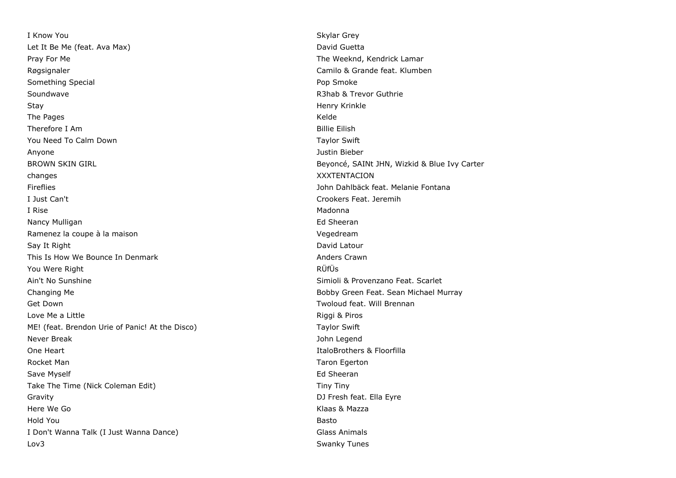**I Know You Skylar Grey** Let It Be Me (feat. Ava Max) and the Controller of the Controller of the David Guetta Pray For Me The Weeknd, Kendrick Lamar Røgsignaler Camilo & Grande feat. Klumben Something Special **Pop Smoke** Pop Smoke Something Special Pop Smoke Pop Smoke Soundwave R3hab & Trevor Guthrie Stay Henry Krinkle The Pages **Kelde** Therefore I Am Billie Eilish You Need To Calm Down Taylor Swift Swift Swift Swift Swift Swift Swift Swift Swift Swift Swift Swift Swift Swift Swift Swift Swift Swift Swift Swift Swift Swift Swift Swift Swift Swift Swift Swift Swift Swift Swift Swift S Anyone Justin Bieber BROWN SKIN GIRL BEYONCÉ, SAINT JHN, Wizkid & Blue Ivy Carter changes XXXTENTACION Fireflies John Dahlbäck feat. Melanie Fontana I Just Can't Crookers Feat. Jeremih I Rise Madonna and the Madonna and the Madonna and the Madonna and the Madonna and Madonna and Madonna and Madon Nancy Mulligan **Ed Sheeran** Ed Sheeran Ed Sheeran **Ed Sheeran** Ramenez la coupe à la maison Vegedream Say It Right David Latour Communication of the Communication of the David Latour Communication of the David Latour This Is How We Bounce In Denmark **Anders Crawn** Anders Crawn You Were Right **Rüfüs** Ain't No Sunshine Simioli & Provenzano Feat. Scarlet Changing Me **Bobby Green Feat. Sean Michael Murray** Bobby Green Feat. Sean Michael Murray Get Down Two Controllers and the Controllers of the Two Controllers and Two Controllers and Two Controllers and Two Controllers and Two Controllers and Two Controllers and Two Controllers and Two Controllers and Two Contro Love Me a Little **Example 2018** 2019 12:30 Nine a Little Riggi & Piros ME! (feat. Brendon Urie of Panic! At the Disco) Taylor Swift Never Break John Legend One Heart **ItaloBrothers & Floorfilla** Rocket Man Taron Egerton and Taron Egerton and Taron Egerton and Taron Egerton and Taron Egerton Save Myself **Ed Sheeran** Ed Sheeran **Ed Sheeran** Ed Sheeran **Ed Sheeran** Take The Time (Nick Coleman Edit) Tiny Tiny Gravity DJ Fresh feat. Ella Eyre Here We Go **Klaas & Mazza** Hold You Basto I Don't Wanna Talk (I Just Wanna Dance) and Glass Animals Glass Animals Lov3 Swanky Tunes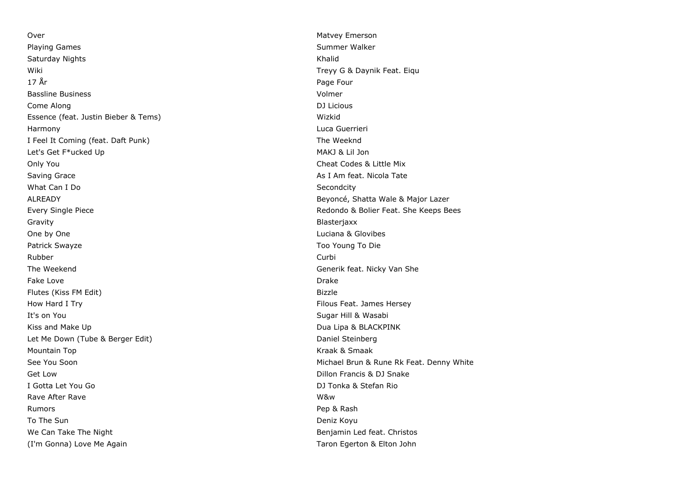Over Nature Matvey Emerson Nature Matvey Emerson Playing Games Summer Walker Summer Walker Saturday Nights Khalid Wiki Niki Treyy G & Daynik Feat. Eiqu 17 År Page Four Bassline Business Volmer Come Along DJ Licious Essence (feat. Justin Bieber & Tems) Wizkid Harmony Luca Guerrieri I Feel It Coming (feat. Daft Punk) The Weeknd Let's Get F\*ucked Up and the set of the set of the MAKJ & Lil Jon Only You Cheat Codes & Little Mix Saving Grace **As I Am feat. Nicola Tate** As I Am feat. Nicola Tate What Can I Do Secondcity ALREADY Beyoncé, Shatta Wale & Major Lazer Every Single Piece **Redondo & Bolier Feat.** She Keeps Bees Gravity **Blasterjaxx** One by One Luciana & Glovibes Patrick Swayze Too Young To Die Rubber Curbi The Weekend Generik feat. Nicky Van She Fake Love **Drake** Drake Drake Drake Drake Drake Drake Drake Drake Drake Drake Drake Drake Drake Drake Drake Drake Drake Drake Drake Drake Drake Drake Drake Drake Drake Drake Drake Drake Drake Drake Drake Drake Drake Drake Flutes (Kiss FM Edit) How Hard I Try **Filous Feat.** James Hersey It's on You **Sugar Hill & Wasabi** The Sugar Hill & Wasabi The Sugar Hill & Wasabi Kiss and Make Up **Dua Lipa & BLACKPINK Contained All and Make Up Dua Lipa & BLACKPINK** Let Me Down (Tube & Berger Edit) Daniel Steinberg Communication of the Daniel Steinberg Mountain Top **Kraak & Smaak** And Allen And Allen And Allen And Allen And Allen And Allen And Allen And Allen And A See You Soon **Michael Brun & Rune Rk Feat. Denny White** See You Soon Get Low Get Low Dillon Francis & DJ Snake I Gotta Let You Go DJ Tonka & Stefan Rio Rave After Rave **WAXED After Rave WAXED A** CONSULTER THE RAVE WAS NOT TO A LITTLE AND MALL THAT A LITTLE AND MALL THAT A LITTLE AND MALL THAT A LITTLE AND MALL THAT A LITTLE AND MALL THAT A LITTLE AND MALL THAT A LITTLE AN Rumors **Pep & Rash** To The Sun Deniz Koyu and the Sun Deniz Koyu and the Sun Deniz Koyu and the Deniz Koyu and the Deniz Koyu and the Sun Deniz Koyu and the Sun Deniz Koyu and the Sun Deniz Koyu and the Sun Deniz Koyu and the Sun Deniz Koyu a We Can Take The Night Benjamin Led feat. Christos (I'm Gonna) Love Me Again Taron Egerton & Elton John Taron Egerton & Elton John

Newson Sound Sound Sound Sound Sound Sound Sound Sound Sound Sound Sound Sound Sound Sound Sound Sound Sound S Bizzle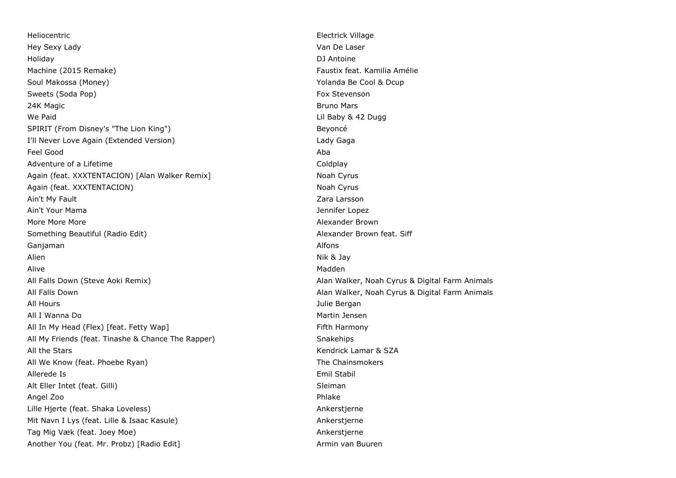Heliocentric **Electrick Village** Hey Sexy Lady Van De Laser Holiday DJ Antoine Machine (2015 Remake) Faustix feat. Kamilia Amélie Soul Makossa (Money) X (November 2012) Yolanda Be Cool & Dcup Sweets (Soda Pop) Fox Stevenson Fox Stevenson 24K Magic **Bruno Mars** 24K Magic **Bruno Mars** 24K Magic **Bruno Mars** 24K Magic **Bruno Mars** We Paid **Contract Contract Contract Contract Contract Contract Contract Contract Contract Contract Contract Contract Contract Contract Contract Contract Contract Contract Contract Contract Contract Contract Contract Contra** SPIRIT (From Disney's "The Lion King") SPIRIT (From Disney's and Disney's experience of the Beyoncé I'll Never Love Again (Extended Version) Lady Gaga Feel Good Aba Adventure of a Lifetime Coldplay and the Coldplay Coldplay Coldplay Again (feat. XXXTENTACION) [Alan Walker Remix] Noah Cyrus Noah Cyrus Again (feat. XXXTENTACION) Noah Cyrus Noah Cyrus Noah Cyrus Noah Cyrus Noah Cyrus Ain't My Fault **Zara Larsson** Ain't Your Mama Jennifer Lopez More More More **More** Alexander Brown Something Beautiful (Radio Edit) Alexander Brown feat. Siff Ganjaman Alfons and Alfons and Alfons and Alfons and Alfons and Alfons and Alfons and Alfons and Alfons and Alfons and Alfons and Alfons and Alfons and Alfons and Alfons and Alfons and Alfons and Alfons and Alfons and Alfo Alien Nik & Jay Alive Madden All Falls Down (Steve Aoki Remix) Alan Walker, Noah Cyrus & Digital Farm Animals All Falls Down Alan Walker, Noah Cyrus & Digital Farm Animals All Hours **All Hours** and the set of the set of the set of the set of the set of the set of the set of the set of the set of the set of the set of the set of the set of the set of the set of the set of the set of the set o All I Wanna Do Martin Jensen (Martin Jensen Martin Jensen Martin Jensen Martin Jensen Martin Jensen Martin Jensen (Martin Jensen Martin Jensen Martin Jensen Martin Jensen Martin Jensen Martin Jensen (Martin Jensen Martin J All In My Head (Flex) [feat. Fetty Wap] example the state of the state of the Fifth Harmony All My Friends (feat. Tinashe & Chance The Rapper) Snakehips All the Stars Kendrick Lamar & SZA All We Know (feat. Phoebe Ryan) The Chainsmokers and the Chainsmokers Allerede Is Emil Stabil Alt Eller Intet (feat. Gilli) Sleiman Angel Zoo Phlake Lille Hjerte (feat. Shaka Loveless) Ankerstjerne Mit Navn I Lys (feat. Lille & Isaac Kasule) Ankerstjerne Tag Mig Væk (feat. Joey Moe) Ankerstjerne Another You (feat. Mr. Probz) [Radio Edit] Armin van Buuren Armin van Buuren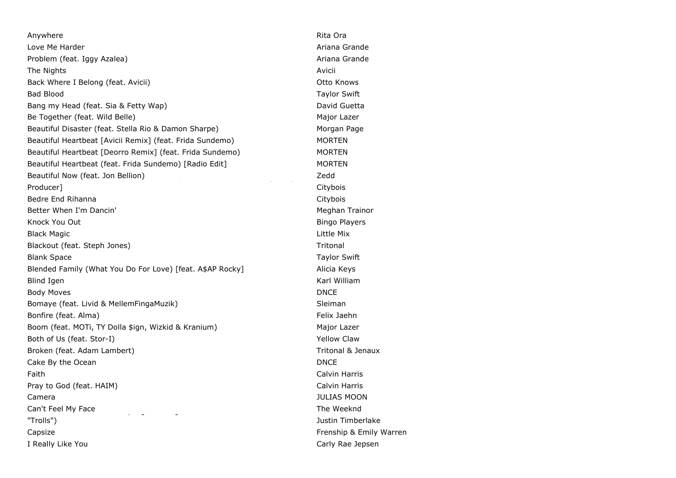Anywhere **Rita Ora Rita Ora Rita Ora Rita Ora Rita Ora Rita Ora Rita Ora Rita Ora Rita Ora Rita Ora** Love Me Harder **Ariana Grande** Controller Ariana Grande Controller Ariana Grande Controller Ariana Grande Controller Problem (feat. Iggy Azalea) Ariana Grande The Nights **Avicii** Back Where I Belong (feat. Avicii) Channel Communication Communication Communication Communication Communication Bad Blood Taylor Swift Bang my Head (feat. Sia & Fetty Wap) David Guetta Be Together (feat. Wild Belle) Major Lazer Beautiful Disaster (feat. Stella Rio & Damon Sharpe) Morgan Page Beautiful Heartbeat [Avicii Remix] (feat. Frida Sundemo) MORTEN Beautiful Heartbeat [Deorro Remix] (feat. Frida Sundemo) MORTEN Beautiful Heartbeat (feat. Frida Sundemo) [Radio Edit] MORTEN Beautiful Now (feat. Jon Bellion) Beautiful Now (feat. Emil Bong Bong Bong & Lil Label Remix) and Redd Producer] Citybois Bedre End Rihanna **Citybois** Citybois **Citybois Citybois** Better When I'm Dancin' Meghan Trainor and Better When I'm Dancin' Meghan Trainor Knock You Out **Bingo Players Example 20** Section 20 and 20 Section 20 and 20 Section 20 and 20 Section 20 and 20 Section 20 and 20 Section 20 and 20 Section 20 and 20 Section 20 and 20 Section 20 and 20 Section 20 and 20 Black Magic Little Mix Blackout (feat. Steph Jones) The Contract of the Contract of the Tritonal Tritonal Blank Space Taylor Swift Space Swift Space Swift Space Swift Space Swift Space Swift Space Swift Space Swift Space Swift Space Swift Space Swift Space Swift Space Swift Space Space Space Space Space Space Space Space Space Blended Family (What You Do For Love) [feat. A\$AP Rocky] Alicia Keys Blind Igen Karl William Communication and the Communication of the Communication of the Communication of the Communication of the Communication of the Communication of the Communication of the Communication of the Communic Body Moves **DNCE** Bomaye (feat. Livid & MellemFingaMuzik) Sleiman Bonfire (feat. Alma) Felix Jaehn Eliz Jaehn Eliz Jaehn Eliz Jaehn Eliz Jaehn Eliz Jaehn Eliz Jaehn Eliz Jaehn Eliz Jaehn Eliz Jaehn Eliz Jaehn Eliz Jaehn Eliz Jaehn Eliz Jaehn Eliz Jaehn Eliz Jaehn Eliz Jaehn Eliz Jaehn El Boom (feat. MOTi, TY Dolla \$ign, Wizkid & Kranium) Major Lazer Both of Us (feat. Stor-I) South of Us (feat. Stor-I) South of Us (feat. Stor-I) South of Us (feat. Stor-I) Broken (feat. Adam Lambert) Tritonal & Jenaux Cake By the Ocean DNCE Cake By the Ocean DNCE Faith Calvin Harris Pray to God (feat. HAIM) Calvin Harris Calvin Harris Calvin Harris Calvin Harris Calvin Harris Calvin Harris Calvin Harris Calvin Harris Calvin Harris Calvin Harris Calvin Harris Calvin Harris Calvin Harris Calvin Harris C Camera JULIAS MOON Can't Feel My Face CAN'T STOP THE FEELING THE FEELING THE FEELING FROM DREAM THE WEEKING FROM DREAMWORKS ANIMATION "Trolls") Justin Timberlake Capsize Frenship & Emily Warren I Really Like You Carly Rae Jepsen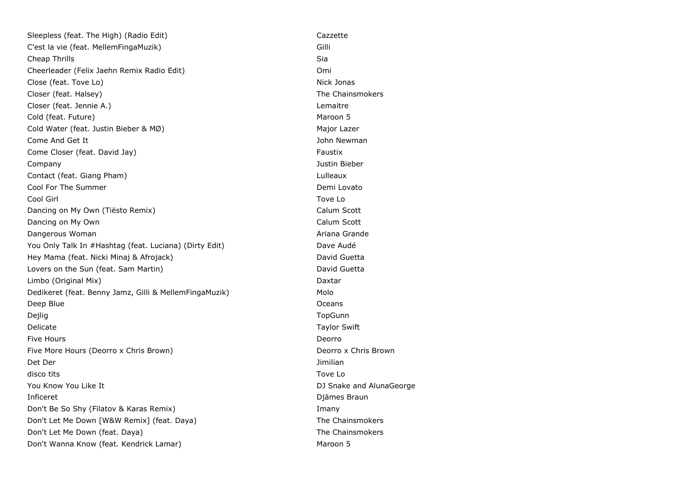Sleepless (feat. The High) (Radio Edit) Cazzette Cazzette C'est la vie (feat. MellemFingaMuzik) Gilli **Cheap Thrills** Sia Cheerleader (Felix Jaehn Remix Radio Edit) Omi Close (feat. Tove Lo) Nick Jonas Closer (feat. Halsey) The Chainsmokers and the Chainsmokers and the Chainsmokers and the Chainsmokers Closer (feat. Jennie A.) Lemaitre Cold (feat. Future) and the cold (feat. Future) and the cold (feat. Future) and the cold (feat. Future) and the cold (feat. Future) Cold Water (feat. Justin Bieber & MØ) Major Lazer Come And Get It John Newman Come Closer (feat. David Jay) Faustix Come Closer (feat. David Jay) Company Justin Bieber Contact (feat. Giang Pham) Lulleaux Cool For The Summer Cool For The Summer Cool For The Summer Cool For The Summer Cool For The Summer Cool For The Summer Cool For The Summer Cool For The Summer Cool For The Summer Cool For The Summer Cool For The Summer Co Cool Girl Tove Lo Dancing on My Own (Tiësto Remix) Calum Scott Calum Scott Dancing on My Own Calum Scott Calum Scott Calum Scott Dangerous Woman **Ariana Grande** Communication and Communication and Ariana Grande You Only Talk In #Hashtag (feat. Luciana) (Dirty Edit) Dave Audé Hey Mama (feat. Nicki Minaj & Afrojack) David Guetta Lovers on the Sun (feat. Sam Martin) discussed the Sun Lovers on the Sun (feat. Sam Martin) Limbo (Original Mix) Daxtar Dedikeret (feat. Benny Jamz, Gilli & MellemFingaMuzik) Molo Deep Blue **Oceans** Dejlig TopGunn Delicate Taylor Swift **Five Hours** Deorro Five More Hours (Deorro x Chris Brown) Deorro x Chris Brown Det Der Jimilian disco tits Tove Lo You Know You Like It **Now You AlunaGeorge Contract Contract Contract Contract Contract Contract Contract Contract Contract Contract Contract Contract Contract Contract Contract Contract Contract Contract Contract Contrac** Inficeret Djämes Braun Don't Be So Shy (Filatov & Karas Remix) Imany Don't Let Me Down [W&W Remix] (feat. Daya) The Chainsmokers Don't Let Me Down (feat. Daya) and the Chainsmokers and the Chainsmokers of the Chainsmokers Don't Wanna Know (feat. Kendrick Lamar) Maroon 5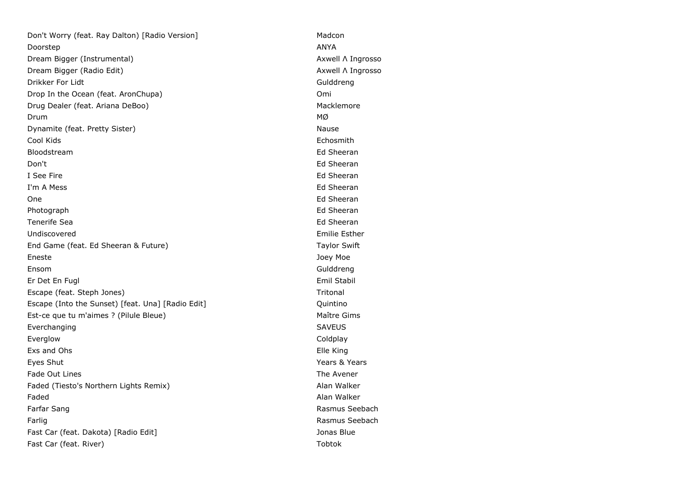Don't Worry (feat. Ray Dalton) [Radio Version] Madcon Doorstep ANYA Dream Bigger (Instrumental) and Axwell Λ Ingrosso Dream Bigger (Radio Edit) Axwell Λ Ingrosso Drikker For Lidt Gulddreng Drop In the Ocean (feat. AronChupa) Comi Drug Dealer (feat. Ariana DeBoo) Macklemore  $\Box$ Dynamite (feat. Pretty Sister) Nause National System of the Nause Nause Nause Nause Nause Nause Nause Nause Na Cool Kids Echosmith Bloodstream Ed Sheeran Don't Ed Sheeran I See Fire **Ed Sheeran** I'm A Mess **Ed Sheeran** One **Example 2018 Contract Contract Contract Contract Contract Contract Contract Contract Contract Contract Contract Contract Contract Contract Contract Contract Contract Contract Contract Contract Contract Contract Cont** Photograph **Ed Sheeran** Ed Sheeran **Ed Sheeran** Tenerife Sea Edition of the Sea Edition of the Sheeran Edition of the Sheeran Edition of the Sheeran Edition of the Sheeran Edition of the Sheeran Edition of the Sheeran Edition of the Sheeran Edition of the Sheeran Editio Undiscovered **Emilie Esther** Emilie Esther **Emilie Esther** End Game (feat. Ed Sheeran & Future) Taylor Swift Eneste Joey Moe Ensom Gulddreng Er Det En Fugl Emil Stabil Escape (feat. Steph Jones) Tritonal Escape (Into the Sunset) [feat. Una] [Radio Edit] The Contract Mate of Quintino Est-ce que tu m'aimes ? (Pilule Bleue) Maître Gims Everchanging SAVEUS Everglow Coldplay Exs and Ohs Elle King Eyes Shut Years & Years Fade Out Lines The Avener The Avener Section 2014 12:00 12:00 12:00 12:00 12:00 12:00 12:00 12:00 12:00 12:00 12:00 12:00 12:00 12:00 12:00 12:00 12:00 12:00 12:00 12:00 12:00 12:00 12:00 12:00 12:00 12:00 12:00 12:00 12:0 Faded (Tiesto's Northern Lights Remix) and Alan Walker Faded Alan Walker (1999) and the set of the set of the set of the set of the set of the set of the set of the set of the set of the set of the set of the set of the set of the set of the set of the set of the set of the se Farfar Sang Rasmus Seebach and The Rasmus Seebach and The Rasmus Seebach and The Rasmus Seebach and The Rasmus Seebach Farlig Rasmus Seebach Fast Car (feat. Dakota) [Radio Edit] Jonas Blue Fast Car (feat. River) and the control of the control of the control of the control of the control of the control of the control of the control of the control of the control of the control of the control of the control of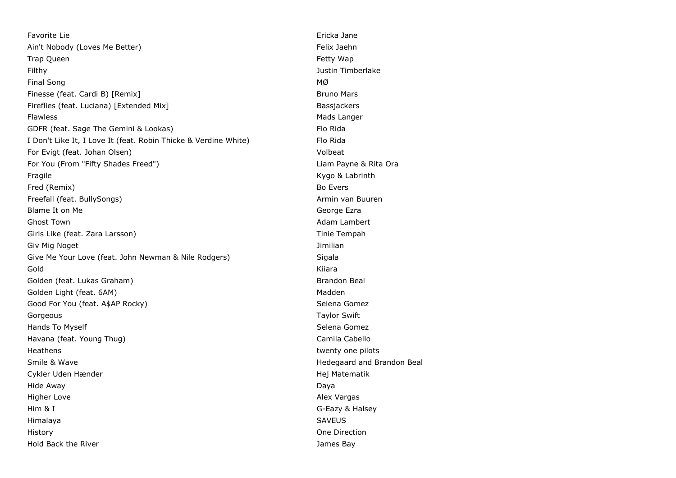Favorite Lie Ericka Jane Ain't Nobody (Loves Me Better) entitled the state of the Second Felix Jaehn Trap Queen Fetty Wap Filthy Justin Timberlake Final Song MØ Finesse (feat. Cardi B) [Remix] Bruno Mars Bruno Mars Bruno Mars Bruno Mars Bruno Mars Bruno Mars Bruno Mars B Fireflies (feat. Luciana) [Extended Mix] Bassiackers Bassiackers Flawless **Mads Langer** Mads Langer Mads Langer Mads Langer GDFR (feat. Sage The Gemini & Lookas) Flo Rida I Don't Like It, I Love It (feat. Robin Thicke & Verdine White) Flo Rida For Evigt (feat. Johan Olsen) Volbeat For You (From "Fifty Shades Freed") Liam Payne & Rita Ora Fragile **Kygo & Labrinth** Fred (Remix) Bo Evers Freefall (feat. BullySongs) Armin van Buuren Armin van Buuren Blame It on Me George Ezra and the George Ezra and the George Ezra and George Ezra and George Ezra and George Ezra and George Ezra and George Ezra and George Ezra and George Ezra and George Ezra and George Ezra and George Ghost Town **Adam Lambert** Communication and Communication and Communication and Adam Lambert Girls Like (feat. Zara Larsson) Tinie Tempah Giv Mig Noget **All Accords** Contact Contact Contact Contact Contact Contact Contact Contact Contact Contact Contact Contact Contact Contact Contact Contact Contact Contact Contact Contact Contact Contact Contact Contact Co Give Me Your Love (feat. John Newman & Nile Rodgers) Sigala Gold Kiiara Golden (feat. Lukas Graham) Brandon Beal and Brandon Beal and Brandon Beal and Brandon Beal Golden Light (feat. 6AM) and the state of the state of the state of the state of the Madden Good For You (feat. A\$AP Rocky) Selena Gomez Gorgeous **Taylor Swift** Hands To Myself Selena Gomez Selena Gomez Selena Gomez Selena Gomez Selena Gomez Selena Gomez Havana (feat. Young Thug) Camila Cabello Camila Cabello Heathens twenty one pilots and the matter of the twenty one pilots of twenty one pilots of twenty one pilots of the twenty one pilots of the twenty one pilots of the twenty one pilots of the twenty one pilots of the twenty Smile & Wave **Hedegaard and Brandon Beal** Cykler Uden Hænder Hej Matematik Hide Away Daya Higher Love **Alex Vargas** Alex Vargas Alex Vargas Alex Vargas Alex Vargas Alex Vargas Alex Vargas Alex Vargas Alex Vargas Alex Vargas Alex Vargas Alex Vargas Alex Vargas Alex Vargas Alex Vargas Alex Vargas Alex Vargas Alex Him & I G-Eazy & Halsey Himalaya SAVEUS History One Direction Hold Back the River **State Accord Following State Accord Following State Accord Following State Accord Following State Accord Following State Accord Following State Accord Following State Accord Following State Accord Foll**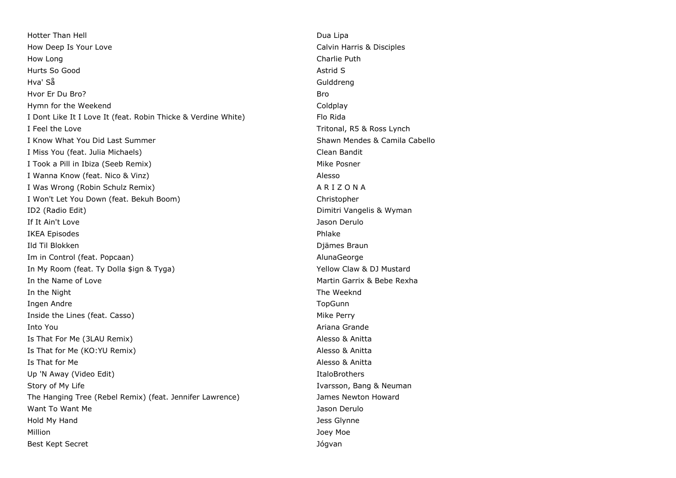Hotter Than Hell **Dua Lipa** Dua Lipa How Deep Is Your Love Calvin Harris & Disciples How Long Charlie Puth Hurts So Good **Astrid Southern Southern Southern Southern Southern Southern Southern Southern Southern Southern Southern Southern Southern Southern Southern Southern Southern Southern Southern Southern Southern Southern So** Hva' Så Gulddreng Hvor Er Du Bro? Bro Hymn for the Weekend **Coldpany** Coldplay I Dont Like It I Love It (feat. Robin Thicke & Verdine White) Flo Rida I Feel the Love **Tritonal**, R5 & Ross Lynch I Know What You Did Last Summer Shawn Mendes & Camila Cabello I Miss You (feat. Julia Michaels) Clean Bandit I Took a Pill in Ibiza (Seeb Remix) and the matter of the Mike Posner and Mike Posner I Wanna Know (feat. Nico & Vinz) Alesso I Was Wrong (Robin Schulz Remix) A R I Z O N A I Won't Let You Down (feat. Bekuh Boom) Christopher Christopher ID2 (Radio Edit) Dimitri Vangelis & Wyman **If It Ain't Love** Jason Derulo IKEA Episodes Phlake **Ild Til Blokken** Diämes Braun Diämes Braun Diämes Braun Diämes Braun Diämes Braun Diämes Braun Diämes Braun Diämes Braun Diämes Braun Diämes Braun Diämes Braun Diämes Braun Diämes Braun Diämes Braun Diämes Braun Diämes Br Im in Control (feat. Popcaan) AlunaGeorge and AlunaGeorge and AlunaGeorge and AlunaGeorge In My Room (feat. Ty Dolla \$ign & Tyga) Yellow Claw & DJ Mustard In the Name of Love **Martin Garrix & Bebe Rexha** In the Night The Weeknd Ingen Andre Groupe is a state of the TopGunn and the TopGunn and the TopGunn and the TopGunn and the TopGunn and the TopGunn and the TopGunn and the TopGunn and the TopGunn and the TopGunn and the TopGunn and the TopGunn a Inside the Lines (feat. Casso) **Mike Perry** Mike Perry Into You Ariana Grande Is That For Me (3LAU Remix) Alesso & Anitta Is That for Me (KO:YU Remix) Alesso & Anitta Is That for Me Alesso & Anitta and The Alesso & Anitta and The Alesso & Anitta and The Alesso & Anitta and The Alesso & Anitta and The Alesso & Anitta and The Alesso & Anitta and The Alesso & Anitta and The Alesso & Anitta Up 'N Away (Video Edit) **Italog and Community** Italog and The Italog and The Italog and The Italog and The Italog and The Italog and The Italog and The Italog and The Italog and The Italog and The Italog and The Italog and Story of My Life **Ivarsson**, Bang & Neuman Story of My Life The Hanging Tree (Rebel Remix) (feat. Jennifer Lawrence) James Newton Howard Want To Want Me Jason Derulo Number of the Unit of the Jason Derulo Jason Derulo Hold My Hand Jess Glynne Million **Million** Joey Moe Best Kept Secret Jógvan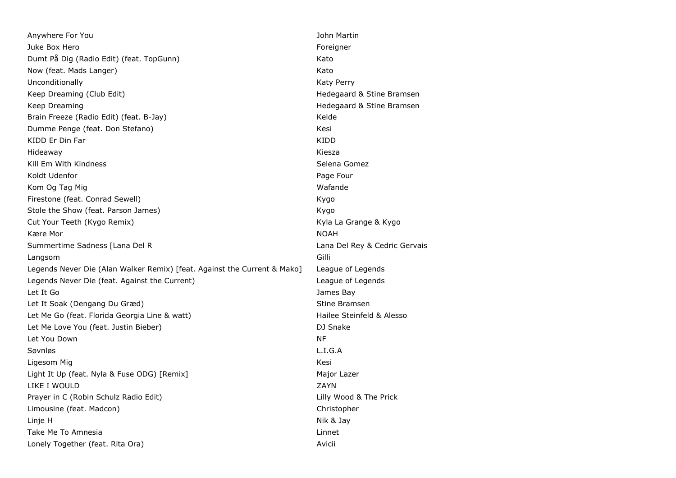| Anywhere For You                                                         | John Martin                   |
|--------------------------------------------------------------------------|-------------------------------|
| Juke Box Hero                                                            | Foreigner                     |
| Dumt På Dig (Radio Edit) (feat. TopGunn)                                 | Kato                          |
| Now (feat. Mads Langer)                                                  | Kato                          |
| Unconditionally                                                          | Katy Perry                    |
| Keep Dreaming (Club Edit)                                                | Hedegaard & Stine Bramsen     |
| Keep Dreaming                                                            | Hedegaard & Stine Bramsen     |
| Brain Freeze (Radio Edit) (feat. B-Jay)                                  | Kelde                         |
| Dumme Penge (feat. Don Stefano)                                          | Kesi                          |
| KIDD Er Din Far                                                          | <b>KIDD</b>                   |
| Hideaway                                                                 | Kiesza                        |
| Kill Em With Kindness                                                    | Selena Gomez                  |
| Koldt Udenfor                                                            | Page Four                     |
| Kom Og Tag Mig                                                           | Wafande                       |
| Firestone (feat. Conrad Sewell)                                          | Kygo                          |
| Stole the Show (feat. Parson James)                                      | Kygo                          |
| Cut Your Teeth (Kygo Remix)                                              | Kyla La Grange & Kygo         |
| Kære Mor                                                                 | <b>NOAH</b>                   |
|                                                                          |                               |
| Summertime Sadness [Lana Del R                                           | Lana Del Rey & Cedric Gervais |
| Langsom                                                                  | Gilli                         |
| Legends Never Die (Alan Walker Remix) [feat. Against the Current & Mako] | League of Legends             |
| Legends Never Die (feat. Against the Current)                            | League of Legends             |
| Let It Go                                                                | James Bay                     |
| Let It Soak (Dengang Du Græd)                                            | Stine Bramsen                 |
| Let Me Go (feat. Florida Georgia Line & watt)                            | Hailee Steinfeld & Alesso     |
| Let Me Love You (feat. Justin Bieber)                                    | DJ Snake                      |
| Let You Down                                                             | <b>NF</b>                     |
| Søvnløs                                                                  | L.I.G.A                       |
| Ligesom Mig                                                              | Kesi                          |
| Light It Up (feat. Nyla & Fuse ODG) [Remix]                              | Major Lazer                   |
| LIKE I WOULD                                                             | ZAYN                          |
| Prayer in C (Robin Schulz Radio Edit)                                    | Lilly Wood & The Prick        |
| Limousine (feat. Madcon)                                                 | Christopher                   |
| Linje H                                                                  | Nik & Jay                     |
| Take Me To Amnesia                                                       | Linnet                        |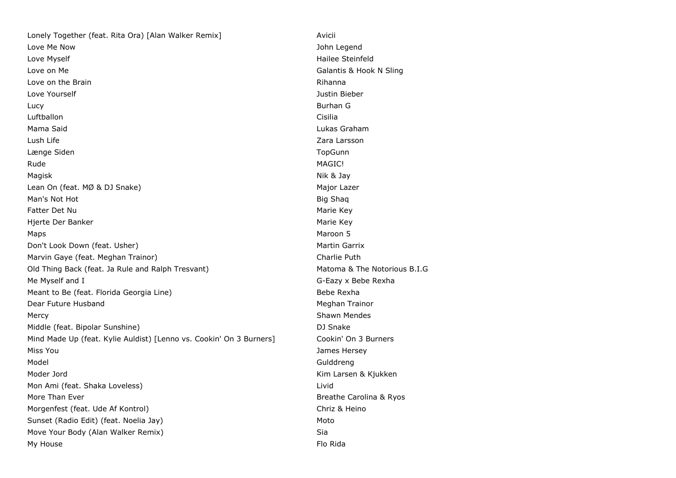Lonely Together (feat. Rita Ora) [Alan Walker Remix] Avicii Love Me Now John Legend Love Myself **Hailee Steinfeld** Love on Me Galantis & Hook N Sling Love on the Brain **Rights Love on the Brain** Love Yourself Justin Bieber Lucy Burhan G Luftballon Cisilia Mama Said Lukas Graham Lush Life Zara Larsson Længe Siden **Van de Siden Siden Siden Siden Siden Siden Siden Siden Siden Siden Siden Siden Siden Siden Siden S** Rude MAGIC! Magisk and the state of the state of the state of the state of the state of the State of the State of the State of the State of the State of the State of the State of the State of the State of the State of the State of the Lean On (feat. MØ & DJ Snake) Major Lazer Major Lazer Man's Not Hot Big Shaq and Big Shaq and Big Shaq and Big Shaq and Big Shaq and Big Shaq and Big Shaq Fatter Det Nu and The Second Second Second Second Second Second Second Second Second Second Second Second Second Second Second Second Second Second Second Second Second Second Second Second Second Second Second Second Seco Hjerte Der Banker Marie Key (Marie Key Marie Key Marie Key Marie Key Marie Key Marie Key Marie Key Marie Key Marie Key (Marie Key Marie Key Marie Key Marie Key Marie Key Marie Key Marie Key (Marie Key Marie Key Marie Key M Maps Mathematic Secret Secret Secret Secret Secret Secret Secret Secret Secret Secret Secret Secret Secret Secret Secret Secret Secret Secret Secret Secret Secret Secret Secret Secret Secret Secret Secret Secret Secret Sec Don't Look Down (feat. Usher) Martin Garrix Martin Garrix Marvin Gaye (feat. Meghan Trainor) and the control of the Charlie Puth Old Thing Back (feat. Ja Rule and Ralph Tresvant) Matoma & The Notorious B.I.G Me Myself and I G-Eazy x Bebe Rexha Meant to Be (feat. Florida Georgia Line) Show The Bebe Rexha Dear Future Husband Meghan Trainor Mercy **Mercy** Shawn Mendes **Mercy** Shawn Mendes **Shawn Mendes** Middle (feat. Bipolar Sunshine) DJ Snake Mind Made Up (feat. Kylie Auldist) [Lenno vs. Cookin' On 3 Burners] Cookin' On 3 Burners Miss You James Hersey Model Gulddreng Moder Jord **Kim Larsen & Kjukken** Mon Ami (feat. Shaka Loveless) Livid More Than Ever Breather Carolina & Ryos **Breathe Carolina & Ryos** Morgenfest (feat. Ude Af Kontrol) and the controll christ and the Chriz & Heino Sunset (Radio Edit) (feat. Noelia Jay) Moto Move Your Body (Alan Walker Remix) Sia My House Flo Rida and the Contract of the Contract of the Contract of the Contract of the Contract of the Contract of the Contract of the Contract of the Contract of the Contract of the Contract of the Contract of the Cont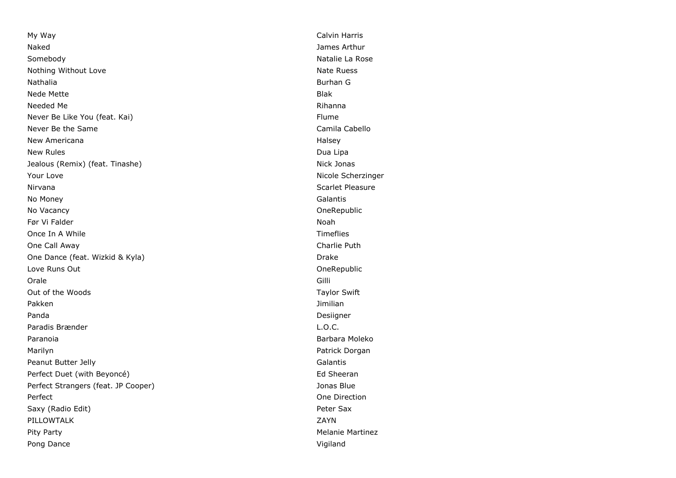My Way **Calvin Harris** Naked James Arthur Somebody **Natalie La Rose** Nothing Without Love **National Community** Control of the National Association of the National Association and National Association of the National Association of the National Association of the National Association of the Nathalia Burhan G Nede Mette Blake Blake Blake Blake Blake Blake Blake Blake Blake Blake Blake Blake Blake Blake Blake Blake Blake Blake Blake Blake Blake Blake Blake Blake Blake Blake Blake Blake Blake Blake Blake Blake Blake Blake Blake B Needed Me Rihanna Never Be Like You (feat. Kai) Flume Never Be the Same Camila Cabello Camila Cabello New Americana **Halsey New Americana** New Rules and the contract of the contract of the contract of the contract of the contract of the contract of the contract of the contract of the contract of the contract of the contract of the contract of the contract of Jealous (Remix) (feat. Tinashe) Nick Jonas Your Love **Nicole Scherzinger** Nicole Scherzinger Nirvana Scarlet Pleasure No Money Galantis No Vacancy OneRepublic Før Vi Falder i 1999 i 1999 ble stofballet i 1999 ble stofballet i 1999 ble stofballet i 1999 ble stofballet i Once In A While **Timeflies** One Call Away Charlie Puth One Dance (feat. Wizkid & Kyla) Drake Love Runs Out OneRepublic Orale Gilli Out of the Woods Taylor Swift Pakken Jimilian Santa Terminang Pakken Jimilian Santa Terminang Pakken Jimilian Panda Desiigner and Desiigner and Desiigner and Desiigner and Desiigner and Desiigner Paradis Brænder **L.O.C.** Paranoia **Barbara Moleko** Barbara Moleko eta Espainia eta Espainia eta Espainia eta Espainia eta Espainia eta Espainia eta Espainia eta Espainia eta Espainia eta Espainia eta Espainia eta Espainia eta Espainia eta Espainia Marilyn Patrick Dorgan Peanut Butter Jelly **Galantis** Perfect Duet (with Beyoncé) entitled and the state of the Sheeran Ed Sheeran Perfect Strangers (feat. JP Cooper) Jonas Blue Perfect **One Direction** Saxy (Radio Edit) **Peter Sax** PILLOWTALK ZAYN Pity Party **Melanie Martinez** Community Pity Party **Melanie Martinez** Pong Dance **Vigiland**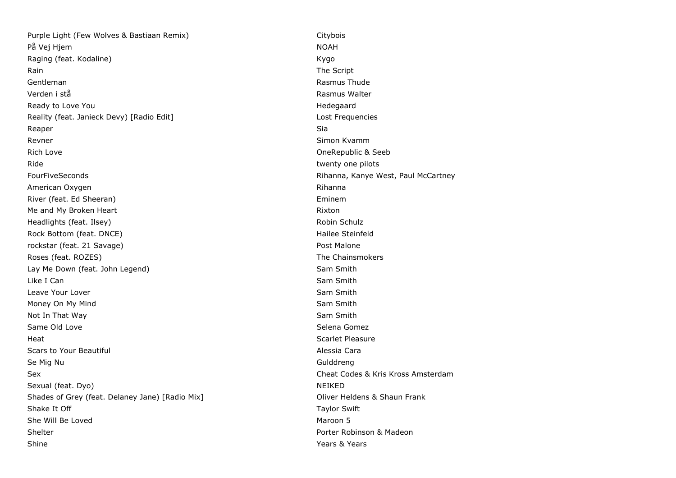Purple Light (Few Wolves & Bastiaan Remix) Citybois På Vej Hjem NOAH Raging (feat. Kodaline) Kygo Rain **Rain** The Script **Contract Contract Contract Contract Contract Contract Contract Contract Contract Contract Contract Contract Contract Contract Contract Contract Contract Contract Contract Contract Contract Contract** Gentleman **Rasmus Thude** Verden i stå Rasmus Walter Ready to Love You **Hedegaard** Reality (feat. Janieck Devy) [Radio Edit] Lost Frequencies Lost Frequencies Reaper Sia and the Sia and the Sia and the Sia and the Sia and the Sia and the Sia and Sia and Sia and Sia and Revner Simon Kvamm Simon Kvamm Simon Kvamm Simon Kvamm Simon Kvamm Simon Kvamm Simon Kvamm Simon Kvamm Simon Kvamm Simon Kvamm Simon Kvamm Simon Kvamm Simon Kvamm Simon Kvamm Simon Kvamm Simon Kvamm Simon Kvamm Simon Simon Rich Love OneRepublic & Seeb Ride **twenty one pilots** and the set of twenty one pilots and twenty one pilots of twenty one pilots of twenty one pilots of twenty one pilots of twenty one pilots of twenty one pilots of the set of twenty one pilots of th FourFiveSeconds **Rights** Rihanna, Kanye West, Paul McCartney American Oxygen **Rihanna** Rihanna Rihanna Rihanna Rihanna Rihanna Rihanna Rihanna Rihanna Rihanna Rihanna Rihanna River (feat. Ed Sheeran) **Eminem** Eminem Me and My Broken Heart Rixton Rixton Rixton Rixton Headlights (feat. Ilsey) Robin Schulz Englished Schulz Englished Schulz Englished Schulz Englished Schulz Englished Schulz Rock Bottom (feat. DNCE) **Hailee Steinfeld Hailee Steinfeld** rockstar (feat. 21 Savage) extending the state of the post Malone Post Malone Roses (feat. ROZES) The Chainsmokers and the Chainsmokers and the Chainsmokers and the Chainsmokers Lay Me Down (feat. John Legend) Sam Smith Like I Can Smith and Sam Smith and Sam Smith and Sam Smith and Sam Smith and Sam Smith and Sam Smith and Sam Smith Leave Your Lover Sam Smith Money On My Mind Sam Smith Not In That Way Sam Smith Same Old Love Selena Gomez Selena Gomez Selena Gomez Selena Gomez Selena Gomez Selena Gomez Selena Gomez Selena Gomez **Heat** Scarlet Pleasure Scars to Your Beautiful Alessia Cara Se Mig Nu Gulddreng Sex Cheat Codes & Kris Kross Amsterdam Sexual (feat. Dyo) Neille and the second second second second second second second second second second second second second second second second second second second second second second second second second second second Shades of Grey (feat. Delaney Jane) [Radio Mix] China Coliver Heldens & Shaun Frank Shake It Off Taylor Swift Shake It Off Taylor Swift Taylor Swift Taylor Swift Taylor Swift Taylor Swift Taylor Swift She Will Be Loved **Maroon 5** Shelter **Shelter** Porter Robinson & Madeon Shine **Years & Years & Years & Years**  $\sim$  Years & Years & Years & Years & Years & Years & Years & Years & Years & Years & Years & Years & Years & Years & Years & Years & Years & Years & Years & Years & Years & Years & Yea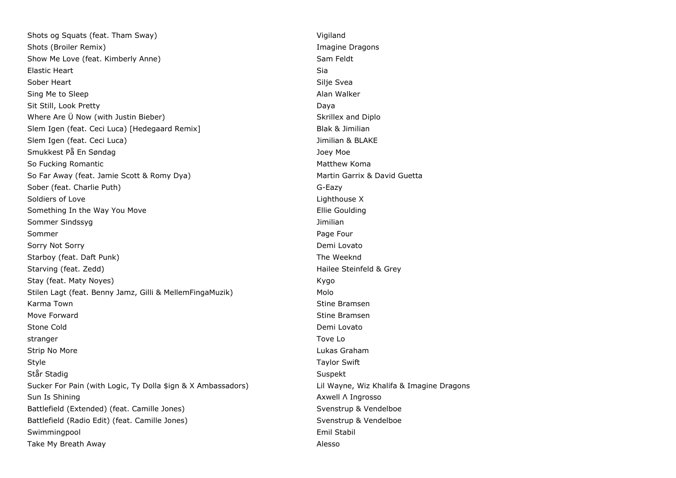Shots og Squats (feat. Tham Sway) Vigiland Shots (Broiler Remix) **Imagine Dragons** Shots (Broiler Remix) Show Me Love (feat. Kimberly Anne) Show Me Love feldt Elastic Heart **Siamund Community Community Community** Siamund Community Siamund Community Siamund Community Siamund Community Siamund Community Siamund Community Siamund Community Siamund Community Siamund Community Siamun Sober Heart **Silje Sveats** Silje Sveats and Silje Sveats and Silje Sveats and Silje Sveats and Silje Sveats and Silje Sveats and Silje Sveats and Silje Sveats and Silje Sveats and Silje Sveats and Silje Sveats and Silje Sv Sing Me to Sleep Alan Walker Alan Walker Alan Walker Sit Still, Look Pretty Daya Where Are Ü Now (with Justin Bieber) Manual Skrillex and Diplo Slem Igen (feat. Ceci Luca) [Hedegaard Remix] Blak & Jimilian Slem Igen (feat. Ceci Luca) and the state of the state of the state of the state of the state of the state of the state of the state of the state of the state of the state of the state of the state of the state of the stat Smukkest På En Søndag Joey Moe So Fucking Romantic **Matthew Komantic** Matthew Komantic Matthew Komantic Matthew Komantic Matthew Komantic Matthew Komantic Matthew Komantic Matthew Komantic Matthew Komantic Matthew Komantic Matthew Komantic Matthew Koman So Far Away (feat. Jamie Scott & Romy Dya) Martin Garrix & David Guetta Sober (feat. Charlie Puth) G-Eazy Soldiers of Love **Lighthouse X** and the Lighthouse X and the Lighthouse X and the Lighthouse X and the Lighthouse X Something In the Way You Move **Ellie Goulding** Sommer Sindssyg **Sommer Sindssyg** Jimilian Sommer Page Four Property of the Sommer Page Four Page Four Page Four Page Four Page Four Page Four Page Four Sorry Not Sorry **Not Sorry Contact Contact Contact Contact Contact Contact Contact Contact Contact Contact Contact Contact Contact Contact Contact Contact Contact Contact Contact Contact Contact Contact Contact Contact Con** Starboy (feat. Daft Punk) Starboy (feat. Daft Punk) Starving (feat. Zedd) **Hailee Steinfeld & Grey** Stay (feat. Maty Noyes) Kygo Stilen Lagt (feat. Benny Jamz, Gilli & MellemFingaMuzik) Molo Karma Town Stine Bramsen Move Forward **Stine Bramsen** Stone Cold **Demi Lovato** stranger Tove Logical Activities in the stranger of the stranger  $\sim$  Tove Logical Activities in the stranger  $\sim$ Strip No More **Contract Contract Contract Contract Contract Contract Contract Contract Contract Contract Contract Contract Contract Contract Contract Contract Contract Contract Contract Contract Contract Contract Contract** Style **Style** Taylor Swift Style **Taylor Swift** Står Stadig Suspekt i Suspekt i Suspekt i Suspekt i Suspekt i Suspekt i Suspekt i Suspekt i Suspekt i Suspekt Sucker For Pain (with Logic, Ty Dolla \$ign & X Ambassadors) Lil Wayne, Wiz Khalifa & Imagine Dragons Sun Is Shining **Axwell Λ Ingrosso** Sun Is Shining **Axwell Λ** Ingrosso Battlefield (Extended) (feat. Camille Jones) Syenstrup & Vendelboe Battlefield (Radio Edit) (feat. Camille Jones) Syenstrup & Vendelboe Syenstrup & Vendelboe Swimmingpool and the stability of the stability of the stability of the stability of the stability of the stability of the stability of the stability of the stability of the stability of the stability of the stability of t Take My Breath Away Alesso and the United States of the Alesso and Alesso and Alesso and Alesso and Alesso and Alesso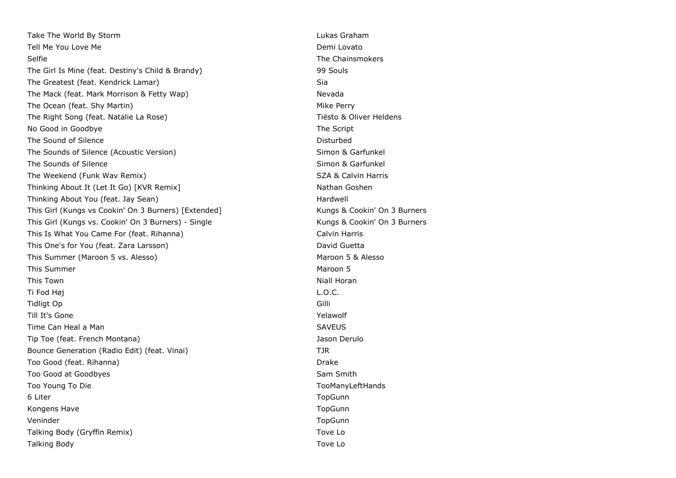Take The World By Storm **Lukas Graham** Lukas Graham Tell Me You Love Me **Demi** Lovato **Demi** Lovato Selfie The Chainsmokers The Girl Is Mine (feat. Destiny's Child & Brandy) 99 Souls The Greatest (feat. Kendrick Lamar) Sia The Mack (feat. Mark Morrison & Fetty Wap) Nevada The Ocean (feat. Shy Martin) Mike Perry Mike Perry The Right Song (feat. Natalie La Rose) The Right Song (feat. Natalie La Rose) The Right Song Communisties and Tiesto & Oliver Heldens No Good in Goodbye The Script and The Script and The Script and The Script and The Script and The Script and The Script and The Script and The Script and The Script and The Script and The Script and The Script and The Scri The Sound of Silence **Disturbed** The Sounds of Silence (Acoustic Version) Simon & Garfunkel The Sounds of Silence Simon & Garfunkel The Weekend (Funk Wav Remix) SZA & Calvin Harris SZA & Calvin Harris Thinking About It (Let It Go) [KVR Remix] Nathan Goshen Nathan Goshen Thinking About You (feat. Jay Sean) Thinking About You (feat. Jay Sean) This Girl (Kungs vs Cookin' On 3 Burners) [Extended] Kungs & Cookin' On 3 Burners This Girl (Kungs vs. Cookin' On 3 Burners) - Single Kungs & Cookin' On 3 Burners This Is What You Came For (feat. Rihanna) Calvin Harris Calvin Harris This One's for You (feat. Zara Larsson) This One's for You (feat. Zara Larsson) This Summer (Maroon 5 vs. Alesso) Maroon 5 & Alesso This Summer Maroon 5 This Town Niall Horan Albert (1989), and the control of the control of the control of the control of the control of the control of the control of the control of the control of the control of the control of the control of t Ti Fod Høj L.O.C. Tidligt Op Gilli Till It's Gone Yelawolf and the Yelawolf Community Community Community Community Community Community Community Community Community Community Community Community Community Community Community Community Community Community C Time Can Heal a Man SAVEUS and the SAVEUS SAVEUS Tip Toe (feat. French Montana) Jason Derulo Bounce Generation (Radio Edit) (feat. Vinai) TJR Too Good (feat. Rihanna) Drake Controller and the Controller and Drake Drake Drake Too Good at Goodbyes National Sam Smith Sam Smith Too Young To Die Toologiese States and Toologiese States and Toologiese Toologiese Toologiese Toologiese Toologiese States and Toologiese Toologiese Toologiese Toologiese States and Toologiese Toologiese Toologiese States 6 Liter TopGunn Kongens Have The TopGunn Construction of the TopGunn Construction of the TopGunn TopGunn TopGunn Veninder TopGunn Talking Body (Gryffin Remix) Tove Local Control of the United States of the United States of Tove Local Control of Tove Local Control of Tove Local Control of Tove Local Control of Tove Local Control of Tove Local Control Talking Body Tove Lo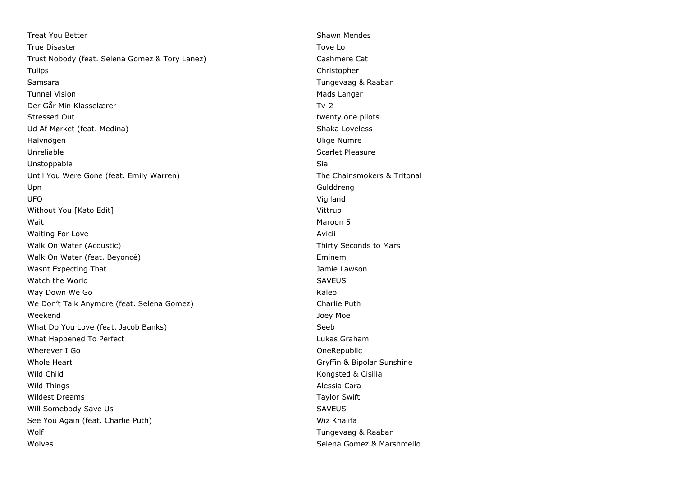Treat You Better Shawn Mendes All the Shawn Mendes Shawn Mendes True Disaster Towe Lot 2008 and the United States of the United States of the United States of the United States of the United States of the United States of the United States of the United States of the United States of t Trust Nobody (feat. Selena Gomez & Tory Lanez) Cashmere Cat Tulips Christopher Samsara Tungevaag & Raaban Tunnel Vision and Mads Langer and Mads Langer and Mads Langer and Mads Langer Der Går Min Klasselærer Tv-2 Stressed Out twenty one pilots and twenty one pilots of twenty one pilots of twenty one pilots of twenty one pilots of twenty one pilots of twenty one pilots of twenty one pilots of twenty one pilots of twenty one pilots o Ud Af Mørket (feat. Medina) Shaka Loveless Shaka Loveless Halvnøgen Ulige Numre Unreliable Scarlet Pleasure Unstoppable Sia Until You Were Gone (feat. Emily Warren) The Chainsmokers & Tritonal Upn Gulddreng UFO Vigiland Without You [Kato Edit] Vittrup Communication of the United States of the United States of the United States of the United States of the United States of the United States of the United States of the United States of the U wait the contract of the contract of the contract of the contract of the contract of the contract of the contract of the contract of the contract of the contract of the contract of the contract of the contract of the contr Waiting For Love **Avicii Avicii Avicii Avicii Avicii Avicii Avicii Avicii Avicii Avicii Avicii Avicii Avicii Avicii Avicii Avicii Avicii Avicii Avicii Avicii Avicii Avicii Avicii** Walk On Water (Acoustic) Manuson Communication of Thirty Seconds to Mars Walk On Water (feat. Beyoncé) **Eminem** Eminem Wasnt Expecting That **Jamie Lawson Wasnt Expecting That** Watch the World SAVEUS and the World SAVEUS of the World SAVEUS of the SAVEUS of the SAVEUS of the SAVEUS of the SAVEUS of the SAVEUS of the SAVEUS of the SAVEUS of the SAVEUS of the SAVEUS of the SAVEUS of the SAVEUS of t Way Down We Go **Kaleo** We Don't Talk Anymore (feat. Selena Gomez) Charlie Puth Weekend Joey Moe What Do You Love (feat. Jacob Banks) Seeb What Happened To Perfect **Lukas Graham** Computer Lukas Graham Lukas Graham Wherever I Go **One Republic** Whole Heart Gryffin & Bipolar Sunshine Wild Child **Kongsted & Cisilia** Wild Things **Alessia Cara** Wildest Dreams Taylor Swift Will Somebody Save Us **SAVEUS** SAVEUS See You Again (feat. Charlie Puth) Wiz Khalifa Wolf **Tungevaag & Raaban** Wolves Selena Gomez & Marshmello